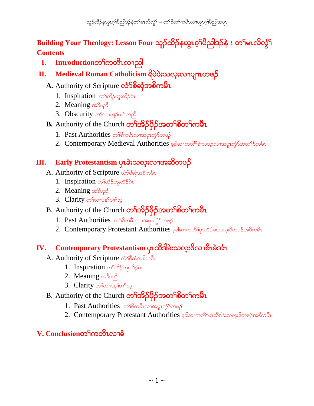Building Your Theology: Lesson Four သူဉ်ထိဉ်နယ္ဂၤစ့<sup>၎</sup>ပိညါဒဉ်နဲ း တ<sup>၎</sup>မၤလိလ္ဂံ<sup>၎</sup> **Contents**

- **I. Introduction**တ<sup>ှ</sup>ကတိၤလၢညါ
- **II.** Medieval Roman Catholicism ရှိမဲခဲးသလူးလၫပျπတဖဉ်
	- A. Authority of Scripture လံ**ာ်စိ**ဆုံအစိကမ်ိဳၤ
		- 1. Inspiration တ<sup>ှ</sup>ထိဉ်ဟူးထိဉ်ရဲ
		- 2. Meaning အ<sub>ခ်ိဳပည</sub>ိ
		- 3. Obscurity or no property
	- B. Authority of the Church တ<sup>ှ</sup>အိ**်**ဖိုဉ်အတ<sup>ှ</sup>စိတှကမီး
		- 1. Past Authorities တ<sup>ှ</sup>စိကမီးလျှေအပူးကွဲ၁်တဖဉ်
		- 2. Contemporary Medieval Authorities ခုခါဆာကတိ<sup>ရှ</sup>ခဲးသလုံးလာအမှုကွဲ၁်အတ<sup>ရှ</sup>စိကမီး

# **III.** Early Protestantism ပုၤခဲးသလူးလၫအဆိတဖဉ်

- A. Authority of Scripture လံSစီဆုံအစိကမီး
	- 1. Inspiration တ<sup>ှ</sup>ထိဉ်ဟူးထိဉ်စဲ1
	- 2. Meaning အ<sub>ခ်ိဳပည</sub>ီ
	- 3. Clarity or to noplo they
- B. Authority of the Church တ<sup>ှ</sup>အိွာဖိုဉ်အတ<sup>ှ</sup>စိတှကမီး
	- 1. Past Authorities တ<sup>ှ</sup>စိကမီးလၢအပူးကွံာ်တဖဉ်
	- 2. Contemporary Protestant Authorities ခုခါဆၢကတိ်ပြာထိခါခဲးသလူးဖိတဖဉ်အစိကမီး

### **IV.** Contemporary Protestantism ပုၤထိဒါခဲးသလူးဖိလၢစိၤခဲအံၤ

- A. Authority of Scripture လံ58 ဆုံအစိကမီး
	- 1. Inspiration တ<sup>ှ</sup>ထိဉ်ဟူးထိဉ်ရဲ
	- 2. Meaning solool
	- 3. Clarity တ<sup>ှ</sup>လၢပန<sup>ှ</sup>ပၢါသ့
- B. Authority of the Church တ<sup>ှ</sup>အိ**်**ပိုဉ်အတ<sup>ှ</sup>စိတှကမီး
	- 1. Past Authorities တ<sup>ှ</sup>စိကမီးလၢအပူးကွံာ်တဖဉ်
	- 2. Contemporary Protestant Authorities ခုခါဆၢကတိ<sup>S</sup>ုပ္ပာထိခါခဲးသလူးဖိတဖဉ်အစိကမ်ိဳး

# **V. Conclusion**o δρογασιώ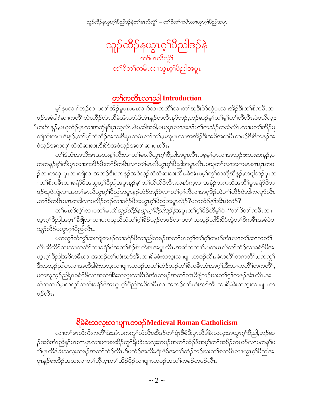

# <u>တ<sup></sup>ကတိၤလၫည</u>ါ Introduction

မ့်နပလၫ်ာဘဉ်လၢပတ်၊အိဉ်မူပူၤပမၤလၫာ်ဆၢကတိ်၊လၢတၢ်ဃုဒီးပိာ်ထွဲပုၤလၢအိဉ်ဒီးတၢ်စိကမီၤတ ဖဉ်အခံဓါ?ဆၢကတိႝၤလဲၤထိဉ်လဲၤထိခဲအံၤပတဲဒ်အံၤန္ဉာ်တလီၤနာ်ဘဉ်ႇဘဉ်ဆဉ်မ့္ပ်တ႑်မ့္ပ်တ႑်တိလီၤႉဖဲပသိလ္ဉာ ်ဟးဂ်ီၤန္**ဉ်,**ပဃုထံဉ်ပုၤလၢအဘိုန္<sup>ရ</sup>ပုၤသ့လီၤ.ဖဲပဆါအခါ,ပဃုပုၤလၢအန<sup>ျ</sup>ပၢါကသံဉ်ကသီလီၤ.လၢပတ<sup>ၡ</sup>အိဉ်မူ ကျဲကိႏကပၤဒဲးနဉ်ႇတၫ်မ့႞ကဲထိဉ်အသးဒီးပုၤတမံၤလ႑်လ႑်ႇပဃုပုၤလၢအအိဉ်ဒီးအစိအကမိၤတဖဉ်ဒီးဒိကနဉ်အ ဝဲသုဉ်အကလုၫ်ထံထံဆးဆးႇဒီးပိ⁄ာ်အဝဲသုဉ်အတ႑်ဆု႑ပုၤလိၤႉ

တၫ်ဒ်အံၤအသိးမၤအသးစ့ၫ်ကီးလၢတၫ်မၤလိယွၤဂုၢိပိညါအပူၤလီၤ.ပမ့မ့ၫ်ပုၤလၢအသူဉ်ဖးသးဆးန္ဉာဴ,ပ ကကနဉ်စ့ၢ်ကီးပှၤလၢအအိဉ်ဒီးတၢိစိကမီၤလၢတၢ်မၤလိယွၤဂ့ၢ်၀ိညါအပူၤလီၤ.ပဃုတၢ်လၢအကမၤစၢၤပုၤတဖ ဉ်လၢကဆုၢပုၤလၢကျဲလၢအဘဉ်ဒီးပကနဉ်အဝဲသ့ဉ်ထံထံဆးဆးလီၤ.ခဲအံၤပမ့ၢ်ကွၢ်တဘျီဃီနဉ်,ကဖျဲဘဉ်ပုၤလ <u>ၢတၫိစိကမိၤလၢခရံာ်ဖိအယွာဂ့ၫိပိညါအပူးနဉ်မှ</u>ါတ႑်ယိယိဖိလီၤႉသနာ်ကဲ့လၢအနံ့ဉ်တကထိအတိၢိပူၤခရံာ်ဖိတ ဖဉ်ဃုဝဲကျဲလၫအတ႑်မၤလိယ္မၤဂ့ౕါပီညါအပူၤန္ဉာိထံဉ်ဘဉ်ဝဲလ႑တ႑်ဂ္ဂါကီလ႑အရှုဒိဉ်ဟဲပ႑်ထိဉ်ဝဲအါကလုာ်လီၤ .တၫ်စိကမိၤမနုၤတခါလၢပလိဉ်ဘဉ်လၢခရံာ်ဖိအယွπဂ့ၢိ၀ိညါအပူၤလဲဉ် $?$ ပကထံဉ်နှၤ်အီၤဖဲလဲဉ် $?$ 

တၫ်မၤလိလွံၫ်လၢပတၫ်မၤလိ*သူဉ်ထိဉ်နယွၤဂ့ၫ်ပညါဒဉ်နဲ*အပူၤတၫ်ဂ့ၫ်ခိဉ်တိမ့ၫ်ဝဲ–''တၫ်စိတ႑်ကမီၤလၢ ယ္လာဂ္ဒါတိုဘဲအပူး"ဒီဖိုုလၫလၫပကၰဃိထံတ႑်ဂ္ဒါခိုည့္ဉ်တဖဉ်လ႑ပတ႑်ဃုသ္ဥညါဒီးပိ9်ထွဲတ႑်စိကမ်ိဳးအခံဖဲပ သူဉ်ထိဉ်ပယ္ပၤဂ့်္ဂါပိညါလီၤ.

ပကကွ်လ်ကွ်ရသေးကျဲတဖဉ်လၢခရံှာ်ဖိလၢညါတဖဉ်အတ်မြာတဲ့ရတ်ရုပ်တဖဉ်အံုးလၢတ်ရသောတိရှိ လီၤဆီလိ်ာသးသၢကတိိၤ်လၢခရံှာ်ဖိအတၤ်စံဉ်စိၤတဲစိၤအပူၤလီၤ.အဆိကတၢၤ်,ပကမၤလိတၤ်ထံဉ်လၢခရံှာ်ဖိအ ယ္ဇၤဂ္ဒါ၀ိညါအစိကမီၤလၫအဘဉ်တ႑်ဟံးဃာ်အီၤလၢရိမဲခဲးသလ္းလၢပျ႑ၤတဖဉ်လီၤ.ခံကတိႝၤ်တကတိႝၤ်ႇပကက္ဂ႑် ဒီးဃုသ့ဉ်ညါပှၤလၢအထိဒါခဲးသလုးလၢပျ႑ာတဖဉ်အတ႑်ထံဉ်ဘဉ်တၫ်စိကမိၤအာက္္တာနဲ့အသကတိၤ်တကတိြာ ပကၰသွဉ်ညါပုၤခရံာ်<sup>8</sup>လၫအထိဒါခဲးသလူးလၫစိၤခဲအံၤတဖဉ်အတ႑်လဲၤခီဖျိဘဉ်ဃးတ႑်ဂ့ၢ်တဖဉ်အံၤလိၤ.အ ဆိကတၫ်ႇပကကွှ်သက်ိုးခရံှာ်ဖိအယွာဂ့်္ဂါပီညါ့အစိကမိႆာလၢအဘဉ်တ႑်ဟံးဃာ်အီာလၢရိမဲခဲးသလူးလၢပျπတ ဖဉ်လီး.

# <u>ရြိမ်ခဲးသလူးလၫပျπတၒဉ်Medieval Roman Catholicism</u>

လၢတၫ်မၤလိကိႏကတိႝၤ်ဒဲးအံၤပကကွ႑်ထံလီၤဆီဒဉ်တ႑်ရံၤဖိမ်ဒိီးပုၤထိဒါခဲးသလ့းအယွၤဂ့ၫ်ပိညါ,ဘဉ်ဆ ဉ်အဝဲအံၤညီနုၤ်မာစ႑ာပုၤလ႑ပကစးထိဉ်ကွၤ်ရိမဲခဲးသလူးတဖဉ်အတၤ်ထံဉ်ဒ်အမှၤ်တၤ်အခိဉ်တဃာ်လ႑ပကန႑်ပ <mark>ၫ</mark>ႝၦၤထီဒါခဲးသလူးတဖဉ်အတၫ်ထံဉ်လီၤႉဒ်ပထံဉ်အသိးႇရံၤဖိမ်အတၫ်ထံဉ်ဘဉ်ဃးတၫ်စိကမိၤလၢယ္πဂ့ၫိပိညါအ ပူးနှဉ်စးထိဉ်အသးလၢတၫ်ဘိုက္ၤတၫ်အိဉ်ဖိုဉ်လၢပျ႑ာတဖဉ်အတ႑်ကမဉ်တဖဉ်လီၤ.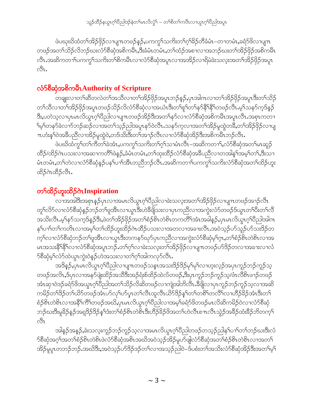ဖဲပဃုဃိထံတၫ်အိဉ်ဖိုဉ်လၫပျ႑တဖဉ်နှဉ်ႇပကကွ႑်သကိႏတ႑်၀ှဲဒိဉ်တီခံမံၤ–တၢတမံၤႇခရံာ်ဖိလၢပျ႑ာ တဖဉ်အတ<sup>၎</sup>သိဉ်လိဘဉ်ဃးလံာ်စီဆုံအစိကမိၤႇဒိးခံမံၤတမံၤႇတၫ်ထံဉ်အစၫလၫအဘဉ်ဃးတၫ်အိဉ်ဖှိဉ်အစိကမိၤ လီၤႉအဆိကတ႑ၢ်ပကက္ဂ<sup>႑</sup>သကိႏတၫ်စိကမိၤလၢလံာ်စိဆုံအပူၤလၢအအိဉ်လၢရိမဲခဲးသလုံးအတၫ်အိဉ်ဖိုဉ်အပူၤ 81.

# လံာ်စိဆုံအစိကမ်ိဳၤAuthority of Scripture

ာ<br>တချူးလၢတၫ်ဆီတလဲတၫ်အသိလၢတၫ်အိဉ်ဖှိဉ်အပူၤဘဉ်နဉ်,ပှၤအါဂၤလၢတၫ်အိဉ်ဖှိဉ်အပူၤဒီးတၫ်သိဉ် တၫ်သီလၢတၫ်အိဉ်ဖှိဉ်အပူၤတဖဉ်သိဉ်လိလံာ်စီဆုံလၢအယံၤဒီးတၢ်စူၫ်တၫ်နှာ်နိ<sup>၎</sup>နိုၫ်တဖဉ်လီၤ.မ့<sup>၎</sup>သနာ်ကဲ့ဒ်နဉ် ဒီး,ပတဲသ့လၢပှၤမၤလိယွၤဂ့ါပီညါလၢပျ႑ာတဖဉ်အိဉ်ဒီးအတၫ်နဉ်လၢလံာ်စီဆုံအစိကမီၤအပူၤလီၤ.အစှၤကတၢ ်မှ်လနာ်ခဲလၫာ်ဘဉ်ဆဉ်လၢအတ်သွဉ်ညါအပူၤနာ်ဝဲလီၤႉသနာ်က့လၢအတ်အိဉ်မှုထွဲတခ်ိဳႇတၢ်အိဉ်ဖိုဉ်လၢပျ πဟံးန1်ဝဲအခ်ီပညီလၢအိဉ်မူထွဲဝဲ,တဒ်သိးဒီးတ1်အၫဉ်လီၤလၢလံာ်စီဆုံအိဉ်ဒီးအစိကမိၤဘဉ်လီၤ.

ဖဲပဃိထံကွౕကၫ်ကီတౕၢခဲအံၤႇပကကွౕၢသကိႏတၤ်ဂ့ၤ်သၢမံၤလီၤ–အဆိကတၢၤ်ႇလံာ်စီဆှံအတၤ်မၤဆူဉ် ထိဉ်/ထိဉ်ဂဲၤပသးလၢအဆၢကတိႝၤ်ဖဲနဉ်,ခံမံၤတမံၤႇတ႑်ထုးထိဉ်လံာ်စီဆုံအခ်ီပညီလၢတအါန႑်အမ့ၢ်တ႑်,ဒီးသၢ မံၤတမံၤႇတၫ်တဲလၢလံာ်စိဆုံနဉ်ပန႑်ပၫါအိၤတညီဘဉ်လိၤႉအဆိကတ႑ါပကက္ဂါသက်ိးလံာ်စိဆုံအတ႑်ထိဉ်ဟူး ထိဉ်ဂဲၤထိဉ်လီၤ.

# တ<sup>ှ</sup>ထိဉ်ဟူးထိဉ်ဂဲၤInspiration

လ၊အအါဒီးအစုၤန္ဉာိပုၤလ၊အမၤလိယ္မၤဂ့ၢိပီညါလ၊ခဲးသလ့းအတၫ်အိဉ်ဖိုဉ်လ၊ပျ႑ာတဖဉ်အၫဉ်လီၤ တူၫ်လိ5်လၫလံ5်စီဆုံနဉ်ဘဉ်တၫ်ဖူအီၤလၫယွၤ<sup>ဒြိဳး</sup>ဟဲ<sup>8ွ</sup>ဖြသးလၢပှၤကညီလၫအကွဲးလံ5်တဖဉ်ဒ်ယွၤတၫ်ပီးတၫ်လီ အသိးလိ1.မ့်)နဉ်သက့ဒ်နဉ်ဒီး,ဖဲတ ်အိဉ်ဖိုဉ်အတ ်စံဉ်စိၤတဲစိၤတကတိ ်ဒာံၤအခါနဉ်,ပုၤမၤလိယ္လၤဂ့်)ပိညါအါဂၤ နှၤ်ပၢၤ်တၤ်ကတိၤလၢအမ့ၤ်တၤ်ထိဉ်ဟူးထိဉ်ဂဲၤထိဉ်ပသးလၢအတလၢအခၢးလီၤႉအဝဲသ့ဉ်ပာ်သူဉ်ပာ်သးဒိဉ်တ က့်လာလံာ်စီဆုံဘဉ်တၫ်ဖူအိၤလာယွာဒီးတကနာ်ဃုာ်ပှာကညီလာအကွဲးလံာ်စီဆုံမ့<sup>၎</sup>ဂ္ဂာ,တၢ်စံဉ်စိၤတဲစိၤလာအ မၤအသးနိ<sup>႖ဇ္ဇြ</sup>ိုလၢလံာ်စီဆုံအပူၤဘဉ်ႉတၢ်ဂ့ၢ်လၢခဲးသလူးတၫ်အိဉ်ဖှိဉ်လၤပျ႑ာတဖဉ်ပာ်ဒိဉ်တလၢအခၢးလၢလံ ာ်စီဆုံမှါလံာ်ထဲယွာကွဲးဝဲနဉ်ဟဲအသးလၢတၫ်ဂ့ၢ်အါကလုာ်လီာ.

အဒိန္5,ပုၤမၤလိယ္မၤဂ့ౕါ၀ီညါလၫပျ႑ာတဖဉ်သနၤာအသးဒိဉ်ဒိဉ်မှၤ်မှၤ်လၫဟူးလ့ဉ်အပုၤကူဉ်ဘဉ်ကူဉ်သ့ တဖဉ်အလိၤႇဒ်ပုၤလၢအနှာ်ဖျံးထိဉ်အသိဒီးအဉ်ရံးစ်ထိဉ်ထဲလ်တဖဉ်ႇဒီးပုၤကူဉ်ဘဉ်ကူဉ်သ့/ဖံၤလီစိၤဖၫဉ်တဖဉ် အံၤဆုၢ၀ဲဒဉ်ခရံာ်ဖိအယွာၤဂ့ౕၢိ၀ိညါအတၤ်သိဉ်လိဆိတဖဉ်လၢကျဲအါဘိလီၤႉဒီဖျိလၢပုၤကူဉ်ဘဉ်ကူဉ်သ့လၢအဆိ ကမိဉ်တၫ်ဒိဉ်တ႑်ယိဉ်တဖဉ်အံၤဟ်လုၤ်ဟ်ပ္ပ္၊တ႑်လီၤထူလီၤယိဉ်ဒိဉ်နှၤ်တ႑်တစိၤ်တလီၤ်လၢဟိဉ်ခိဉ်အံၤဒီးတ႑် စံဉ်စိၤတဲစိၤလၢအနိ<sup>၎</sup>ကိြိကဖဉ်အဃိႇပုၤမၤလိယ္ဂၤဂ့ါပီညါလၢအမ့ါ်ခရံာ်ဖိတဖဉ်မၤလိဆိကမိဉ်ဝဲလၢလံာ်စီဆုံ ဘဉ်ဃးဒီးမူ<sup>8</sup>ဉ်နဉ်အရှ<sup>8</sup>ဉ်<sup>8</sup>ဉ်နှ််ားတ်စစ်ဉ်စိၤတဲစီၤဒီးဟိဉ်ိန်ဉ်ဖိအတ်ယဲလီၤစ πလီၤသွဲဉ်အနှိဉ်ထံးနိဉ်ဘိတက့််၊  $\frac{1}{2}$ 

အါနဉ်အနဉ်,ခဲးသလ့းကူဉ်ဘဉ်ကူဉ်သ့လၢအမၤလိယွၤဂ့ါပီညါတဖဉ်တသ့ဉ်ညါန<်ပၢါတၫ်ဘဉ်ဃးဒီးလံ ာ်စီဆုံအဂ္ဂါအတၫ်စံဉ်စိၤတဲစိၤဖဲလံာ်စိဆုံအစိၤအဃိအဝဲသုဉ်အိဉ်မူပာ်ဖျဲလံာ်စိဆုံအတၫ်စံဉ်စိၤတဲစိၤလၢအတ႑် အိဉ်မူပူၤတဘဉ်ဘဉ်ႉအဃိဒ်ီးႇအဝဲသ့ဉ်ပာ်ဒိဉ်ဒဉ်တ႑်လၢအသ့ဉ်ညါဝဲ–ဒ်ပစံးတ႑်အသိးလံာ်စီဆုံအိဉ်ဒီးအတ႑်မှ႑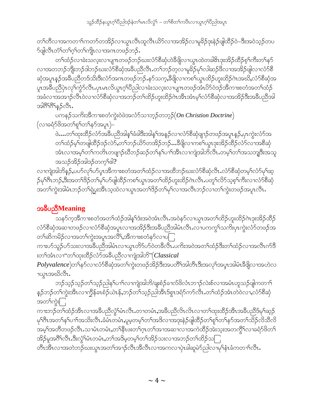သူဉ်ထိဉ်နယွာဂ့ါ်ပီညါဒဉ်နဲတါမာလိလွံ1် – တါစိတါကပီၤလၢယွာဂ့ါပီညါအပူာ

တၫ်တိလၢအကတၫၫ်ကတာ်တအိဉ်လၢယွၤလိၤထူလိၤယိာ်လၢအအိဉ်လၢမူခိဉ်ဒုးနဲဉ်ဖျါထိဉ်ဝဲ–ဒိးအဝဲသ့ဉ်တပ ာ်ဖျါလီၤတံ်ါတၫ်ဂ့ါတ႑်ကျိုးလၢအဂၤတဖဉ်ဘဉ်.

တၫ်ထံဉ်လၢခဲးသလုံးလၢပျπတဖဉ်ဘဉ်ဃးလံာ်စီဆုံဟဲခ်ိဖျိလၢယွၤထဲတခါ&ၤဒုးအိဉ်ထိဉ်စ့ၢ်ကိီးတ႑်နှာ် လၢအတဘဉ်ဘိုးဘဉ်ဒါဘဉ်ဃးလံာ်စိဆုံအခ်ိဳပညီလီၤ.တၫ်ဘဉ်တ့လၢမှုခိဉ်မှၢ်လါဆဉ်ဖိလၢအအိဉ်ဖျဲလၢလံာ်စိ ဆုံအပူၤန္ဉာ်အခ်ဳပညီတဒ်သိးဒီးလံာ်အဂၤတဖဉ်ဘဉ်ႉနာ်သက့ႇခ်ဳဖျိလၢကစၫ်ယွၤထိဉ်ဟူးထိဉ်ဂဲၤအဃိႇလံာ်စိဆုံအ ပူးအခ်ဳပညီပှဲၤလှၢ်ကွံာ်လီၤႉပုၤမၤလိယ္ဂၤဂ့ၢ်ပိညါလၢခဲးသလ္းလၢပျ႑ာတဖဉ်အံၤပိာ်ဝဲဒဉ်အိကၢးစတံအတ႑်ထံဉ် အခံလาအအာ}်လီၤ၀ဲလาလံာ်စိဆုံလาအဘဉ်တ႑်ထိဉ်ဟူးထိဉ်ဂဲၤအီၤအီၤမ့ှ်လံာ်စိဆုံလาအအိဉ်ဒီးအခ်ိပညီအါ အါဂိ<sup>ရဂ္ဂ</sup>န္၄လိၤ.

ပါတနဉ်သကိုးအိကၢးစတံကွဲးဝဲဖဲအလံာ်သၢဘ္ဉာ်တဘုဉ် $($  On Christion Doctrine $)$ (လၢခရံှာ်ဖိအတ႑်စူ၂်တ႑်နှာ်အပူၤ)–

ဖဲ…တ<sup>ြ</sup>ထုံးထိဉ်လံာ်အခ်ဳပညီအါန5်ျခံခါဒီးအါန5်အနဉ်လၫလံာ်စီဆုံဖျာဉ်တဖဉ်အပူၤန္<mark>ဉ်,</mark>ပှၤကွဲးလံာ်အ တၫ်ထံဉ်မ့ၢ်တဖျါထိဉ်ဒဉ်လဲ႒်ႇတၫ်ဘဉ်ယိ႒်တအိဉ်ဘဉ်…ဒီဖျိလၫကစၢ်ယွၤဒုးအိဉ်ထိဉ်လံာ်လၢအစိဆုံ အံၤလၢအမ့္ပ်ာက်ကတိၤတဖျာဉ်ဃိဘဉ်ဆဉ်တ႑်နှၤ်ပၢၤ်အီၤလၢကျဲအါဘိလီၤ.တမ့္ပ်တ႑်အသဘျဒီးအသူ အသဉ်အိဉ်အါဒဉ်တက့်ရုပ္ပါ?

လၫကျဲအါဘိန္ဉ်,ပဟ်လှၤ်ဟ်ပ္ၤအိကၢးစတံအတၤ်ထံဉ်လၢအထိဘဉ်ဃးလံာ်စီဆုံလီၤႉလံာ်စီဆုံတမ့ၤ်လံာ်မှၤ်ဆ့ ဉ်မုၢိဂီၤဘဉ်,ဒီးအတၢ်ဒိဉ်တၢ်မု၊်ပာ်ဖျါထိဉ်ကစၢ်ယွၤအတၢ်ထိဉ်ဟူးထိဉ်ဂဲၤလီၤ.ပတူၢ်လိ5်သ့စ့ၢ်ကီးလၢလံ5်စီဆုံ အတၫ်ကွဲးအါမံၤဘဉ်တၫ်ရဲပွးအိၤသ့ထဲလၫယ္ပၤအတ႑်ဒိဉ်တ႑်မှ႑်လ႑အလီၤဘဉ်လ႑တ႑်ကွဲးတဖဉ်အပူၤလီၤ.

# အခ်ဳပညီMeaning

\_<br>သန>်က္ခအိကၢးစတံအတၫ်ထံဉ်အါန္ၫ်ဒံးအဝဲအံၤလီၤႉအဝဲန>်လၢယ္ပၤအတ႑်ထိဉ်ဟူးထိဉ်ဂဲၤဒုးအိဉ်ထိဉ် လံာ်စီဆုံအဆၫတဖဉ်လၫလံာ်စီဆုံအပူၤလၫအအိဉ်ဒီးအခ်ီပညီအါမံၤလီၤႉလ႑ပကကွ႑်သက်းပုၤကွဲးလံာ်တဖဉ်အ တၫ်ဆိကမိဉ်လၢအတၫ်ကွဲးအပူၤအလိိၤ်အီကၢးစတံနာ်လၢပ**ြ** 

ကၢးဟ်သူဉ်ဟ်သးလၢအခ်ိဳပညီအါမံၤလၢယွၤတိ9်ဟ်ဝဲတခ်ီလီၤ.ပကိးအဝဲအတၫ်ထံဉ်ဒီးတၫ်ထံဉ်လၢအလီၤက်ဒီ းတၫ်အံၤလၫ''တၫ်ထုးထိဉ်လံာ်အခ်ီပညီလၫကျဲအါဘိ" $\big(Classical$ 

*Polyvalence*)တ<sup>ို့</sup>နှ5်လၫလံာ်စီဆုံအတ<sup>ြ</sup>ကွဲးတဖဉ်အိဉ်ဒီးအပတိႝၤ်အါတီၤဒီးအလုၤ်အပ္ပ္ပၤအါမံၤဒီဖျိလၢအဟဲလ ၢယ္ဂၤအဃိလီၤ.

ဘဉ်သ့ဉ်သ့ဉ်တ<sup>၎</sup>သ့ဉ်ညါန<sup>ှ</sup>ပၫ်လၫကျဲအါဘိ/ချးစံဉ်ခၫလ်ဖိလံၤဘၫဉ်လဲးစ်လၢအမံၤဟူသဉ်ဖျါကတၢ<sup>၎</sup> န5ုဘဉ်တၫ်ကွဲးအိၤလၢက္ခ်ိန်ခၤစံဉ်ယဲၤန်,ဘဉ်တ႑်သ့ဉ်ညါအိၤ§စွၤဒရံဉ်ကဉ်လိၤႉတ႑်ထံဉ်အံၤတဲဝဲလၢႇလံဉ်စိဆုံ အတ¶ကွဲးြ

ကၢးဘဉ်တၫ်ထံဉ်အီၤလၢအဓိပညီလွံၫ်မံၤလိၤ.တၢတမံၤ,အခ်ိပညီလိၤလိၤလၢတၫ်ထုးထိဉ်အိၤအခ်ိပညီဒ်မှၢ်ဆ့ဉ် မှ<sup>ု</sup>ဂီးအတ<sup>ှ</sup>နှၤ်ပျားအသိးလီး ခံမံုတမံုးပူမှတမ့္ပါတၫ်အဒိလၤအဒုံးနဲဉ်ဖျထိဉ်တ႑်စူၫ်တ႑်နှာ်အတ႑်သိဉ်လိုသိလိ အမ့်ၫအတိတဖဉ်လီး သၢမံၤတမံၤ,တ႑်နီၤဖးတ႑်ဂ္ၤတ႑်အၢအဆ႑လၢအကဲထိဉ်အဲးသူးအတကွိႝ လၢခရံှာ်ဖိတ႑် အိဉ်မူအဂီ်ါလီၤ.ဒီးလွံ်ါမံၤတမံၤ,တၢ်အဒိမ္ခတမ့္ပ်တၫ်အိဉ်သးလၢအဘဉ်တၫ်ထိဉ်သ $\lceil \rceil$ 

တိၤအိၤလၢအတဲဘဉ်ဃးယွၤအတၫ်အၫဉ်လိၤအိလိၤလၢအကလၢပှဲၤခါဆူမဲ၁်ညါလၢမှၫ်နံၤခံကတ႑်လိၤႉ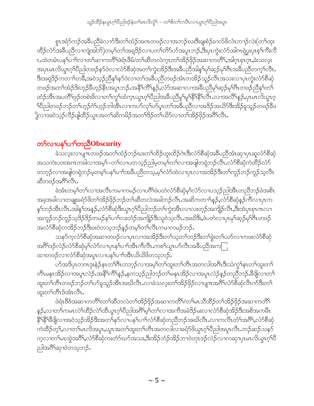စွာဒရံာ်ကဉ်အခ်ိဳပညီခဲလၢာ်ဒီးတၫ်ထံဉ်အဂာတဖဉ်လၢအဘဉ်ဃးဒီးချးစံဉ်ခၢလ်ဖိလံၤဘၢဉ်လဲး(တၫ်ထုး ထိဉ်လံာ်အခ်ိပည်လၫကျဲအါဘိ)တမ့္ပ်တ႑်အရှုဒိဉ်လ႑ပတ႑်တိဉ်ပာ်အပူၤဘဉ်ႇဒီးပှၤကွဲးလံာ်အါကၡဲပွးပှၤစ့႑်ကီးလိ 1.ထဲတမံၤပန1်ပၫါလၢတၫ်ဆၢကတိႝၤ်ဖဲရံၤဖိဳမ်/တ႑်ဆိိတလဲက္ၤတ႑်အိဉ်ဖိုဉ်အဆၢကတိိၤ်,အါဂ္ၤစုၤဂ္ဂ၊,ခဲးသလူး အပုၤမၤလိယ္ဂၤဂ့ါ၀ိညါတဖဉ်နဉ်ဝဲလ႑လံာ်စိဆုံအတ႑်ကွဲးအိဉ်ဒီးအခ်ီပည်အါန္ ၊မု၊်ဆ္ဥမု၊ိဂီၤအခ်ီပညီတက္ ၊လိၤႉ <u>့</u><br>ဒီးအရှ3်ဉ်ကတ႑ာ်တခ်ိဳႇအဝဲသုဉ်ညီနှၤ်နှာ်ဝဲလ႑တ႑်အခ်ဳပညီတဖဉ်အံၤတအိဉ်သူဉ်လီၤအသးလ႑ပှၤကွဲးလံာ်စီဆုံ တဖဉ်အတ<sup>ရ</sup>အဲ့ဉ်ဒိးဟူဉ်ခီဟူဉ်နီၤအပူၤဘဉ်ႉအနိ<sup>ု</sup>ကိြန္ဥ်ႇလံာ်အဆ႑လ႑အခ်ဳပညီမှ<sup>ရ</sup>ဆူဉ်မှ<sup>ရ</sup>ဂီၤတဖဉ်ညီနှ<sup>ရ</sup>တ<sup>ရ</sup> ထံဉ်အီၤအပတိႝၢဖုဉ်တစဲးဖိလၤတၫ်ကွၫ်ထံကၤယွၤဂ့ၢ်ပီညါအခ်ီပညီမူၫမူၫနိ<sup>႖</sup>နိ႑နိ႑လီၤႉလၤအလိႝၫန္ဉၨာဴပှၤမၤလိယွၤဂ့ ႝ႞ၒႝညါတဖဉ်ဘဉ်တ<sup>ှ</sup>ုတှဉ်ဂံ<sup>ု</sup>ဟ့ဉ်ဘါအီၤလၫကပ<sup>5</sup>လု<sup>ရ</sup>ပ9်ပုၤတ<sup>ရအ္ဆိ</sup>ပညီလ႑အဒိဉ်အယိ5်ဒီးအိဉ်ခူသူဉ်တဖဉ်နီဖ ှိုလၢအဝဲသ့ဉ်လိဉ်ဖျဲထိဉ်ယွၤအတ႑်ဆိကမိဉ်အတ႑်ဒိဉ်တ႑်ယိဉ်လ႑တ႑်အိဉ်ဖိုဉ်အဂိၤ်လီၤ.

# တ႑်လ႑ပန<sup>ြ</sup>ပ႑ေတညီObscurity

ဲသလူးလၢပျπတဖဉ်အတ<sup>၎</sup>ထံဉ်ဘဉ်ဃးတ<sup>၎</sup>ထိဉ်ဟူးထိဉ်ဂဲၤဒီးလံာ်စီဆုံအခ်ီပညီအံၤဆုၢပှၤဆူလံာ်စီဆုံ အသကဲးပ၀းအဂၤတခါလၫအမ့<sup>၎</sup>–တ႑်လ႑ပတသ့ဉ်ညါမ့တမ့<sup>၎်</sup>တ႑်လ႑အဖျါတရှဲဘဉ်လီၤႉလံာ်စိဆုံကဲထိဉ်လံာ် တဘ့ဉ်လၢအဖျိတရဲဘဉ်မ့တမ့်၊ပန<sup>ှ</sup>ပၢ၊်အခီပညီတသ့ႇမ့်၊လံာ်ထဲလၢပုၤလၢအအိဉ်ဒီးတ<sup>ှ</sup>ကူဉ်ဘဉ်ကူဉ်သွလီၤ ဆီတဖဉ်အဂိ်<sup>ု</sup>လီၤ.

ခဲအံၤတမ့ါတ1်လၢအလီၤကမၢကမဉ်လၢပဂိါဖဲပတဲလံာ်စိဆုံမ့ါလံာ်လၢပသ့ဉ်ညါအိၤတညီဘဉ်ဖဲအစိၤ အခ့အခါလၫတချုးခရံာ်ဖိတၫ်အိဉ်ဖိုဉ်ဘဉ်တၫ်ဆီတလဲအခါဘဉ်လီၤႉအဆိကတ႑)နှဉ်ႇလံာ်စီဆုံနဉ်ကီလ႑ပုၤက နှၤ်ဘဉ်အီၤလီၤ.အါန1်အနဉ်,လံာ်စီဆုံဒီးယွၤဂ့ါပီညါဘဉ်တၤ်ကွဲးအီၤလၢလးတ့ဉ်အကျိဉ်လီၤ,ဒီးထဲပှၤစုၤဂၤလၢ အကူဉ်ဘဉ်ကူဉ်သ့ဒိဉ်ဒိဉ်တဖဉ်န<sup>ှ</sup>ပၫ်္ဂလးတံဉ်အကျိဉ်ဒီးသူဝဲသ့လီၤ.အဃိဒီး,ဖဲပတဲလၢပုၤမှါဆ့ဉ်မှ<sup>ုဦ</sup>၊တဖဉ် အလံာ်စိဆုံတအိဉ်ဘဉ်ဒီးဖးဝဲတသ့ဘဉ်နဉ်တမ့်္ဂတၤ်လီၤကမၢကမဉ်ဘဉ်…

သန>်က္နလံ>်စီဆုံအဆ႑တဖဉ်လ႑ပုၤလ႑အအိဉ်ဒီးတ႑်သူတ႑်ဘဉ်ဒီးတ႑်ခွဲးတ႑်ယာ်လ႑ကဖးလံ>်စီဆုံ အဂိ်္ဂါဒဉ်လဲဉ်လံာ်စီဆုံမ့်ၫလံာ်လၢပုၤနှၤ်ပၢၤ်အိၤကိလိၤကစၤ်ယွၤဟ်လီၤအခ်ီပညီအက ထၫတဖဉ်လၫလံာ်စီဆုံအပူၤလ႑ပန1်ပ႑ါအီၤယိယိဖိတသ့ဘဉ်ႉ

ပာ်အဒိပုၤတဂၤဒုးနဲဉ်နၤတၫ်ဂီၤတဘ့ဉ်လၢအမှ့ၢ်တၫ်ထူးတၫ်တိၤအတလါအဂ်ီၤဒီးသံကွၢ်နၤတၫ်ထူးတ႑် တိၤမနုၤအိဉ်လၢအပူၤလဲဉ်ႉအနိ<sup>၎</sup>ကိ်<sup>ရ</sup>နဉ်ႇနကသ့ဉ်ညါဘဉ်တ<sup>ျ်</sup>မနုၤအိဉ်လၢအပူၤလဲဉ်နဉ်တညီဘဉ်ႉဒီဖျိလၤတ<sup>၎</sup> ထူးတၫ်တိၤတဖဉ်ဘဉ်တၫ်ပာ်ခူသူဉ်အိၤအဃိလီၤႉလၢခဲသလူးတၫ်အိဉ်ဖိုဉ်လၢပျၤာအဂိ်ၢလံာ်စီဆုံလီၤက်ဒီးတ႑် ထူးတ႑်တီၤဒ်အံၤလီၤ.

ဖဲရုံ၊ဖိဖ်အဆၢကတိိ<sup>ု</sup>/တ<sup>၎</sup>ဆိတလဲတ<sup>၎</sup>အိဉ်ဖိုဉ်အဆၢကတိိ<sup>ု</sup>/တ<sup>၎</sup>မၤသိထိဉ်တ႑်အိဉ်ဖိုဉ်အဆၢကတိိ<sup>၎</sup> နဉ်,လၢတၫ်ကမၤလဲၫ်ထိဉ်လဲၫ်ထိယွၤဂ့ၢိပိညါအဂ်ိၢမ့ၢ်တ႑်လၢအကိအခဲဒိဉ်မးလၢလံာ်စိဆုံအိဉ်ဒီးအစိအကမိၤ နို<sup>ုန္စ</sup>ိုးဒီဖျိလၫအဝဲသုဉ်အိဉ်ဒီးအတ<sup>ြ</sup>န5်လ႑ပန<sup>ှ</sup>ပ႑်လံာ်စီဆုံတညီဘဉ်အဃိလီၤ.လ႑ကလီၤတႆၤ်အဂီ်ၤ,လံာ်စီဆုံ ကဲထိဉ်တ့ ််ာလာတာမာယိုအပူး ယွားအတာထူးတာတိုးအတလါလာခရံာ်ဖိယွာ ဂေါ်ထဲခြာမျာလီး ဘဉ်ဆဉ်သန5် က့လၢတၫ်မၤထွဲအဂ်ိဳ1,လံာ်စီဆုံကးတံာ်ဃာ်အသး,ဒီးအိဉ်ဘံဉ်အိဉ်ဘ႑ဝဲတုၤဒဉ်လဲဉ်လၢကဆုၢပှၤမၤလိယွၤဂ့ၢိပီ ညါအဂ်ိဳ<sup>ရ</sup>ဆု1၀ဲတသ့ဘဉ်.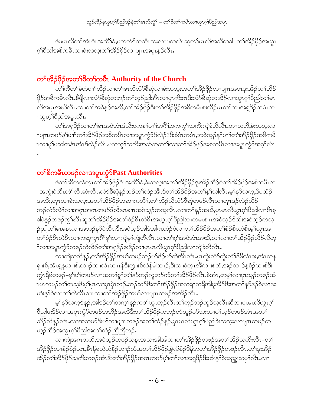ဖဲပမၤလိတၫ်အံၤဝံၤအလိႝၤ်ခံ,ပကတဲ႒်ကတိၤသးလ႑ပကလဲၤဆူတၫ်မၤလိအသိတခါ–တၫ်အိဉ်ဖိုဉ်အယွၤ ့ဂ်ပိညါအစိကမိၤလၢခဲးသလူးတၫ်အိဉ်ဖိုဉ်လၢပျπအပူၤန္ဉာလိၤ.

# တ<sup>ှ</sup>အိဉ်ဖိုဉ်အတ<sup>ှ</sup>စိတှကြိမ် Authority of the Church

ား<br>တိကိတ်ရဲတဲပော်ထိုင်လာတဲမြာလိုလုံကိစိဆုံလာခဲးသလုံးအတ်အြိဉ်ဖိုဉ်လာပျားအပူးဒုံးအိဉ်တာ်အိဉ် ဖိုဉ်အစိကမီၤလီၤႉဒီဖျိလၢလံာ်စီဆုံတဘဉ်တၫ်သည်ညါအီၤလၢပုၤကိႏၵၤဒီးလံာ်စီဆုံတအိဉ်လၢယ္ဂၤဂ့ၫ်ပီညါတၫ်မၤ လိအပူၤအဃိလီၤႉလၢတၫ်အဝဲန္ဉာ်အဃိႇတၫ်အိဉ်ဖိုဉ်ဒီးတၫ်အိဉ်ဖိုဉ်အစိကမိၤစးထိဉ်မၤတၫ်လၢအရှဒိဉ်တမံၤလ 1ယ္ဂၤဂ့<sup>၎</sup>ပီညါအပူၤလီၤ.

တၫ်အရုဒိဉ်လၢတၫ်မၤအဝဲအံၤဒ်သိဴးပကန႑်ပၢၤ်အဂ်ိဳ၊,ပကကွၤ်သက်ိးကျဲခံဘိလီၤႉတၢတဘိ,ခဲးသလုံးလ ၢပျπတဖဉ်န<sup>ှ</sup>ပၫ်ါတၫ်အိဉ်ဖှိဉ်အစိကမိၤလၢအပူၤကွံာ်ဒ်လဲဉ်?ဒီးခံမံၤတမံၤႇအဝဲသ့ဉ်နှ်ပၢါတၫ်အိဉ်ဖှိဉ်အစိကမိ ၤလၢမုၫ်မဆါတနံၤအံၤဒ်လဲဉ်လီၤ.ပကကွ<sup>၎</sup>သကိႏၶာဆိကတၫ<sup>ှ</sup>လၫတၫ်အိဉ်ဖိုဉ်အစိကမိၤလၢအပူၤကွာ်အဂ္ဂၢ်လီၤ

### တ<sup>ှ</sup>စိကမိၤတဖဉ်လၢအပူၤက္ဂံာ်Past Authorities

ဖဲတၫ်ဆီတလဲက္ၤတၫ်အိဉ်ဖိုဉ်ဝံၤအလိၢ်ခံ,ခဲးသလူးအတၫ်အိဉ်ဖိုဉ်ဒုးအိဉ်ထိဉ်ဝဲတၫ်အိဉ်ဖိုဉ်အစိကမီၤလ ၫအကွဲးဝဲလီၤတံၤ်လီၤဆဲးလီၤႉလံာ်စီဆုံန္ဦဘဉ်တၤ်ထံဉ်အီၤဒ်တၤ်အိဉ်ဖိုဉ်အတၤ်နၤ်သါလီၤ.မ့ၤ်နာ်သက္,ဒ်ပထံဉ် အသိႏႇတုၤလၢခဲးသလုံးအတၫ်အိဉ်ဖိုဉ်အဆၢကတိိၢႇတၫ်သိဉ်လိလံာ်စီဆုံတဖဉ်လီၤဘၢတုၤဒဉ်လဲဉ်လိဉ် ဘဉ်လံာ်လဲ<sup>ရ</sup>လၢအဂုၤအဂၤတဖဉ်§သိးမၤစπအဝဲသ့ဉ်ကသဲ့လီၤႉလၢတၫ်နဉ်အဃိႇပုၤမၤလိယ္ဂၤဂ့ၢ်ဝိညါလၢစိၤခ့ ခါဖဲန္ဉာိတဖဉ်ကွ<sup>၎</sup>ဃိၤဆူတ<sup>၎</sup>အိဉ်ဖိုဉ်အတၫ်စံဉ်စိၤတဲစိၤအယွၤဂ့<sup>၎</sup>ပိညါလၫကမၤစ႑ာအဝဲသ့ဉ်ဒ်သိးအဝဲသ့ဉ်ကသ့ ဉ်ညါတၫ်မၤမနုၤလၢအဘဉ်နဉ်ဝဲလီၤ.ဒီးအဝဲသ့ဉ်အါဒံအါဂၤထံဉ်ဝဲလၢတ႑်အိဉ်ဖိုဉ်အတ႑်စံဉ်စိၤတဲစိၤမ့္ပ်ယွၤအ တၫ်စံဉ်စိၤတဲစိၤလၢကဆုၢပုၤဂိၢိမုၫ်လၢကျဲမ့ၫ်ကျဲတီလီၤႉလၢတၫ်ဂ့ၫ်အဝဲအံၤအဃိႇတ႑်လၢတ႑်အိဉ်ဖိုဉ်သိဉ်လိတ့ ်လၢအပူးကွံာ်တဖဉ်ကဲထိဉ်တၫ်အရှုဒိဉ်ဖးဒိဉ်လၢပုၤမၤလိယ္ဇၤဂ့ၢ်ပိညါလၢကျဲ့ခံဘိလီၤ.

လၫကျဲတဘိန္ဥ်,တၫ်အိဉ်ဖိုဉ်အပ႑်တဖဉ်ဘဉ်ပာ်ဒိဉ်ပာ်ကဲအီၤလီၤ.ပုၤကွဲးလံာ်ကွဲးလဲ႑်ဒ်ဖိလံၤခႏႇအံၤကန္ ၡၢးစ်,အံၤရူနယၢးစ်,ထ႑ာ်ထၢလံၤယ႑ာန်ဒီးကၠၫးစ်ထံန်မါထ႑ာ်,ဒီးလ႑ခံကူၤအိက႑းစတံ,အဉ်သ႑ာ်နှစံဉ်ယ႑စ်ဒိး က္ခံၤရိမ်တဖဉ်–မ့<sup>၎</sup>ပၫ်တဖဉ်လၢအတၫ်စူၫ်တၫ်နှာ်ဘဉ်ကူဘဉ်က်တၫ်အိဉ်ဖိုဉ်လီၤႉခဲအံၤႇတမ့ၢ်လၢပုၤသ့ဉ်တဖဉ်အံ ၤမၤကမဉ်တ<sup>ရ</sup>တသွဒီးမ့<sup>ရ</sup>ပှၤလၢပုၤပှၤဘဉ်ႉဘဉ်ဆဉ်ဒီးတ<sup>ရ</sup>အိဉ်ဖိုဉ်အကရၢကရိအါဖုအိဉ်ဒီးအတ<sup>5</sup>နဉ်ဒဉ်ဝဲလၢအ ဟံးန5ါဝဲလၫတ<sup>ှ</sup>ဟဲလီၤစ႑ာလၫတ<sup>ှ</sup>အိဉ်ဖှိဉ်အပါလၫပျ႑ာတဖဉ်အအိဉ်လီၤ.

မ့်)န5်သက့ဒ်နဉ်,အါဒဉ်တ ်တက့ ်နဉ်ကစ ်ယွာဟ့ဉ်လီၤတ ်ကူဉ်ဘဉ်ကူဉ်သ့လီၤဆီလ ၊ပုၤမၤလိယွၤဂ့ ်၊ ဝီညါဖးဒိဉ်လၫအပူၤကွႆာ်တဖဉ်အအိဉ်အဃိဒီးတ႑်အိဉ်ဖိုဉ်ကဘဉ်ပာ်သူဉ်ပာ်သးလ႑ပ႑်သွဉ်တဖဉ်အံၤအတ<sup>ြ</sup> သိဉ်လိန္ဉာ်လီၤႉလၢအတဟ်ဒီးပါလၢပျπတဖဉ်အတါထံဉ်နှဉ်ႇပုၤမၤလိယ္ဂၤဂ့ါပီညါခဲးသလူးလၢပျπတဖဉ်တ ဟ့ဉ်ထိဉ်အယွπ့ဂ်ပိညါအတ႑်ထံဉ်ကြံကြံဘဉ်.

လၫကျဲအဂၤတဘိႇအဝဲသ့ဉ်တဖဉ်သန္ၤအသးအါအါလ႑တ႑်အိဉ်ဖိုဉ်တဖဉ်အတ႑်အိဉ်သကိးလိၤ–တ႑် အိဉ်ဖှိဉ်လၢနံဉ်စံဉ်ယာ,နီၤန်စထဲထံနိဉ်ဘ႑ာ်လ်အတၤ်အိဉ်ဖှိဉ်,ခွဲလ်စံဉ်ဒိန်အတၤ်အိဉ်ဖှိဉ်တဖဉ်လီၤ.တၤ်ဒုးအိဉ် ထိဉ်တၫ်အိဉ်ဖိုဉ်သက်းတဖဉ်အံၤဒီးတၫ်အိဉ်ဖိုဉ်အဂၤတဖဉ်မှၢ်တၫ်လၢအရှဒိဉ်ဒီးဟံးနှၤ်ဝဲသညူးသပုၢ်လီၤႉလၢ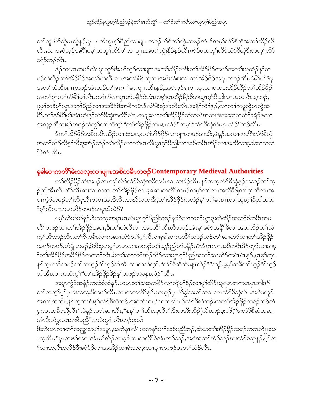တၫ်လူၤပိ5်ထွဲမၤထွဲနၵ်ႇပှၤမၤလိယွၤဂ့ၢိပီညါလၢပျ႑ာတဖဉ်ပာ်ဝဲတၢ်ကွဲးတဖဉ်အံၤဒ်အမ့ၢ်လံာ်စီဆုံအတ႑်သိဉ်လိ လီၤႉလၫအဝဲသ့ဉ်အဂ်ိါပမ့ါတတူါလိ5်ပါလ႑ပျ႑ာအတါကွဲးနိုဉ်နှဉ်လီၤက်ဒ်ပတတူါလိ5်လံ5်စိဆုံဒီးတတူါလိ5် ခရံှာ်ဘဉ်လီး.

နံဉ်ကယၤတဖဉ်လဲၤပူၤကွံာ်ဒီးႇပၢိသ့ဉ်လၢပျ႑ာအတ႑်သိဉ်လိဒ်ိးတၢ်အိဉ်ဖိုဉ်တဖဉ်အတ႑်ဃုထံဉ်နှၤ်တ ဖဉ်ကဲထိဉ်တၫ်အိဉ်ဖိုဉ်အတ႑်ဟဲလီၤစ႑ာအတ႑်ပိ႒်ထွဲလ႑အဖိုးသဲစးလ႑တ႑်အိဉ်ဖိုဉ်အပူၤတဖဉ်လီၤႉဖဲမိ႑်ပ႑်ဖံဖု အတၤ်ဟဲလီၤစ႑ာတဖဉ်အံၤဘဉ်တၤ်မၤဂၢၤ်မၤကျ႑ာအီၤန္ဥ်ႇအ၀ဲသူဉ်မၤစ႑ာပုၤလ႑ပကဒုးအိဉ်ထိဉ်တၤ်အိဉ်ဖိုဉ် အတ<sup>ှ</sup>ရှာ်တ<sup>ှ</sup>နာ်မိ<sup>ု့</sup>ပုဂ်လီၤ.တှနာ်လၫပုၤပာ်ပနိဉ်ဝဲအံၤတမ့ှာပုၤဟိဉ်မိဉ်ဖိအယွာၤဂ့ၢ်ပိညါလၢအဟးဂိၤသ့ဘဉ်**,** မ့မ့်ၫတ8်မ့်ၫယ္ယာအဂ္ဂၢိပိညါလၫအအိဉ်ဒီးအစိကမိၤဒ်လံာ်စိဆုံအသိးလိၤအနိ<sup>႖</sup>ကိ်၊န္ဉ်ာ,လ႑တ႑်ကမူထွဲမာထွဲအ ဂြိ1,တ႑်နဉ်မိ႑်ပု႑်အံၤဟံးန္ ႑လံဉ်စီဆုံအလိ႑်လိ႑ႇတချူးလ႑တ႑်အိဉ်ဖိုဉ်ဆီတလဲအသးဒံးအဆ႑ကတိြခရံဉ်ဖိလ႑ အသူဉ်တိသးရn်တဖဉ်သံကွn်တn်သံကွn်"တn်အိဉ်ဖှိဉ်တဲမနုၤလဲဉ်"တမ့n်"လံာ်စီဆုံတဲမနုၤလဲဉ်"ဘဉ်လိၤ $\cdot$ 

ဒ်တၫ်အိဉ်ဖှိဉ်အစိကမီၤအိဉ်လၢခဲးသလ့းတၫ်အိဉ်ဖှိဉ်လၢပျπတဖဉ်အသိး,ဖဲနဉ်အဆၢကတိႝၤလံာ်စီဆုံ အတ႑်သိဉ်လိစ့်ၫက်ိဳးဒုးအိဉ်ထိဉ်တ႑်လိဉ်လ႑တ႑်မၤလိယ္မၤဂ္ဂ်ၫပိညါလ႑အစိကမိၤအိဉ်လ႑အထိလ႑ခ့ခါဆ႑ကတိ ြဲဘံၤလိၤ

### ခ့ခါဆၫကတိႝ်ာခဲးသလ္းလၫပျ႑ာအစိကမိႆာတဖ $\beta$ Contemporary Medieval Authorities

တၫ်အိဉ်ဖိုဉ်ဆဲးအၫဉ်လီၤတူၫ်လိဉ်လံဉ်စီဆုံအစိကမိၤလၢထးခိဉ်လီၤႉနှာ်သက္ခလံဉ်စီဆုံနှဉ်တဘဉ်တၫ်သူ ဉ်ညါအီၤလီၤတႆၢ်လီၤဆဲးလၢကဆုၢတ်ၫအိဉ်ဖိုဉ်လၢခ့ခါဆၢကတိႝၫ်တဖဉ်တမ့ၢ်တ႑်လၢအညီခံဖြတ်ၫ်ဂ့ၢ်ကီလၢအ ှု<br>ကုက္ဂ်ာ်တဖဉ်တၫ်ဘိုရဲအီၤတဝံၤအဃိလီၤ.အဃိသတးဒီး,တၫ်အိဉ်ဖိုဉ်ကထံဉ်နှၤ်တ႑်မၤစ႑ၤလ႑ယ္ပၤဂ့ၤ်ပိညါအတ <u>်က်ကိလာအဟဲထိဉ်တဖဉ်အပူၤဒ်လဲဉ်?</u>

ပမ့္ပ်တဲ့ယိုလိုန္) မဲုးဘလုံးအပုၤမၤလိယ္မွၤဂ့ဴါ၀ီညါတဖဉ်နဉ်၀ဲလ႑ကစ႑်ယ္မွၤဒုးကဲထိဉ်အတ႑်စိကမ်ိဳၤအပ တိႝ႞တဖဉ်လၢတၫ်အိဉ်ဖိုဉ်အပူၤႇဒီးတ႑်ဟဲလီၤစ႑ာအပတိႝၤလီၤဆီတဖဉ်အံၤမ့ၫ်ခရႆာ်အနိ<sup>႖</sup>ဒိလၢအတလိဉ်တ႑်သံ ကွ\်အီၤဘဉ်လီၤႉတ\်စိကမီၤလၢကဆၢတဲာ်တ\ဂ့\်ကီလၢခ့ခါဆၢကတိႝ`်ကဖဉ်ဘဉ်တ\ဆၢတဲာ်လၢတ\်အိဉ်ဖိုဉ် သရဉ်တဖဉ်ႇဘံရိုးတဖဉ်ႇဒီးဖိးမှတမ့်ၫ်ပၤပၤလၢအဘဉ်တ႑်သူဉ်ညါပဉ်ပနိဉ်အီၤဒ်ပုၤလၢအစိကမီၤဒိဉ်တုဉ်လၢအမှ ်က႑်အိဉ်ဖိုဉ်အခိဉ်ဒိဉ်ကတ႑်လီၤ.ဖဲတ႑်ဆ႑တဲ႒်အိဉ်ထိဉ်လ႑ယ္ပၤဂ့ၤ်ပိညါအတ႑်ဆ႑တဲ႒်တမံၤမံၤန္ဉွန်,ပုၤစူၤ်က္၊ နှာ်ကူးတၫ်တဖဉ်တၫ်တဟုဉ်ဂံၫ်ဟုဉ်ဘါအီးလၢကသံကွ¶်,''လံာ်စီဆုံတဲမနုးလဲဉ်?''ဘဉ်ႇမ့မှၤ်တခ်ီတၤ်ဟုဉ်ဂံၤ်ဟုဉ် ဘါအီၤလၢကသံကွ<sup>၎</sup>"တ<sup>၎</sup>အိဉ်ဖိုဉ်<sup>၌</sup>ဉ်န<်ကဖဉ်တဲမနုၤလဲဉ်"လီၤ.

အပူၤကၠႆာ်အနံဉိတဆံခံဆံနဉ်,ယမၤတ<sup>၎</sup>သးခုကစိဉ်လၫကျဲမှ<sup>၎႙ွ</sup>ဉ်လၫမှၢ်ထိဉ်ယူရပၤတကပၤပှၤအါဒဉ် တၫ်တက့်ၫမှၤ်ပုၤခဲးသလူးဖိတဖဉ်လီၤႉလၢတကတိႝၤ်န္ဥာဴႇယဟ့ဉ်ပုၤပိဉ်ခွါသးစၤ်တကလၢလံဉ်စီဆုံလီၤႉအဝဲပတုဉ် အတ႑်ကတိၤႇနာ်က့တဟံးန႑်လံာ်စီဆုံဘဉ်ႉအဝဲတဲယၤႇ''ယတန႑်ပ႑်လံာ်စီဆုံဘဉ်ႉယတ႑်အိဉ်ဖိုဉ်သရဉ်ဘဉ်တဲ ပ္မႈယၤအခ်ဳပညီလီၤ" ဖဲန္ဉာိယတဲဆၢအိၤ,''နန႑်ပၫၤ်အိၤသ့လီၤ" ဒီးယအိးထိဉ်(ယိၤဟဉ်၃း၁၆)''ဖးလံာ်စီဆုံတဆ႑ အံၤဒီးတဲပွးယၤအခ်ီပညီ" အဝဲကွ႑် ယိၤဟဉ်၃း၁၆

ဒီးတဲယၤလၢတၫ်သညူးသပုၫ်အပူၤႇယတဲနၤလံ''ယတန႑်ပ႑ၢ်အခ်ဳပညီဘဉ်ႇထဲယတ႑်အိဉ်ဖိုဉ်သရဉ်တဂၤတဲပွးယ ၤသ့လီၤႉ''ပုၤသးစၫ်တဂၤအံၤမ့ၫ်အိဉ်လၢခ့ခါဆ႑ကတိႝၫ်ခဲအံၤဘဉ်ဆဉ်ႇအဝဲအတ႑်ထံဉ်ဘဉ်ဃးလံာ်စီဆုံန္ဉာ်ႇမ့ၫ်တ <sup>၎</sup>လၢအလီၤပလိဉ်ဒီးခရံာ်ဖိလၢအအိဉ်လၢခဲးသလုးလၢပျπတဖဉ်အတၫ်ထံဉ်လီၤ*.*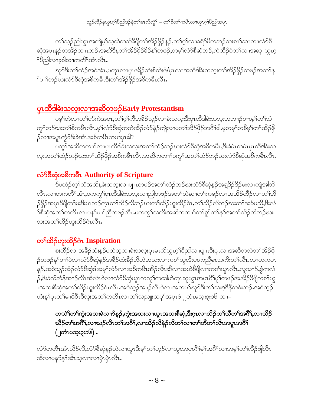တၫ်သူဉ်ညါယွπအကျဲမှုၫ်သူထဲတဘိဒီဖျိတ႑်အိဉ်ဖိုဉ်နှဉ်,တ႑်ဂ့ၫ်လၢခရံှာဖိကဘဉ်သးစ႑ာ်ဆ႑လ႑လံှစိ ဆုံအပူၤန္ဉာိတအို ၁ လ ။ ဘဉ်းအဃိဒ်ိဳး,တ႑်အို၁ိုမိုဥန္ဓြာ မ်ာဖြာ,တမ့္ပါလံာ်စီဆုံဘဉ်,ကဲထိဉ်ဝဲတ႑်လ႑အဆု႑ယ္ဓၤဂ့ ်ပီညါလၢခ့ခါဆၫကတိ်ိုအံၤလိၤ.

ဃုာ်ဒီးတၫ်ထံဉ်အဝဲအံၤႇပတုၤလၢပှၤဖရိဉ်ထဲးစ်ထဲးဖိ/ပှၤလၢအထိဒါခဲးသလ့းတၫ်အိဉ်ဖိုဉ်တဖဉ်အတၫ်န <sup>၎</sup>ပၫ်ာဘည်ဃးလံာ်စိဆုံအစိကမိၤဒီးတၫ်အိဉ်ဖိုဉ်အစိကမီၤလီၤ.

# <u>ပုၤထိဒါခဲးသလူးလၢအဆိတဖဉ်Early Protestantism</u>

ပမ့္ပ်တဲ့တ၊ထ)ကုသမီးပဲ ထုပ်ပံ့ပုပ္ပဲဆုခ္မွာ တံုးတာမႈအတံုးဒူးဂါထွေချခဲ့းဘတံုးအသၪၥ်စ္။ ကုပ္ပယ္ပသု ကွ<sup>ရ</sup>ဘဉ်ဃးတ<sup>ရ</sup>စိကမီၤလိၤႉမ့<sup>ရ</sup>လံာ်စိဆုံကကဲထိဉ်လံာ်နဲဉ်ကျဲလၫပတ<sup>ရဒ္ဌ</sup>ဉ်ဖိုဉ်အ<sup>8ှ</sup>ရါ.မ့တမ့<sup>ရ</sup>တ<sup>8ွှ</sup>မှရတ<sup>ရ</sup>အိဉ်ဖို ဉ်လၢအပူၤက္ငံာ်ဒီးခဲအံၤအစိကမီၤကပၢပုၤဖါ?

ပက္ဂ<sup>န</sup>အဆိကတ႑ာ်လ႑ပုၤထိဒါခဲးသလူးအတ႑်ထံဉ်ဘဉ်ဃးလံာ်စီဆုံအစိကမိၤႇဒိးခံမံၤတမံၤပုၤထိဒါခဲးသ လူးအတၫ်ထံဉ်ဘဉ်ဃးတၫ်အိဉ်ဖှိဉ်အစိကမိၤလိၤႉအဆိကတ႑ၢိပက္ဂၤ်အတ႑်ထံဉ်ဘဉ်ဃးလံာ်စီဆုံအစိကမိၤလိၤႉ

## လံာ်စီဆုံအစိကမ်ိဳၤ Authority of Scripture

ဒ်ပထံဉ်တ့်လံအသိး,ခဲးသလူးလၢပျ႑ာတဖဉ်အတ႑်ထံဉ်ဘဉ်ဃးလံာ်စီဆုံနဉ်အရှဒိဉ်ဒိဉ်မးလၢကျဲအါဘိ လီၤႉလၢတကတိႝၤ်အံၤႇပကကွ႑်ပှၤထိဒါခဲးသလူးလၢညါတဖဉ်အတ႑်တဲဆၢတ႑်ကမဉ်လၢအအိဉ်ထိဉ်လၢတ႑်အိ ဉ်ဖိုဉ်အပူၤဒီဖျိတၫ်ဖးဒီးမၤဘဉ်က္ၤတ႑်သိဉ်လိဘဉ်ဃးတ႑်ထိဉ်ဟူးထိဉ်ဂဲၤႇတ႑်သိဉ်လိဘဉ်ဃးတ႑်အခ်ဳပညိႇဒီးလံ <sup>5</sup>စီဆုံအတ<sup>ရ</sup>ကတိၤလၢပန<sup>ရ</sup>ပၢၢိညီတဖဉ်လီၤ.ပကကွ<sup>ရ</sup>သကိႏအဆိကတၢၢိတၢ်စူ၊်တၢ်နှာ်အတၢ်သိဉ်လိဘဉ်ဃး သးအတ<sup>ှ</sup>ထိဉ်ဟူးထိဉ်ဂဲၤလိၤ.

# တ<sup>ှ</sup>ထိဉ်ဟူးထိဉ်ဂဲၤ Inspiration

စးထိဉ်လၢအခ်ိႆာ်ထံးနဉ်ပတဲသ့လၢခဲးသလူးပုၤမၤလိယ္ဂၤဂ့ၢ်ပိညါလၢပျπဒီးပုၤလၢအဆီတလဲတၤ်အိဉ်ဖို ဉ်တဖဉ်န<်ပၢာ်ဝဲလၢလံာ်စီဆုံနဉ်အခိဉ်ထံးခိဉ်ဘိဟဲအသးလၢကစၢ်ယွာဒီးပှာကညီမာသက်းတၫလီာ…လာတကပာ န်ဉ်,အဝဲသ့ဉ်ထံဉ်လံာ်စီဆုံဒ်အမှ်လံာ်လၢအစိကမီၤအိဉ်လီၤဆီလၢအဟဲခီဖျိလၢကစၫ်ယွၤလီၤ.လူသ႑ာ်,စွံကလံ ှာ်,ဒီးခဲလ်ဘံန်အၫဉ်လီၤအိလီၤဝဲလၢလံာ်စီဆုံယွၤကလုၤ်ကထါဟဲတုၤဆူယွၤအပှၤဂိၢ်မုၤ်တဖဉ်အအိဉ်ခီဖျိကစၤ်ယွ ၤအသးစိဆုံအတ<sup>ှ</sup>ထိဉ်ဟူးထိဉ်ဂဲၤလီၤ.အဝဲသ့ဉ်အၫဉ်လီၤဝဲလၢအတပ9်ဃုာ်ဒီးတ႑်သးဒ့ဒိနိတစဲးဘဉ်.အဝဲသွဉ် တံးနှၤ်ပုၤတၤ်မၢဖိစီၤ၀ီလူးအတၤ်ကတိၤလၢတၤ်သညူးသပှါအပူၤဖဲ ၂တံၤမသူး၃း၁၆ လၢ–

ကယဲြတာ်ကွဲးအသးခဲလၫာ်နဉ်ႇကွဲးအသးလၫယွၤအသးစိဆှံႇဒိးဂ္ၤလၫသိဉ်တ႑်သိတ႑်အဂိ်ၫႇလ႑သိဉ် ဃီဉ်တ<sup>၎</sup>အ<sup>8</sup>၊်ႇလၫဃဉ်လိၤတ<sup>၎</sup>အဝိါႇလၫသိဉ်လိနဲဉ်လိတ႑်လၫတ႑်တိတ႑်လိၤအပူၤအဝိါ (၂တံၤမသူး၃း၁၆) .

လံာ်တတိၤအံၤသိဉ်လိႇလံာ်စီဆုံနဉ်ဟဲလၢယ္ဂၤဒီးမ့ၢ်တၫ်ဟ့ဉ်လၢယ္ဂၤအပုၤဂိၢမှၢ်အဂိၢိလၢအမ့ၢ်တၫ်လိဉ်ဖျါလီၤ ဆီလၢပန9်န5်အီၤသ့လၢလၢပုံၤပုံၤလီၤ.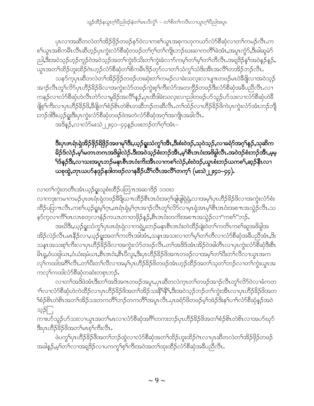ပှၤလၢအဆီတလဲတ<sup>၎</sup>အိဉ်ဖှိဉ်တဖဉ်နာ်ဝဲလၢကစၢ်ယွၤအစုကဟုကယာ်လံာ်စီဆုံလၢတၢ်ကမဉ်လီၤ.က စၫ်ယွာအစိကမီာလီာဆီဟုဉ်ပုာကွဲးလံာ်စီဆုံတဖဉ်တ႑်ဂ့ၫ်တ႑်ကျာဘဉ်ဃးဆ႑ကတိႝာ်ခဲအံာႇအပူာကွဲာ်ႇဒီးခါဆူမဲာ် ညါ,ဒီးအဝဲသ့ဉ်ဟုဉ်ကူဉ်ဝဲအဝဲသ့ဉ်အတၫ်ကွဲးဒ်သိးတၫ်ကွဲးခဲလ႑ာ်ကမ့ၢ်တၫ်မှၫ်တၫ်တီလီၤ.အရဒိဉ်နှၫ်အဝဲနဉ်နှဉ်, \_\_<br>ယွၤအတၫ်ထိဉ်ဟူးထိဉ်ဂဲၤဟ့ဉ်လံာ်စီဆုံတၫ်စိကမီၤဒိဉ်တုာ်လၢတၫ်သံကွၢ်သံဒိးအီၤအလိၢ်တအိဉ်ဘဉ်လိၤ<sup>့</sup>

သန5်က့ပုံၤဆီတလဲတၫ်အိဉ်ဖိုဉ်တဖဉ်ဟးဆုံးတၫ်ကမဉ်လၫခဲးသလုံးလၫပျπတဖဉ်မၤဝဲခီဖျိလၫအဝဲသုဉ် အၫဉ်လီၤတု႞လိဉ်ပှၤဟိဉ် $3$ ဉ်ဖိလၫအကွဲးလံဉ်တဖဉ်ကွဲးစ့႞ကိႏလံဉ်အတကွိဉ်တဖဉ်ဒီးလံဉ်စိဆုံအခ်ဳပညီလီၤ.လ႑ ၮနဉ်လၫလိ5်စိဆိုဟဲလီၤတဲ5်လၫမှုခိဉ်အလိႝၤနာ့ဉ်ႇပုၤထိဒါခဲးသလူးလၫညါတဖဉ်ပ9်သူဉ်ပ9်သးလ႑လိ5်စိဆုံဟဲခိ ဖြစ့်ကြီးလၫပုၤဟိုဉ်နိဉ်ဖိန်စီဖြတ်စဉ်စိုၤတဲစိုးတဆီဘဉ်တဆီလီၤ.တၫ်ထိဉ်လ႑ဟိုဉ်နိဉ်ဖိကဲပုၤကွဲးလံာ်အံၤဘဉ်ဘို းဘဉ်ဒါဒီးယ့ဉ်ရူးဒီးပှၤကွဲးလံာ်စိဆုံတဖဉ်ဖဲအတဲလံာ်စိဆုံအဂ့<sup>၎</sup>အကျိၤအခါလိၤ**.** 

အဒိန**ှ်,**လၫလံာ်မးသဲ၂၂း၄၁–၄၄နှဉ်ပဖးဘဉ်တ<sup>၎</sup>ဂ့<sup>၎</sup>အံၤ–

### ဒီးပှာဖာရံာရှဲအိဉ်ဖိုဉ်ရိဖိုဉ်အဖၫမုၫ်ဒီး,ယှဉ်ရှူးသံကွၫ်အီာ,ဒီးစံးဝဲဒဉ်,သုဝဲသ့ဉ်,လၢခရံဉ်အဂ္ဂါနဉ်,သုဆိက မိဉ်§လဲဉ်.မ့<sup>၎</sup>မတၤတဂၤအဖိခွါလဲဉ်.ဒီးအဝဲသ့ဉ်စီးဘဉ်အိၤ,မ့<sup>၎</sup>စီၤဒၤပံံးအဖိခွါလီၤ.အဝဲဒဉ်စံးဘဉ်အိၤ,မ့မ့ <sup>၎</sup>ဒ်နဉ်ဒိး,လၫသးအပူၤဘဉ်မနုၤစီၤဒၤဝံးကိးအိၤလၫကစ<sup>၎</sup>လဲဉ်,စံးဝဲဒဉ်,ယွၤစီးဘဉ်ယကစ<sup>၎</sup>,ဆ္ဉဉ်နိၤလ႑ ယစုတွဲ,တုၤယဟ်နဒုဉ်နဒါတဖဉ်လၫန<sup>္ဓ</sup>ဉ်ယိႝ်၊လီၤအလိ်ၤ်တက့်၊ (မးသဲ၂၂း၄၁–၄၄).

လၢတၫ်ကွဲးတတိၤအံၤယ့ဉ်ရူးသူစံးထိဉ်ပတြ႑ာအဆၢဒိဉ် ၁၁၀း၁ လၫကဒုးကမၫကမဉ်ပုၤဖၤရႆၤရှဲတဖဉ်8ိဖြယπထိဉ်စီၤဒၤဝံးအဂ္ဂၢိဖျံဖျံရှဲရှဲ,လၫအမ့<sup>၎</sup>ပှၤဟိဉ်8်ဉိဖိလၫအကွဲးလံာ်စံး ထိဉ်ပတြာ ။ လီး ကစၥ်ယ့ဉ်ရှုးမဲ့ ကြွယ်ရဲ့ရဲမှ ကြွယ်သည်လီး တူ လိပ်လာမှုံးရှိအာမှ စီးအထံးအစ ။ အသွဲဉ်လီး သ နဉ်ကလၤကိိ<sup>ရ</sup>ဖၤလၤစတယ၊နံဉ်ကယၤတၢတဖိုဉ်နဉ်,စီၤဒၤပီးတက်းအစ႑ာအသွဲဉ်လၢ"ကစ<sup>႖</sup>"ဘဉ်.

အဃိဒ<mark>ီး</mark>,ယှဉ်ရူးသံကွ<sup>၎</sup>ပုၤဖၤရံၤရဲလၢကရဲပွးဘဉ်မနၤစီၤဒၤဝံးတဲထိဉ်ဖျံးဝဲတၤ်ကတိၤကစၢ်ဆူအဖိခွါအ အိဉ်လဲဉ်လီၤ.မၤနိဉ်လ႑ယ့ဉ်ရူးအတၫ်ကတိၤအါအီၤ,သနၤအသးလ႑တ႑်မှ်က်ကိလ႑လံာစိဆုံအဓိပညီအံၤ,9ိး သနၤအသးစ့<sup>၎</sup>ကိဳးလၫပှၤဟိဉ်8်ဉ်ဖိလၢအကွဲးလံာ်တဖဉ်လီၤ.တ<sup>၎</sup>အဒိဒ်အံၤအိဉ်ဝဲအါတိၤလၢပုၤကွဲးလံာ်စိဆုံဒီးစီၤ မိၤရှ,ဝံယရှါယၤ,ဝံယံးရမံယၤ,စီၤဒၤဝံး,စီၤပိလူး,ဒီးပှၤဟိဉ်<sup>႙ွ</sup>ဉ်ဖိအဂၤတဖဉ်လၢအမ့<sup>၎</sup>တၫ်ပိီးတၫ်လိလၢယွၤအက လု<sup>ရှိ</sup>ကထါအဂီ<sup>ရ</sup>လီၤ.တၫ်ပီးတၫ်လီလၫအမှ1်ပုံၤဟိဉ်နိဉ်ဖိတဖဉ်အံၤဟ္ဥတိဉ်အတ႑်သွတ႑်ဘဉ်လ႑တ႑်ကွဲးယွၤအ ကလုိကထါလံာ်စီဆုံတဆံးတစုၤဘဉ်.

လၢတၫ်အဒိဖဲအံၤဒီးတၫ်အဒိအဂၤတဖဉ်အပူၤ,ပုၤဆီတလဲက္ၤတၫ်တဖဉ်အၫဉ်လီၤတူၫ်လိ5်ဝဲလၢခံကတ ၫ<sup>ှ</sup>လၫလံာ်စီဆုံဟဲကဲထိဉ်လၫပုၤဟိဉ်<sup>၌</sup>ဉ်ဖိအတ<sup>ု်</sup>အဉ်သးနိ<sup>ု့နွ</sup>ြန်းအဝဲသ့ဉ်ဘဉ်တ႑်ကွဲးအိၤလ<sup>ုံ</sup>ပုၤဟိဉ်နိဉ်ဖိအတ သူ5ြ

ကၢးဟ်သူဉ်ဟ်သးလၢယွၤအတ<sup>ျ</sup>မၤလၢလံာ်စီဆုံအဂ်ီ<sup>ျ</sup>တကးဘဉ်ပှၤဟိဉ်<sup>၌</sup>ဉ်<sup>ဖြ</sup>အတ<sup>ျှ</sup>စံဉ်စိၤတဲစိၤလၢအဟ်ဃုာ် ဒီးပုၤဟိ်ာ်ခိဉ်ဖိအတ႑်မၤစ္န႑်ကီးလီၤ.

ဖဲပက္ဂ<sup>ၡ</sup>ပှၤဟိႆၣ်<sup>8</sup>ဉ်ဖိအတ<sup>ၡ</sup>ဘဉ်ထွဲလၢလံာ်စိဆုံအတ႑်ထိဉ်ဟူးထိဉ်ဂဲၤလၢပှၤဆီတလဲတ<sup>၎</sup>အိဉ်ဖှိဉ်တဖဉ် အခါနဉ်,မ့<sup>ရ</sup>တ<sup>ရ</sup>လၫအရဒိဉ်လၫပကကွ<sup>ရ</sup>စ့<sup>ရ</sup>ကိုးအဝဲအတ<sup>ရ</sup>ထုးထိဉ်လံာ်စိဆုံအခ်ဳပညီလီၤ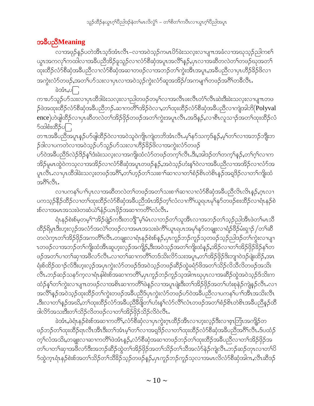# အခ်ဳပညီMeaning

လၫအဖုဉ်နဉ်ပတဲအိၤသ့ဒ်အံၤလီၤ–လၫအဝဲသ့ဉ်ကမၤၓိ႒်ခဲးသလုးလၫပျ႑ာအခံလၫအဃုသ့ဉ်ညါကစ႑် ယ္ပၤအကလု<sup>ရ</sup>ကထါလၫအခ်ဳပညီအိဉ်ခူသူဉ်လၫလံာ်စိဆုံအပူၤအလိ<sup>ရ</sup>န**်,**ပှၤလၢအဆီတလဲတၫ်တဖဉ်ဃုအတ႑် ထုးထိဉ်လံာ်စိဆုံအခ်ိဳပညီလၢလံာ်စိဆုံအဆၢတဖဉ်လၢအဘဉ်တၫ်ကွဲးအီးအပူၤႇအခ်ိဳပညီလၢပှၤဟိဉ်ခိဉ်ဖိလၢ အကွဲးလံာ်တဖဉ်,အတၫ်ပာ်သးလၢပှၤလၢအဝဲသ့ဉ်ကွဲးလံာ်ဆူအအိဉ်/အကမျၫ်တဖဉ်အဂိၢ်တခီလီၤ.

ခဲအံၤ, $\circ \Box$ ကၢးဟ်သူဉ်ဟ်သးလၢပုၤထိဒါခဲးသလ့းလၢညါတဖဉ်တမ့ၢ်လၢအလီၤဖးလီၤတံၢ်လီၤဆဲးဒီးခဲးသလ့းလၢပျ႑ာတဖ ှာ်ဖဲအထုးထိဉ်လံာ်စိဆုံအခ်ိဳပညီဘဉ် ဆၫကတိြအိဉ်ဝဲလ႑တ႑်ထုးထိဉ်လံာ်စိဆုံအခ်ိဳပညီလ႑ကျဲအါဘိ $($ Polyval ence)ဟဲဖျါထိဉ်လၫပုၤဆိတလဲတ<sup>၎</sup>အိဉ်ဖိုဉ်တဖဉ်အတ<sup>ု</sup>ကွဲးအပူၤလီၤအဒိန္ဉ,လၫစီၤလူသ႑ာ်အတ႑်ထုးထိဉ်လံ δ∞ါစံးထိံβပြု

တπအခ်ိဳပညီအပူၤန္ဉာိပာ်ဖျံထိဉ်ဝဲလၢအဝဲသူဝဲကျိၤကျဲတဘိအံၤလီၤ.မ့ၢ်နာ်သက့ဒ်နဉ်,မ့ၢ်တၢ်လၢအဘဉ်ဘိုုးဘ ှာ်ဒါလၫပကတဲလၫအဝဲသ့ဉ်ပာ်သူဉ်ပာ်သးလၫဟိဉ်<sup>႙ွ</sup>ဉ်ဖိလၫအကွဲးလံာ်တဖဉ်

ဟ်ဝဲအခ်ဳပညီဒ်လဲဉ်ဒိဉ်န1်ဒံးခဲးသလုးလၢအကျိုးထံလံာ်တဖဉ်တက့1်လီၤ.ဒိး,အါဒဉ်တ1်တက့1်နဉ်,တ1်ဂ့1်လၢက အိဉ်မူမၤထွဲဝဲကသ့လၫအအိဉ်လၫလံာ်စီဆုံအပူၤတဖဉ်နဉ်ႇအဝဲသ့ဉ်ဟံးန5်ါဝဲလၫအခ်ီပညီလၫအအိဉ်လ႑လံာ်အ ပူၤလိၤႉလၢပုၤထိဒါခဲးသလ့းတဖဉ်အဂိ်ၫႇတၫ်ဟ့ဉ်တ႑်သးစ႑ာ်ဆၫလၢတ႑်စံဉ်စိၤတဲစိၤန္ဉာ်အရဒြဉ်လၢတ႑်ကျိးထံ အ8ိa81.

လၢပကန1်ပၫၢိပုၤလၢအဆိိတလဲတၫ်တဖဉ်အတၫ်သးစၫၢ်ဆၢလၢလံာ်စိဆုံအခ်ိပညီလိၤလိၤနဉ်,ဂ္ၤလၢ ပကသ့ဉ်နိဉ်ထိဉ်လၢတၫ်ထုးထိဉ်လံာ်စိဆုံအခ်ိပညိအံၤအိဉ်တ့ၢ်လံလၢကိႝၤ်ယူရပၤမုၢ်နုာ်တဖဉ်စးထိဉ်လၢရံၤနဉ်စဲ းစ်လၢအမၤအသးဖဲတဆံယဲၫ်နံဉ်ယၤဖိုဉ်အဆၢကတိႝၤ်လီၤႉ

ရံၤနဉ်စဲးစ်မှတမ့<sup>၎</sup>"အိဉ်ဖျဲဉ်ကဒီးတဘျိ"မ့<sup>ှ</sup>မ်ၤလၢဘဉ်တ<sup>၎</sup>သူအိၤလၢအဘဉ်တၫ်သ့ဉ်ညါအိၤဖဲတ႑်မၤသိ ထိဉ်ရိမ္၊ဒီးဟူးလ္ဉာ်အလံာ်အလဲ`်ုတဖဉ်လၢအမၤအသးဖဲကိ်`ျယူၤရပၤအမှ်နှာ်တချူးလၢရံဉ်ဖိဉ်မံးရှၢဉ် /တౕာဆီ တလဲက္ၤတၫ်အိဉ်ဖှိဉ်အကတိႝၤလီၤႉတချုးလၫရံၤနဉ်စဲးစ်နဉ်ႇပုၤကူဉ်ဘဉ်ကူဉ်သ့တဖဉ်သူဉ်ညါဒဉ်တၫ်ကွဲးလ႑ပျ႑ ၤတဖဉ်လၢအဘဉ်တ<sup>၎</sup>ကျိုးထံအိၤဆူဟူးလ့ဉ်အကျိဉ်,ဒီးအဝဲသ့ဉ်အတ<sup>၎</sup>ကျိုးထံနှဉ်,အိဉ်လၢတ<sup>၎</sup>အိဉ်ဖိုဉ်မိဉ်န<sup>၎</sup>တ ဖဉ်အတၫ်ပၢတၫ်ဆုၫအဖိလာ်လီၤႉလၢတ႑်ဆၢကတိႝၤ်တဒ်သိးလိာ်သးအပူၤႇတၫ်အိဉ်ဖိုဉ်ဒိးဘျာဝဲဒဉ်ဖျံးထိဉ်ႇအၤ ရံးစ်ထိဉ်ထ႑ာ်လ်ဒီးဟူးလှဉ်အပုၤကွဲးလံာ်တဖဉ်ဒ်အဝဲသ့ဉ်တဖဉ်ဆိဉ်ထွဲခရံာ်ဖိအတ႑်သိဉ်လိသီလိတဖဉ်အသိး လီၤ.ဘဉ်ဆဉ်သနာ်က့လၢရံၤနါစဲးစ်အဆၢကတိႝၤ,ပှၤကူဉ်ဘဉ်ကူဉ်သ့အါဂၤဃုပှၤလၢအဆိဉ်ထွဲအဝဲသ့ဉ်ဒ်သိးက ထံဉ်နှၤ်တ႑်ကွဲးလ႑ပျ႑ာတဖဉ်လ႑အစိၤဆ႑ကတိႝၤဖဲနှဉ်လ႑အပူၤဖျဲးဒီးတ႑်အိဉ်ဖိုဉ်အတ႑်ဟံးစုနဲဉ်ကျဲနှဉ်လီၤႉလ႑ အလိံနည်အဝဲသည်ထုံးထိဉ်တၫ်ကွဲးတဖဉ်အခ်ဳပညီဒ်ပုၤကွဲးလံာ်တဖဉ်ဟ်ဝဲအခ်ဳပညီလ႑ပကန႑်ပ႑်အိၤအသိုးလိံၤ .ဒီးလၢတ<sup>ၡ</sup>နဉ်အဃိႇတၫ်ထုးထိဉ်လံာ်အခ်ဳပညီခီဖြိုတ<sup>်</sup>ျပားနှၤ်လံာ်လိၤ်လပည်အတၤ်စံဉ်စိၤတဲစိၤအခ်ဳပညီနှဉ်ထိ ဒါလိ်ာအသးဒီးတ႑်သိဉ်လိတဖဉ်လၢတ႑်အိဉ်ဖိုဉ်သိဉ်လိဝဲလီၤ.

ခဲအံၤႇဖဲရံၤနဉ်စဲးစ်အဆၢကတိႝၤႇလံာ်စိဆုံလၢပုၤကွဲးဂ္ၤထိဉ်အီၤလၢဟူးလ့ဉ်ဒီးလၢဇ့ၤဘြံၤအကျိဉ်တ ဖဉ်ဘဉ်တၫ်ထုးထိဉ်ရာလီၤအိၤဒိီးတ႑်အံၤမ္နှုတ႑်လ႑အရှုဒိဉ်လ႑တ႑်ထုးထိဉ်လံာ်စိဆုံအခ်ဳပညီအဂိၢ်လီၤ.ဒ်ပထံဉ် တ့်ౕၢလံအသိးႇတချူးလၫဆ႑ကတိ်ၢဖဲအံၤန္ ဉ်ႇလံာ်စိဆုံအဆ႑တဖဉ်ဘဉ်တ႑်ထုးထိဉ်အခ်ဳပညီလ႑တ႑်အိဉ်ဖိုဉ်အ တၫ်ပၢတၫ်ဆုၫအဖိလာ်ဒီးအဘဉ်ဆိဉ်ထွဲတ႑်အိဉ်ဖိုဉ်အတ႑်သိဉ်တ႑်သိအလံာ်နဲဉ်ကျဲလီၤ.ဘဉ်ဆဉ်တုၤလၢတ႑်ပိ ာ်ထွဲက္ၤရံၤနဉ်စဲးစ်အတ႑်သိဉ်တ႑်သိခ်ဉ်သ့ဉ်တဖဉ်နဉ်ႇပုၤကူဉ်ဘဉ်ကူဉ်သ့လၢအမၤလိလံာ်စီဆုံအါကႇလီၤဆီဒဉ်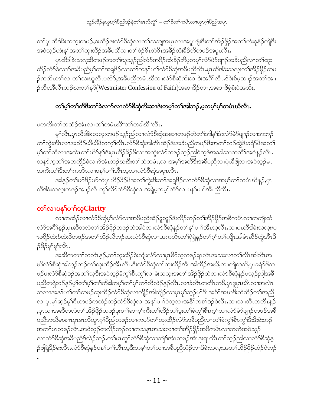တၫ်ပုၤထိဒါခဲးသလူးတဖဉ်ႇစးထိဉ်ဖးလံာ်စိဆုံလၢတ႑်သဘျအပူၤလၢအပူၤဖျဲးဒီးတ႑်အိဉ်ဖိုဉ်အတ႑်ဟံးစုနဲဉ်ကျဲဒီး အဝဲသုဉ်ဟံးန5်အတ5်ထုးထိဉ်အခီပညီလၢတ5်စံဉ်စိၤတဲစိၤအခ်ိဉ်ထံးခ်ိဉ်ဘိတဖဉ်အပူၤလီၤ.

ပုၤထိဒါခဲးသလူးဖိတဖဉ်အတ႑်ဃုသုဉ်ညါလံာ်အခ်ိဉ်ထံးခ်ိဉ်ဘိမ့တမ့ၤ်လံာ်မဲ၁်ဖျာဉ်အခ်ိဳပညီလၢတၤ်ထုး ထိဉ်လံာ်ခဲလၫာ်အခ်ဳပညီမှၤ်တၤ်အရှဒိဉ်လ႑တၤ်ကန႑်ပ႑ၤ်လံာ်စီဆုံအခ်ဳပညီလီၤ.ပုၤထိဒါခဲးသလူးတၤ်အိဉ်ဖိုဉ်တဖ ဉ်ကတိၤတၫ်လၢတၫ်သးဃူလီၤပလိ>်,အခ်ီပညီတမံၤဃီလၢလံာ်စီဆုံကိႏဆၢဒဲးအဂိၢိလိၤႉဒ်ဝဲးစ်မှထၢဉ်အတၫ်အၢ ဉ်လီၤအီလီၤဘဉ်ဃးတ႑်န**်**(Westmister Confession of Faith)အဆၢဒိဉ်တၢ,အဆၢဖိခဲ့စံးဝဲအသိး,

### တ႑်မှ႞တ႑်တိဒြီးတ႑်ခဲလ႑ာ်လ႑လံာ်စိဆုံကိုးဆ႑ဒဲးတမှ႑်တ႑်အါဘဉ်ႇမှတမှ႑်မှ႞တမံၤဃီလီၤ.

ပကကိုးတၫ်တထံဉ်အံၤလၢတၫ်တမံၤဃိ"တၫ်တခါဃိ"လိၤ.

မ့်ၢလီၤႇပုၤထီဒါခဲးသလ့းတဖဉ်သ့ဉ်ညါလၢလံာ်စီဆုံအဆၢတဖဉ်တဲတၢ်အါန်ၤ်ဒံးလံာ်မဲာ်ဖျာဉ်လၢအဘဉ် တၫ်ကွဲးအီၤလၢအသိဉ်ယိယိဖိတက့ၤ်လီၤ.လံာ်စီဆုံအါတီၤအိဉ်ဒီးအခ်ီပညီတဖဉ်ဒီးအတၤ်ဘဉ်ထွဲဒီးခရံာ်ဖိအတၤ် မ့်)တ၂လွှတသောတ္ဟာလွှင်ကွယ်လွှင့်ခွင်းကောက်သောက်သောပေါ့တွင်တွင်တို့တွေအခံချာသယလွှဲပြသဖွဲ့ခဲ့လွှေ သနဉ်က္ခတ႑်အတက္ဂိဉ်ခဲလ႑ာ်အံၤဘဉ်ဃးဒီးတ႑်ထဲတမံၤႇလ႑အမ္ ါအတိဒီးအခ်ိဳပညီလ႑ပုံၤခ်ဳဖျိလ႑အဝဲသ္ဉာမၤ သကိႏတၫ်ဒီးတ႑်ကတိၤလၢပန႑်ပၫၫ်အိၤသ့လၢလံာ်စီဆုံအပူၤလီၤ.

အါနဉ်တၫ်ပာ်ဒိဉ်ပာ်ကဲပှၤဟိဉ်ခိဉ်ဖိအတ႑်ကွဲးဒီးတ႑်အရှဒိဉ်လ႑လံာ်စီဆုံလ႑အမ္5တ႑်တမံၤဃိနဉ်,ပုၤ ထိဒါခဲးသလူးတဖဉ်အၫဉ်လီၤတုၫ်လိ5်လံာ်စိဆုံလၢအရှဲမှတမှၫ်လံာ်လၢပန႑်ပၢၢ်အိၤညီလီၤ.

# တ႑လာပနှၤ်ပ႑ာ်သူClarity

လၢကထံဉ်လၢလံာ်စိဆုံမ့<sup>၎</sup>လံာ်လၢအခ်ိဳပညီအိဉ်ခူသူဉ်ဒီးလိဉ်ဘဉ်တၫ်အိဉ်ဖှိဉ်အစိကမီၤလၢကကျိုးထံ လံာ်အဂိၢ်န္ဉာ,ပုၤဆီတလဲတၫ်အိဉ်ဖိုဉ်တဖဉ်တဲအါ၀ဲလၤလံာ်စီဆုံန္ဉာ်တၫ်နှၤ်ပၢၤ်အီၤသ့လီၤ.လၢပုၤထိဒါခဲးသလူး/ပု ၤဖရိဉ်ထဲးစ်ထဲးဖိတဖဉ်အတ<sup>ှ</sup>သိဉ်လိဘဉ်ဃးလံာ်စီဆုံလၢအကတိၤတ<sup>ု</sup>ရှဲရဲနဉ်တၢ်ဂ့ၢ်တၢ်ကျိၤအါမံ၊ဆိဉ်ထွဲအီၤဒိ 535494681.

အဆိကတ႑ၢ်တတိၱၤန္၄်ႇတ႑်ထုးထိဉ်စဲးကျံးလံာ်လၢပုၤစိၥ်သ့တဖဉ်ရၤလီၤအသးလၢတ႑်လီၤအါတီၤအ ဃိလံာ်စိဆုံအါဘ့ဉ်ဘဉ်တၫ်ထုးထိဉ်အိၤလီၤ.ဒီးလံာ်စိဆုံတၫ်ထုးထိဉ်အိၤအါထိဉ်အဃိႇလၫကျဲတဘိႇပုၤခရံာ်ဖိတ ဖဉ်ဖးလံာ်စီဆုံဒဉ်အတၫ်သူဒီးအဝဲသ့ဉ်ခံကွ<sup>ှ</sup>စီၤကွှ<sup>ှ</sup>လၢခဲးသလုံးအတ႑်အိဉ်ဖိုဉ်တဲလၢလံာ်စီဆုံနဉ်ပသွဉ်ညါအခ်ိ ပညီတရဲဘဉ်နဉ်မှါတါမ့ါတက်ိဒါတမ့ါတပုံတျော်တိုတ်လိုလဲ့နဉ်လီၤ.လၢခံတိၤတတိၤတခ်ိႇပုၤဒူပုၤဃိၤလၢအလဲၤ ဆိလၢအန1်ပၢါတ1်တဖဉ်ထုးထိဉ်လံာ်စီဆုံလၢကျိဉ်အါကျိဉ်လၢပှၤမု1်ဆ့ဉ်မု1်ဂီၤအဂီ1်အဃိဒီးကဲထိဉ်တ1်အညီ လၢပုၤမှၫ်ဆွဉ်မှၢိဂီၤတဖဉ်ကထံဉ်ဘဉ်လံာ်စိဆုံလၢအနှၤ်ပၢၤ်ဝဲသ့လၢအနိံၤ်ကစၤ်ဒဉ်ဝဲလီၤႉလၢသၢတိၤတတိၤနှဉ် ႇၦၤလၢအဆီတလဲတၫ်အိဉ်ဖှိဉ်တဖဉ်ဒုးစၫၢိဆၢစ့ၢ်ကီးတၫ်ထိဉ်တၢ်ဒွးတၢ်ခံကွၢ်စီၤကွၢ်လၢလံာ်မဲာ်ဖျာဉ်တဖဉ်အခီ ပညီအဃိမၤစ႑ာပုၤမၤလိယ္မၤဂ့ౕၢပိဳညါတဖဉ်လ႑ကပာ်တ႑်ထုးထိဉ်လံာ်အခ်ီပညီလ႑တ႑်ခံကွ႑်စီၤကွ႑်ဒီးဒိးစဲးဘဉ် အတၫ်မၤတဖဉ်လီၤႉအဝဲသ့ဉ်တလိဉ်ဘဉ်လၢကသနၤအသးလၢတၫ်အိဉ်ဖိုဉ်အစိကမီၤလၢကတဲအဝဲသ့ဉ် လၢလံာ်စီဆုံအခ်ီပညီဒ်လဲဉ်ဘဉ်.တၫ်မၤကွၫ်လံာ်စီဆုံလၢကျဲဒ်အံၤတဖဉ်အံၤဒုးရၤလီၤတ႑်သ့ဉ်ညါလၢလံာ်စီဆုံန ဉ်ဖျဲရဲဒိဉ်မးလီၤႉလံာ်စီဆုံနဉ်ပန1်ပ႑ါအီၤသ့ဒီးတမ့1်တ1်လၢအခ်ီပညီဘံဉ်ဘ႑ဒ်ခဲးသလ့းအတ1်အိဉ်ဖှိဉ်ထံဉ်ဝဲဘဉ်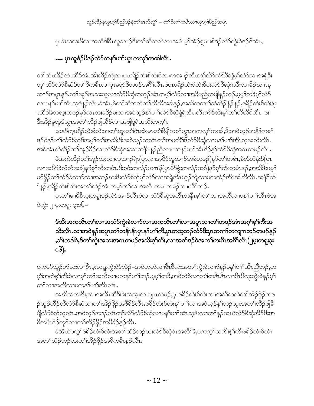သူဉ်ထိဉ်နယွာဂ့ါ်ပီညါဒဉ်နဲတါမာလိလွံါ – တါစိတါကပီၤလၢယွာဂ့ါ်ပီညါအပူာ

ပှၤခဲးသလူးဖိလၢအထိဒါစိၤလူသၢဉ်ဒီးတၫ်ဆိတလဲလၢအမံၤမ့<sup>၎</sup>အံဉ်ရှမၢးစ်ဒဉ်လဲာ်ကွဲးဝဲဒဉ်ဒ်အံၤ**,** 

## …. ပုၤထူစံဉ်ဖိဒဉ်လဲ်ကန5်ပၫှ်ယွာကလှSကထါလီး.

တၫ်လဲၤထိဉ်လဲၤထိဒ်အံၤအိးထိဉ်ကျဲလၢပှၤဖရိဉ်ထဲးစ်ထဲးဖိလၢကအၫဉ်လီၤတု႞လိ5်လံာ်စိဆှံမ့ှ်လံာ်လၢအရှဲဒိုး တူၫ်လိ5်လံာ်စီဆုံဒ်တၫ်စိကမိၤလ႑ပ္႑ာခရံာ်ဖိတဖဉ်အဂီၫ်လီၤ.ဖဲပှၤဖရိဉ်ထဲးစ်ထဲးဖိဖးလံာ်စီဆုံကဒီးလၢခိဉ်ဃ႑ာန ဆၫၣ်အပူၤန္ဉာ,တ<sup>၎</sup>အုဉ်အသးသွလ႑လံာ်စီဆုံတဘုဉ်အံၤတမ့<sup>ရ်</sup>လံာ်လ႑အခ်ီပညီတဖျနှဉ်ဘဉ်,မ့မ့<sup>၎</sup>တ<sup>8ွ</sup>မ့်၊လံာ် လၫပန1်ပ႑ါဒ်အီၤသ့ဝဲနဲ့ဉ်လီၤ.ခဲအံၤ,ဖဲတ႑်ဆီတလဲတ႑်သီသီအခါနဉ်,အဆိကတ႑်ာဆံဆဲဉ်နံဉ်နဉ်,ဖရိဉ်ထဲးစ်ထဲး/ပု ၤထိဒါခဲသလူးတဖဉ်မှာ်လၤသးခုဒိဉ်မးလၢအဝဲသ့ဉ်နှၤ်ပၢၤ်လံာ်စိဆုံရှဲရှဲလိၤႉလိၤက်ဒ်သိးမ့ၤ်တၤ်ယိယိဖိလိၤ−ဖး ဒီးအိဉ်မူထွဲဒ်ယွၤအတ႑်လိဉ်ဖျါထိဉ်လၢအဖျါရဲရဲအသိးတက့¶.

သန>်က့ဖရိဉ်ထဲးစ်ထဲးအတၫ်ဟူးတၫ်ကဲဆဲးမၤတၫ်ခ်ိဖျိကစၫ်ယွၤအကလုၤ်ကထါ,ဒီးအဝဲသုဉ်အနိၤ်ကစ႑် ဒဉ်ဝဲနှၤ်ပၢၤ်လံာ်စီဆုံဒ်အမှၤ်တၤ်အသိးဒီးအဝဲသ့ဉ်ကတိၤတၤ်အပတိၤ်ဒ်လံာ်စီဆုံလၢပနၤ်ပၢၤ်အီၤသ့အသိးလီၤ. အဝဲအံၤကဲထိဉ်တၫ်အှဉ်8ိဉ်လၢလံာ်စိဆုံအဆၢတနိၱၤနှဉ်ညီလၢပကန႑်ပၢၢ်အီၤဒိဉ်နှၤ်လံာ်စိဆုံအကတဖဉ်လီၤႉ

ဖဲအကဲထိဉ်တၫ်အှဉ်သးလၢလူသ႑ာ်ရဲၤ(ပုၤလၢအပိ5်လူသ႑ာ်အခံတဖဉ်)န5်တၫ်တမံၤႇခဲလ်ဘံနံးစ်(ပုၤ လၢအပိ9်ခဲလ်ဘံအခံ)န9်စ့ါ်ကိုးတမံၤႇဒီးစဝံးကလံဉ်ယπန်(ပှၤပိ9်စွံးကလံဉ်အခံ)န9်စ့ါ်ကိုးတမံၤဒဉ်ႇအဃိဒီးပမ့ါ ဟ်ဖှိဉ်တ<sup>ှ</sup>ထံဉ်ခဲလၫာ်လၫအဘဉ်ဃးဒီးလံာ်စိဆုံမ့<sup>ရ</sup>လံာ်လၫအရဲအံၤဟ့ဉ်ကျဲလ႑ပကထံဉ်အီၤအါဘိလီၤ.အနိ<sup>၎</sup>ကိ ်န္5,ဖရိဉ်ထဲးစ်ထဲးအတၫ်ထံဉ်အံၤတမ့္ပ်တ႑်လၢအလီၤကမ႑ကမဉ်လၢပဂိၢ်ဘဉ်.

.<br>ပုၤတၫ်မၫ<sup>8</sup>စီၤပူးတရူးဒဉ်လဲာ်အၫဉ်လီၤဝဲလၫလံာ်စိဆုံအတိၤတနိၤမ့ၢ်တ႑်လၢအကိလၢပန႑်ပ႑ာအိၤဖဲအ ၀ဲကွဲး ၂ ပူးတရူး ၃း၁၆–

#### ဒ်သိးအကတိၤတၫ်လၢအလံာ်ကွဲးခဲလၫာ်လၢအကတိၤတၫ်လၢအပူၤလၢတၫ်တဖဉ်အံၤအဂ္ဂၢိစ့ၫ်ကိုးအ သိးလီၤႉလၫအဝဲနဉ်အပူၤတၫ်တနိၤနိၤပှၤန႑်ပၫၤ်ကိႇပှၤတသ့ဘဉ်လံာ်ဒီးပှၤတဂၢၤ်တကျၤာာဉ်တဖဉ်နဉ် ႇဘိးကဒါဝဲႇဒ်တၫ်ကွဲးအသးအဂၤတဖဉ်အသိးစ့ၫ်ကီးႇလၫအစၫ်ဒဉ်ဝဲအတ႑်ဟးဂ်ီၤအဂိၢိလိၤ(၂ပူးတရူး၃း ၁၆).

ပကဟ်သူဉ်ဟ်သးလၢစီၤပူးတရူးကွဲးဝဲဒ်လဲဉ်–အဝဲတတဲလၢစီၤပီလူးအတၫ်ကွဲးခဲလၫာ်နဉ်ပန႑်ပၢၢိအိၤညီဘဉ်,တ မ့်ကြားလဲလုံးကို မွေးကို မွေးကို အသုံး အသုံး အသုံး အသုံး အသုံး အသုံး အသုံး ကို အသုံး အသုံး အသုံး အ တ႑်လၢအကီလၢပကန1်ပၢ႑်အီၤလီၤ.

အဃိသတးဒိဳး,လၫအလီၤဆီဒီးခဲးသလူးလၫပျ႑ာတဖဉ်ႇပှၤဖရိဉ်ထဲးစ်ထဲးလၫအဆိတလဲတၫ်အိဉ်ဖှိဉ်တဖ ၣဴယူဉ်ထိဉ်ထိလံာ်စီဆုံလၢတၫ်အိဉ်ဖိုဉ်အဖိခိဉ်လိၤႉဖရိဉ်ထဲးစ်ထဲးနှၤ်ပၢိလၢအဝဲသ္ဉ်နှၤ်ဘဉ်ယွၤအတၤ်လိဉ်ဖျိနိ ဖြလံာ်စီဆုံသ့လီၤ.အဝဲသုဉ်အၫဉ်လီၤတူၫ်လိာ်လံာ်စီဆုံလ႑ပန႑်ပ႑်အီၤသ့ဒီးလ႑တ႑်နှဉ်အဃိလံာ်စီဆုံအိဉ်ဒီးအ စိကမီၤဒိဉ်တုဉ်လၢတ႑်အိဉ်ဖိုဉ်အဖိခိဉ်နှဉ်လီၤ.

ခဲအံၤဖဲပက္ဂ<sup>႑</sup>ဖရိဉ်ထဲးစ်ထဲးအတ႑်ထံဉ်ဘဉ်ဃးလံာ်စီဆုံဝံၤအလိ<sup>႖</sup>ခံႇပကက္ဂ<sup>႖</sup>သက်ိးစ့<sup>၎</sup>ကီးဖရိဉ်ထဲးစ်ထဲး အတၫ်ထံဉ်ဘဉ်ဃးတၫ်အိဉ်ဖိုဉ်အစိကမီၤန္ဉာလီၤႉ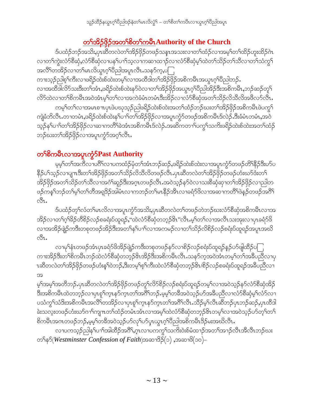# တၫ်အိဉ်ဖိုဉ်အတ<sup>ှ</sup>စိတ႑်ကမီး Authority of the Church

ဒ်ပထံဉ်ဘဉ်အသိး,ပုၤဆီတလဲတၫ်အိဉ်ဖိုဉ်တဖဉ်သနၤာအသးလၢတၫ်ထံဉ်လၢအမ့ၢ်တၫ်ထိဉ်ဟူးထိဉ်ဂဲၤ လၢတၫ်ကွဲးလံာ်စီဆုံ,လံာ်စီဆုံလၢပန႑်ပ႑္ပ်သူလၢကဆ႑ထ႑ာ်လၢလံာ်စီဆုံမှု ထဲတ႑်သိဉ်တ႑်သိလၢတ႑်သံကွ႑် အလိိၤ်တအိဉ်လၢတၤ်မၤလိယ္ပၤဂ့ၤ်ပိညါအပူၤလီၤ သနၥ်က္,ပ ကၢးသုဉ်ညါစ့်၊ကိဳးလၢဖရိဉ်ထဲးစ်ထဲးတမ့်၊လၢအထိဒါတ႑်အိဉ်ဖြဉ်အစိကမိၤအယွၤဂ့ၢိပိညါဘဉ်. လၫအထိဒါလိ5သးဒီးတၫ်အံၤ,ဖရိဉ်ထဲးစ်ထဲးန5်ဝဲလ႑တၫအိဉ်ဖိုဉ်အယွၤဂ့ၫ်ပိညါအိဉ်ဒီးအစိကမိၤ,ဘဉ်ဆဉ်တူ႑် လိ5ထဲလၢတၫ်စိကမိၤအဝဲအံၤမ္ ါတ႑်လၢအကဲခံမံၤတမံၤဒီးအိဉ်လၢလံာ်စိဆုံအတ႑်သိဉ်လိသိလိအဖိလာ်လီၤ. ကမ့္ပ်က႑ဴလၪအမၤစ႑ာပုၤဖဲ့ပဃုသ့ဉ်ညါဖရိဉ်ထဲးစ်ထဲးအတ႑်ထံဉ်ဘဉ်ဃးတ႑်အိဉ်ဖိုဉ်အစိကမီၤဖဲ့ပက္ဂ႑ ကျဲခံဘိလီၤႉတၢတမံၤႇဖရိဉ်ထဲးစ်ထဲးန5်ပ႑ာ်တ၆အိဉ်ဖှိဉ်လၢအပူၤကွံာ်တဖဉ်အစိကမီၤဒ်လဲဉ်ႉဒီးခံမံၤတမံၤႇအဝဲ သူဉိန<sup>ှ</sup>ပၢၢိတၢ်အိဉ်ဖိုဉ်လၢဆၢကတိ်၊ခဲအံၤအစိကမိၤဒ်လဲဉ်ႉအဆိကတၢၢိပက္ဂၢ်သက်းဖရိဉ်ထဲးစ်ထဲးအတၫ်ထံဉ် ဘဉိဃးတ<sup>၎</sup>အိဉ်ဖိုဉ်လၢအပူၤကွံာ်အဂ့<sup>၎</sup>လီၤ*.* 

# တ<sup>ှ</sup>စိကမီးလၫအပူးကွံ**SPast Authority**

မ့မ့််တ႑်အကီလၢပဂိ်လၢပကထံဉ်မှံတ႑်အံၤဘဉ်ဆဉ်,ဖရိဉ်ထဲးစ်ထဲးလၢအပူၤကွံာ်တဖဉ်တိ်နိဉ်ဒီးပာ်ပ နိ5ုပ1်သုဉ်လၢပျπဒီးတ1်အိဉ်ဖှိဉ်အတ1်သိဉ်လိသီလိတဖဉ်လီၤ.ပှၤဆီတလဲတ1်အိဉ်ဖှိဉ်တဖဉ်ဟံးဃာ်ဒီးတ1် အိဉ်ဖိုဉ်အတ႑်သိဉ်တ႑်သီလၢအင်္ဂါဆူဉ်ဒီးအဂ္ဂၤတဖဉ်လီၤ.အဝဲသ့ဉ်နဉ်ဝဲလၢသးစီဆုံဆု၊တ႑်အိဉ်ဖိုဉ်လ႑ည္ပါတ ဖဉ်ကန5်ဘဉ်တ<sup>ှ</sup>မ့်ာက်တိအရှ<sup>8</sup>ဉ်အါမံၤလၢကဘဉ်တ<sup>ှ</sup>မၤနိဉ်အီၤလၢခရံာ်ဖိလၢအဆၢကတိ်ၢဖဲနဉ်တဖဉ်အဂိ<sup>ု</sup> ್ಬಿ.

ဒ်ပထံဉ်တ့််လံတ်မြာလိလၢအပူးကွံာ်အသိႏ့ပုာဆိတလဲတၢ်တဖဉ်တဲဘဉ်ဃးလံာ်စီဆုံအစိကမီးလၢအ အိဉ်လၫတၫ်ဂ့ၫ်ခိဉ်တိစိဉ်လဉ်စခရံးပ်ထူရဉ်,''ထဲလံာ်စီဆုံတဘ့ဉ်&ၤ''လီၤ.မ့ၢ်တၫ်လၢအလီၤသးအုးလၢပှၤခရံာ်ဖိ လၢအအိဉ်ဖျဲဉ်ကဒီးတစုတဖဉ်အိဉ်ဒီးအတၫ်နှၤ်ပၢၤ်လၢအကမဉ်လၢတၤ်သိဉ်လိစိဉ်လှ်စရံးပ်ထူရဉ်အပူၤအဃိ  $\delta$ u

လၢမှ<sup>ု</sup>နံၤတဖဉ်အံၤပုၤခရံာ်<sup>ဖွ</sup>အိဉ်ဖျဲဉ်ကဒီးတစုတဖဉ်နဉ်လၢစိဉ်လဉ်စရံးပ်ထူရဉ်နဉ်ပာ်ဖျဲထိဉ်ပ ကၢးအိဉ်ဒီးတၫ်စိကမိၤဘဉ်ထဲလံာ်စိဆုံတဘ့ဉ်&ၤအိဉ်ဒီးအစိကမိၤလိၤႉသနာ်က့အဝဲအံၤတမ့ၢ်တၫအခ်ီပညီလၢပု ၤဆီတလဲတၫ်အိဉ်ဖိုဉ်တဖဉ်ဟံးနှၤ်ဝဲဘဉ်,ဒီးတမှ္ပါစုၤ်ကီးထဲလံာ်စီဆုံတဘူဉ်&၊/စိဉ်လဉ်စခရံးပ်ထူရဉ်အခ်ီပညီလၤ အ

မှု<sup>င်အမှ</sup>်အတိဘဉ်.ပုၤဆိတလဲတ<sup>၎</sup>အိဉ်ဖိုဉ်တဖဉ်တူ<sup>၎</sup>လိဉ်စိဉ်လဉ်စရံးပ်ထူရဉ်တမ့်<sup>၎</sup>လၢအဝဲသူဉ်နဉ်လံဉ်စီဆုံအိဉ် ႜ<br>ဒီးအစိကမီၤထဲတဘုဉ်လၢပှၤစူၫ်က္ၤနှာ်က္ၤတၫ်အင်္ဂါဘဉ်ႉမ့မ့္ပ်ာတီအဝဲသုဉ်ပာ်အခ်ီပညီလၢလံာ်စီဆုံမ့ှ်လာသ ပသံကွ¶သံဒိးအစိကမီၤအလိဵျာအိဉ်လၢပုၤစူ႞ကူၤနှာ်ကူၤတ႞အဂဵိၤလီၤဆီဉမ္႑်လီၤဆီဘဉ်ပုၤဘဉ်ဆဉ်ႇပုၤထီဒါ ခဲးသလုံးတဖဉ်ဟံးဃာ်ဂၢါကျπတၢ်ထံဉ်တမံၤအံၤလၢအမှၢ်ထဲလံာ်စီဆုံတဘ္ဉါ&ၤတမ့ၢ်လၢအဝဲသ့ဉ်ပာ်တဲ့ၫ်တ႑် စိကမီၤအဂၤတဖဉ်ဘဉ်ႇမ့မ့််ကခီအဝဲသ့ဉ်ဟ်လှၤ်ဟ်ပုၤယ္ဂၤဂ့ၤ်ပိညါအစိကမီၤဒိဉ်မးအဃိလီၤႉ

လၢပကသ့ဉ်ညါန1်ပၫါအါထိဉ်အဂိါႇဂ္ၤလၢပကကွ1်သကိႏ၀ဲးစ်မံထၫဉ်အတၤ်အၫဉ်လီၤအီလီၤဘဉ်ဃး တ႑်နှ $\delta(Westminster$  Confession of Faith)အဆၫဒိ $\beta(\circ)$  ,အဆၫ $\delta(\circ\circ)-$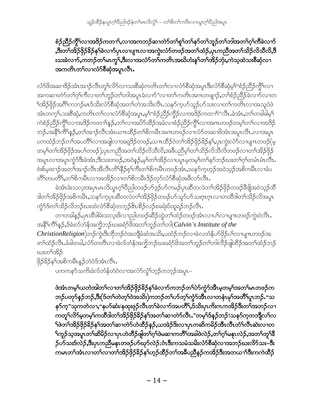#### စံဉ်ညီဉ်ကွိ်််လၢအဒိဉ်ကတၫ်ာ,လၢအကဘဉ်ဆၢတဲာ်တ႑်စူ႑်တ႑်နှာ်တ႑်ဘူဉ်တ႑်ဘါအတ႑်ဂ္ဂါကီခဲလ႑ာ် ,ဒီးတ႑်အိဉ်ဖိုဉ်ခိဉ်န႑်ခဲလ႑ာ်ပှာလ႑ပျπလ႑အကွဲးလံာ်တဖဉ်အတ႑်ထံဉ်ႇပှာကညီအတ႑်သိဉ်လိသီလိ,ဒီ းသးခဲလၫာ်ႇကဘဉ်တ<sup>၎</sup>မၤကွ<sup>၎</sup>,ဒီးလၢအလံာ်တ<sup>ြ</sup>ကတိၤအဃိဟံးန1်တၫ်အိဉ်ဘုံးႇကဲသ့ထဲသးစိဆုံလၢ <u>အကတိၤတ</u>႑်လၫလံာ်စီဆုံအပူၤလီၤ**.**

လံာ်ဖိအဆၢဒိဉ်အံၤအၫဉ်လီၤတူ်လိဉ်လၢသးစိဆုံကတိၤတၢ်လၢလံာ်စိဆုံအပူၤဒီးလံာ်စိဆုံမ့်၊"စံဉ်ညိဉ်ကွိ်ၤလၢ အကဆၢတဲာ်တၫ်ဂ့ၢ်ကီလၢတၫ်ဘူဉ်တၫ်ဘါအပူၤခဲလၢာ်"လၢတၫ်ကတိၤအဂၤတဖျၫဉ်ႇတၫ်စံဉ်ညီဉ်ခဲလၢာ်လၢတ ်<br>ရအိဉ်ဖိုဉ်အဂိ<sup>ု</sup>ကဘဉ်မၤဒ်သိးလံာ်စီဆုံအတ<sup>ြ</sup>တဲအသိးလီၤ.သနၥ်က့ဟ်သူဉ်ဟ်သးလၢတၢ်ကတ်ၤလၢအသူဝဲဖဲ အံၤတက္န1.သးစိဆုံ,ကတိၤတၫ်လၢလံာစိဆုံအပူၤ,မ့<sup>၎</sup>"စံဉ်ညိဉ်ကွိဉ်လၢအမြိဉ်ကတၫ<sup>ရား</sup>လီၤ.ခဲအံၤ,တၫ်တခါခါမှ<sup>၎</sup> ကဲစံဉ်ညှိဉ်ကွိ<sup>ရ</sup>လၢအဒိဉ်ကတ႑)နဉ်,တ<sup>ရ</sup>လၢအပိဉ်ထိဉ်အခံလၢစံဉ်ညှိဉ်ကွိ<sup>ရ</sup>လၢအဂၤတဖဉ်တမ့<sup>ရ</sup>တ<sup>ရ</sup>လၢအဒိဉ် ဘဉ်.အနိ<sup>၎</sup>ကိြန္ဉ်,တၫ်အၫဉ်လီၤအံၤယ႑ာထိဉ်တၫ်စိကမီၤအဂၤတဖဉ်လၢလံာ်တဆၢဖိအံၤအပူၤလီၤ.လၢအပူၤ ပကထံဉ်ဘဉ်တၫ်အပတိႝၤ်လၢအဖျါလၢအရှဒိဉ်တဖဉ်ႇယπထိဉ်ဝဲတၤ်အိဉ်ဖိုဉ်နိဉ်န႑်ႇပုၤကွဲးလံာ်လၢပျ႑ာတဖဉ်(မ့ တမ့္ပ်တ႑်အိဉ်ဖြဉ်အပ႑်တဖဉ်);ပုၤကညီအတ႑်သိဉ်လိသီလိႇအခ်ဳပညီမ့္ပ်တ႑်သိဉ်လိသီလိတဖဉ်လ႑တ႑်အိဉ်ဖြဉ် အပူၤလၢအပူၤက္စႆာဒီးခဲအံၤ;ဒီးသးတဖဉ်ႇအဝဲန္ဥႇဴမ္နါတ႑်အိဉ်လၢပပူၤမ္စတမ္နါတ႑်နာ်ဘဉ်ဃးတ႑်ဂ္ဂါတမံၤမံၤလီၤ. ဝဲးစ်မှထ႑ာ်အတ<sup>၎</sup>အ႑ာ်လီၤအီလီၤတိ<sup>ု</sup>နိုဉ်စ့<sup>၎</sup>ကီးတ<sup>ှ</sup>စိကမိၤတဖဉ်အံၤႇသနၥ်ကဲ့ဟ့ဉ်အဝဲသ့ဉ်အစိကမိၤလၢခံပ တိိၤ်တပတိိၤ,တၤ်စိကမီၤလၢအအိဉ်လၢတၤ်စိကမီၤဒိဉ်တုာ်လံာ်စီဆုံအဖိလာ်လီၤ.

ခဲအံၤခဲးသလုံးအပုၤမၤလိယ္ဂၤဂ့ౕါ၀ိညါတဖဉ်ပာ်အ့ဉ်ပာ်ကမဉ်ပုၤဆီတလဲတၤ်အိဉ်ဖိုဉ်တဖဉ်ခီဖိုုအဝဲသ့ဉ်ထိ ဒါတၫ်အိဉ်ဖှိဉ်အစိကမိႆး,သန5်က္ခပှၤဆိတလဲတၫ်အိဉ်ဖှိဉ်တဖဉ်ပာ်သူ5်ပာ်သးဂ္ၤဂ္ၤလၤတထိဒါတ႑်သိဉ်လိအပူၤ ကွံာ်ဒ်တ႑်သိဉ်လိဘဉ်ဃးထဲလံာ်စီဆုံတဘ့ဉ်&ၤ/စိဉ်လဉ်စခရံးပ်ထူရဉ်ဘဉ်လီၤႉ

တၫတခါနဉ်ႇပှၤထိဒါခဲးသလူးဖိလ႑ညါတဖဉ်ဆိဉ်ထွဲတၫ်ထံဉ်တဖဉ်အံၤလၢပ႑်လၢပျ႑ာတဖဉ်ကွဲးဝဲလိၤႉ အနိ<sup>၎</sup>ကိြန**ှ**ဉ်,§ခဲးလ်ဘံန်အကွိဘဉ်ဃးခရံဉ်ဖိအတ႑်ဘူဉ်တ႑်ဘါ(*Calvin's Institute of the ChristionReligion*)ဘဉ်ကွဲးဒီးဘိုဘဉ်ဝဲအဘျိံခံဆံအသိး,ပထံဉ်ဘဉ်လၢခဲလဘံန်ပာ်ဖှိဉ်ပါလၢပျ႑တဖဉ်အ တၫ်ထံဉ်လီၤႉခံခါတခါ,လံာ်တတိၤလၢခဲလ်ဘံန်အကွိဘဉ်ဃးခရံာ်<sup>8</sup>အတ႑်ဘူဉ်တ႑်ဘါလီဉ်ဖျဲထိဉ်အတ႑်ထံဉ်ဘဉ် ဃးတౕအိဉ်

ဖိုဉ်3်ဉန်ရ်အစိကမီးနဉ်တဲဝဲဒ်အံၤလီး.

ပကကနာ်သက်ိဳးခဲလ်ဘံန်တဲဝဲလၢအလံာ်လွံ<sup>ရ</sup>ဘုဉ်တဘုဉ်အပူၤ−

ဖဲအံၤတမ့္ပ်ကတဲ့အျတ}လၫတ}အိဉ်ဖိုဉ်ခိဉ်န}ခဲလ႑ာ်ကဘဉ်တ}ပဲာ်ကွဲာ်အီၤမ့တမ့}အတ}မၤတဖဉ်က ဘဉ်ပတု>်နဉ်ဘဉ်,ဒီး(ဒ်တ<sup>ှ</sup>လဲတ့ှ်လဲအသိး)ကဘဉ်တ ်ပာ်တ့်ကွဲ>်အီၤလၢတနံၤမှ<sup>၎</sup>အတိိ၊်ပူၤဘဉ်۰"သ နာ်က္"သုကတဲလၫႇ"နပာ်ဆံး/နထုးဖုဉ်လီၤတၫ်ခဲလၫာ်အပတိိၫႇဒ်သိးပုၤကိးကကအိဉ်ဒီးတၫ်အဘဉ်လ႑ ကတူၫ်လိ9်မှတမ့်ၫ်ကထိဒါတ႑်အိဉ်ဖိုဉ်နိဉ်နှၤ်အတ႑်ဆ႑တဲ9်လီၤႉ"တမ့ၤ်ဒ်နှဉ်ဘဉ်!သန9်က့တဘျီလၤ်လ ်ဖဲတ်အိဉ်ဖိုဉ်ခိဉ်နှ်အတ်ဆာတဲ့ာ်ဟဲထိဉ်နှဉ်,ယအဲဉ်ဒိးလာပုၤကဆိကမိဉ်အီၤလီၤတံ်ၤလီၤဆဲးလာတ <sup>၎</sup>ကူဉ်သ့အပူၤတ<sup>၎</sup>ဆိမိဉ်လၫပှၤဟဲတိဉ်ဖျဲတ႑်ဂ့<sup>၎</sup>ဖဲမဆ႑ကတိႝၤ်အခါဖဲလဲဉ်ႇတ႑်ဂ့<sup>၎</sup>မနၤလဲဉ်ႇအတ႑်တူ<sup>၎ရွှ</sup> ှာ်ပာသားဒ်လဲှဉ်,ဒီးပှၤကညီမနုၤတဖဉ်ဟ်ဃုာ်လဲှဉ်;ဝံၤဒီးကသမံသမိးလံာ်စိဆုံလၢအဘဉ်ဃးလိာ်သး–ဒီး ကမၤတ<sup>၎</sup>အံၤလၫတ<sup>၎</sup>လၫတ<sup>၎</sup>အိဉ်ဖိုဉ်<sup>ရွ</sup>ဉ်နှိုဟ့ဉ်ထိဉ်တ<sup>၎</sup>အဓိပညီနဉ်ကအိဉ်ဒီးအတယၫ်ဒီးကကဲထိဉ်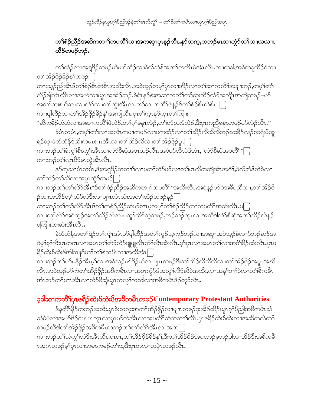### တ¶်စံဉ်ညီဉ်အဆိကတ႑ာ်တပတိဵြလ႑အကဆု႑ပုၤန္ဉာ်လီၤႉနာ်သက္ႇတဘဉ်မၤဘၫက္ငံာ်တ႑်လ႑ယယπ ထီဉ်တဖဉ်ဘဉ်.

တၫ်ထံဉ်လၫအရှ<sup>8ှ</sup>ဉ်တဖဉ်ဟဲပၫၢ်ထိဉ်လၫခဲလ်ဘံန်အတၫ်ကတိၤဖဲအံၤလီၤႉတၢတခါ,အဝဲတခူထိဉ်ဝဲလ႑ တ႑်အိဉ်ဖိုဉ်ခိဉ်နှၤ်တဖဉ်ြ

ကၢးသ့ဉ်ညါအီၤဒ်တၫ်စံဉ်စိၤတဲစိၤအသိးလီၤႉအဝဲသ့ဉ်တမ့ၢ်ပှၤလၢအိဉ်လၢတၫ်ဆၢကတိႝၤ်အချာဘဉ်ႇတမ့ၢ်တ႑် လီဉ်ဖျါလိၤလိၤလၢအဟဲလၢယွၤအအိဉ်ဘဉ်.ဖဲရံၤနဉ်စဲးအဆၢကတိႝၤ်တးထိုဥလံာ်အကျိၤအကျဲတဖဉ်–ဟ် အတ႑်သးစၫါဆၫလၫလံာ်လၫတၤ်ကွဲးအီၤလၫတၤ်ဆ႑ကတိႝၤဖဲနှဉ်ဒ်တၢ်စံဉစိၤတဲစိၤ–ြ ကၢးဖျါထိဉ်လၢတၫ်အိဉ်ဖှိဉ်နိဉ်နှၤ်အကျါလီၤ.ပှၤစူၤ်က္ၤနှာ်က္ၤတၤ်ကြၢး

"ဆိကမိဉ်ထံထံလၢအဆၢကတိႝၤ်ဖဲလဲဉ်ႇတ႑်ဂ္ဂါမနုၤလဲဉ်ႇတ႑်ပာ်သးဒ်လဲဉ်ႇဒီးပုၤကညီမနုၤတဖဉ်ပာ်လဲဉ်လီၤႉ" ခံမံၤတမံၤႇတမ့<sup>၎</sup>တၫ်လၢအလီၤကမၢကမဉ်လၢပကထံဉ်လၢတၫ်သိဉ်လိသိလိဘဉ်ဃးစိဉ်လဉ်စခရံးပ်ထူ

ရဉ်ဆုၢခဲလ်ဘံန်ဒ်သိးကမၤစ႑ာအီၤလၢတၫ်သိဉ်လိလၢတၫ်အိဉ်ဖိုဉ်ပူးြု ကၫးဘဉ်တၫ်ခံကွၫ်စီၤကွၫ်အီၤလၢလံာ်စီဆုံအပူၤဘဉ်လီၤအဝဲဟ်လီၤဝဲဒ်အံၤႇ"လံာ်စီဆုံအပတိၢ်"ြ ကၫးဘဉ်တ႑်လူၤပိဉ်မၤတဲ့အီၤလီၤ.

နာ်ကွသၤမံၤတမ<mark>ံၤ,</mark>ဒီးအရှ<sup>8</sup>ဉ်ကတ႑ါလၢပတ႑်တိာ်ပာ်လၢတ႑်မၤလိတဘျိအံၤအဂိါ,ခဲလ်ဘံန်တဲဝဲလၢ တ႑်သိဉ်တ႑်သိလၢအပူၤက္စံဉ်တဖဉ်ြ

ကၫးဘဉ်တၫ်တူၫ်လိဉ်အီၤ"ဒ်တၫ်စံဉ်ညိဳဉ်အဆိကတ႑ာ်တပတိၢ်"အသိးလီၤႉအဝဲနဉ်ပာ်ဝဲအခ်ီပညီလ႑တ႑်အိဉ်ဖို ှ်လၢအအိဉ်တ့်ယံာ်လံဒီးလၢပျπလံၤလံၤအတၤ်ထံဉ်တဖဉ်နဉ်ြ

ကၢးဘဉ်တၫ်တူၫ်လိ်ာအီၤဒ်တၫ်ကစံဉ်ညီဉ်ဆိပာ်စπမ့တမ့ၢ်တၫ်စံဉ်ညီဉ်တၢတပတိႝၤ်အသိးလီၤ.ပြု ကၢးတူၫ်လိ်ာအဝဲသူဉ်အတ႑်သိဉ်လိလၢပတူၫ်လိ်ာသ့တဖဉ်ႇဘဉ်ဆဉ်တုၤလၢအထိဒါလံာ်စိဆုံအတ႑်သိဉ်လိန္ဉဉ် ပကြုံးဟးဆုံးအီၤလီၤ.

ခဲလ်ဘံန်အတ<sup>၎</sup>ရဲဉ်တ<sup>၎</sup>ကျဲၤအံၤဟ်ဖျါထိဉ်အတ<sup>၎</sup>ကူဉ်သ့ကူဉ်ဘဉ်လၢအဆှၢအဝဲသ့ဉ်ခဲလၫာ်ဘဉ်ဆဉ်အ ဝဲမ့<sup>၎</sup>စ့<sup>၎</sup>ကီးပှၤတဂၤလၢအမၤတ<sup>၎</sup>တဲာ်တဲာ်ဖျဖျုလီၤတံ<sup>၎</sup>လီၤဆဲးလီၤ.မ့<sup>၎</sup>ပှၤလၢအမၤတ႑်လၢအငံၫ်ခိဉ်ထံးလီၤ.ပှၤဖ ရိဉ်ထဲးစ်ထဲးဖိအါကန1်ပၫါတ1်စိကမီၤလၢအထိအံၤြ

ကၢးဘဉ်တၫ်ဟ်ပနိဉ်အီၤမ့ၢ်လၢအဝဲသ့ဉ်ဟ်ဒိဉ်ပၢ်လၢပျπတဖဉ်ဒီးတၫ်သိဉ်လိသိလိလၢတၫ်အိဉ်ဖိုဉ်အပူၤအဃိ လီၤႉအဝဲသ့ဉ်ဟ်ကဲတၫ်အိဉ်ဖိုဉ်အစိကမီၤလၢအပူၤကၠံာ်ဒ်အတူၫ်လိာ်ဆိဝဲအသိႏႇလၢအနှၤ်ပၢၤ်ဝဲလၢတၤ်စိကမီၤ အံၤဘဉ်တၫ်ပπအိၤလၢလံ႒်စီဆုံယွπကလုၤ်ကထါလၢအစိကမဵာဒိဉ်တု႒်လီၤ.

### ခ့ခါဆၫကတိႝၲပုၤဖရိဉ်ထဲးစ်ထဲးဖိအစိကမိၤတဖဉ် Contemporary Protestant Authorities

ဒ်နတိ<sup>႖န္</sup>႙်ကဘဉ်အသိး,ၦၤခဲးသလ္းအတ<sup>၎</sup>အိဉ်ဖှိဉ်လၫပျπတဖဉ်ဒုးအိဉ်ထိဉ်ယွπဂ့<sup>၎</sup>ပီညါအစိကမိၤသံ သံမံမံလาအပာ်ဒိဉ်ဝဲပၤပၤတုၤလၢပုၤပာ်ကဲအိၤလၢအပတိႝၤ်ထိကတၫ်လိၤႉပုၤဖရိဉ်ထဲးစ်ထဲးလၢအဆီတလဲတ႑် တဖဉ်ထိဒါတ<sup>၎</sup>အိဉ်ဖိုဉ်အစိကမိၤတဘဉ်တ<sup>၎</sup>တှ<sup>၎</sup>လိ9်အိၤလၢအတြ

ကၢးဘဉ်တ1်သံကွ1်သံဒိးအိၤလိၤ.ပၤပၤ,တ1်အိဉ်ဖိုဉ်နိဉ်န1်,ဒီးတ1်အိဉ်ဖိုဉ်အပှၤဘဉ်မူဘဉ်ဒါလၢအိဉ်ဒီးအစိကမီ ၤအဂၤတဖဉ်မ့ှါပုၤလၢအမၤကမဉ်တ႑်သူဒီးပုၤတလၢတပုဲၤတဖဉ်လီၤ.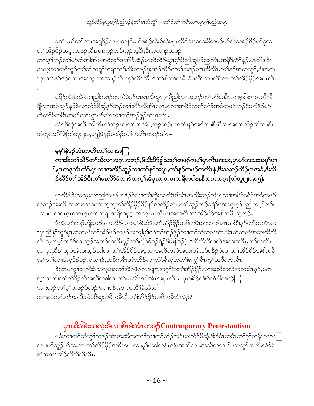ခဲအံၤႇမ့<sup>၎</sup>တ႑်လ႑အရုဒိဉ်လ႑ပကန႑်ပ႑ါဖရိဉ်ထဲးစ်ထဲး/ပုၤထိဒါခဲးသလူးဖိတဖဉ်ဟ်ကဲသရဉ်ဒိဉ်ဟ်စုလ႑ တၫ်အိဉ်ဖိုဉ်အပူၤတဖဉ်လီၤႉပုၤကူဉ်ဘဉ်ကူဉ်သ့ဒီး,ဒီးကထၢဉ်တဖဉ်ြ ကၫးန1်ဘဉ်တ1်ပာ်ကဲအါအါဖဲအဝဲသ့ဉ်ဒုးအိဉ်ထိဉ်မၤသိထိဉ်ယွၤဂ့ၫ်ပိညါဆူမဲာ်ညါလီၤ.အနိ<sup>၎</sup>ကိ်ါနှဉ်,ပုၤထိဒါခဲး သလူးလၢတၫ်ဘူဉ်တၫ်ဘါကၡု၊်ကရၢတဒ်သိးတဖဉ်ဒုးအိဉ်ထိဉ်ဝဲတၫ်အၫဉ်လီၤအိလီၤႇတၫ်နဉ်အတက္ဂိၤ်နီးအတ ႝဈ႞တ႞န>်ဒဉ်ဝဲလၫအဘဉ်တ႞အ႑ာ်လီၤတူ႞လိာ်အီၤဒ်တ႞စိတ႞ကမဵိၤခံပတိႆ႞တပတိႆ႞လၫတ႞အိဉ်ဖြဉ်အပူၤလီၤ

ဖရိဉ်ထဲးစ်ထဲးလ႑ညါတဖဉ်ပာ်ကဲဝဲဒဉ်ပုၤမၤလိယ္ဇၤဂ့ၫ်ပီညါလ႑အဘဉ်တ႑်ပာ်စုအိၤလ႑ခ့ခါဆ႑ကတိ<sup>႖န္ဓ</sup> ဖြိုလၢအဝဲသူဉ်နဉ်ဝဲလၢလံာ်စီဆုံနဉ်ဘဉ်တ႑်သိဉ်လိအီၤလၢပုၤလၢအပိာ်ကစ႑်ခရံာ်အခံတဖဉ်ဘဉ်ဒီးပာ်ဒိဉ်ပာ် ကဲတၫ်စိကမီၤတဖဉ်လၢယွၤဟ်လီၤလၢတၫ်အိဉ်ဖိုဉ်အပူၤလီၤ.

လံာ်စီဆုံအတိၤအါတိၤတဲဘဉ်ဃးတၫ်ဂ့ၢ်အံၤ,ဘဉ်ဆဉ်ပကဟံးန႑်အဒိလၢစီၤပီလူးအတ႑်သိဉ်လိလၢစီၤ တံတူးအဂ်ိ<sup>ရဲဖွဲ</sup>(တံတူး၂း၁,၁၅)ဖဲနဉ်ပထံဉ်တ<sup>၎</sup>ကတိၤတဖဉ်အံၤ–

#### မွမ့်နဲ့ဒဉ်အံၤကတိၤတ႑်လၢအာြ ကၫးဒီးတ႑်သိဉ်တ႑်သိလၫအဂ္ဂၤအဘဉ်ႇဒ်သိးပိ>်ခွါသးပှ႑်တဖဉ်ကမ့္ပ်ပှၤကီၤအသးႇပုၤဟ်အသးသပှ႑်ပှ႑ ်ႇၦၤကဒုလီၤတံ််ႇၦၤလၢအအိဉ်ဆူဉ်လၢတ်နာ်အပူၤႇတ်နေ့ဉ်တဖဉ်ကတိၤနဲႇဒီးသဆဉ်ထိဉ်ၦၤအခံႇဒီးသိ ဉ်ဃီဉိတ်ၫအိဉ်ဒီးတ႑်မာလိ႒်ခဲလၫာ်တက့်ၫ.မ်ပှာသုတမာတရိတပါနာနိတကတဂ္ $\tau$ (တံတူး၂း၁,၁၅).

ပှၤထိဒါခဲးသလုးလၫညါတဖဉ်မၤနိဉ်ဝဲလၢတ<sup>ု</sup>ကွဲးအါတီၤဒ်အံၤအသိးသိဉ်လိပှၤလၢအပိဉ်ခရံဉ်အခံတဖဉ် ကဘဉ်အးလီၤအသးတသ့ဖဲအသ့ဆူတ<sup>ရ</sub>်ဒ်ဉ်ဖိုဉ်နှိန်နှုအအိဉ်လီၤ.တ<sup>ရ</sup>သူဉ်ထိဉ်ခရံာ်<sup>ဖွဲ</sup>အယွπဂ့ါပိညါတမ့ါတ<sup>ရုံ</sup>မ</sup> ၤလၢပှၤတဂၤဂ့ၤတဂၤဂ့ၤတၫ်ကရၢကရိတဖုဂ္ၤတဖုဂ္ၤမၤလိၤဖးအသးဒီးတၫ်အိဉ်ဖိုဉ်အစိကမဵၤသ့ဘ $\overline{\mathcal{S}}$ .

ဒ်သိးတၫ်ဘဉ်ဘိုုးဘဉ်ဒါကအိဉ်လၢလံာ်စီဆုံဒီးတ႑်အိဉ်ဖိုဉ်အစိကမိၤအဘ႑ာ်စπအဂိါနဉ်တ႑်ကတိၤလ ၢၦၤညီန<sup>ှ</sup>သူဝဲပှၤဆီတလဲတ<sup>၎</sup>အိဉ်ဖိုဉ်တဖဉ်အကျိမ့<sup>၎</sup>ဝဲ"တ<sup>၎</sup>အိဉ်ဖိုဉ်လၢတၫ်ဆီတလဲအိၤအံၤဆီတလဲအသးထိဘိ လီၤ"မ့တမ့်ၫတခ်ိဒ်လးတ့ဉ်အတ႑်ကတိၤဖုဉ်ကိ5်ဖိ(စဲမ်ဖဉ်ရံဉ်ဖီးမဲန်ဒဉ်)–"ထိဘိဆီတလဲအသး"လီၤႉတ႑်ကတိၤ လၢပုၤညီနှၤ်သူဝဲအံၤဒုးသူဉ်ညါလၢတၫ်အိဉ်ဖိုဉ်အဒ္ဒလၢအဆီတလဲအသးအံၤဟ်ပနိဉ်ဝဲလၢတၫ်အိဉ်ဖိုဉ်အစိကမီ ၤမ္โတၤ်လၢအရှုဒိဉ်ဒဉ်ကယၢဉ်,အစိကမိၤအံၤအိဉ်လၢလံာ်စိဆုံအတၤ်ခံကွၤ်စီၤကွၤ်အဖိလာ်လီၤ.

ခဲအံၤပက္ဂ<sup>ရ</sup>သက်ိးခဲသလုံးအတၫ်အိဉ်ဖိုဉ်လၢပျπအဂ္<sup>ရ</sup>ဒီးတၫ်အိဉ်ဖိုဉ်လၢအဆီတလဲအသးဝံၤန္ဉ**်,**ပက ကွ်၊သကိႏတ႑်ဂုၢိနိဉ်တိအသိတခါလၢတ႑်မၤလိတခါအံၤအပူၤလီၤ.–ပှၤဖရိဉ်ထဲးစ်ထဲးဖိတဖဉ်ြ ကၢးထံဉ်တၫ်ဂ္ဂါတဖဉ်ဒ်လဲဉ်?လၢပစိၤဆၢကတိႝၤ်ခဲအံၤပြု ကၫးနှာ်တၫ်ဘဉ်ဃးဒီးလံာ်စီဆုံအစိကမီၤဒီးတၫ်အိဉ်ဖိုဉ်အစိကမီၤဒ်လဲဉ်?

# <u>ပှာထိခါခဲးသလူးဖိလာစိုကဲဆံုတဖဉ် Contemporary Protestantism</u>

ပစံးဆၢတၫ်သံကွၢ်တဖဉ်အံၤအဆိကတၫၢ်လၢတၫ်ထံဉ်ဘဉ်ဃးလံာ်စီဆုံ,ဒီးခံမံၤတမံၤတၢ်ဂ့ၢ်တနိၤလၢပြု ကၢးဟ်သူဉ်ဟ်သးလၢတ<sup>်</sup>၊အိဉ်ဖှိဉ်အစိကမိၤလၢမုၢိမဆါတနံၤအာဂ္ဂၢိလိၤႉအဆိကတၢၢိပကကွ<sup>၎</sup>သက်ိးလံာ်စီ ဆုံအတ႑်သိဉ်လိသီလိလီၤ.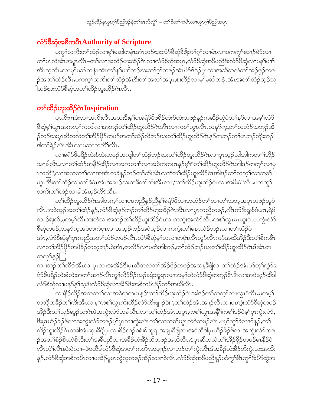### လံာ်စီဆုံအစိကမ်ိဳၤAuthority of Scripture

ပက္ဂ<sup>ရ</sup>သကိႏတၫ်ထံဉ်လၢမှၫ်မဆါတနံၤအံၤဘဉ်ဃးလံာ်စီဆုံဒီဖျိတၫ်ဂ့ၫ်သၢမံၤလၢပကကွ<sup>၎</sup>ဆ႑ာ်မဲာ်လၢ တၫ်မၤလိအံၤအပူၤလီၤ–တ႑်လၢအထိဉ်ဟူးထိဉ်ဂဲၤလၢလံ႒်စီဆုံအပူၤ,လံ႒်စီဆုံအခ်ဳပညီဒီးလံ႒်စီဆုံလၢပန႑်ပၢ႑် အီၤသ္ဇလီၤႉလၢမှၫ်မဆါတနံၤအံၤတၫ်နှၤ်ပၢၤ်ဘဉ်ဃးတၤ်ဂ့ၤ်တဖဉ်အံၤ $8$ ာ်ဒ်ဒဉ်ပုၤလၢအဆီတလဲတၤ်အိဉ်ဖိုဉ်တဖ ဉ်အတၫ်ထံဉ်လီၤ.ပကကွ ်သက်ိးတ႑်ထံဉ်အံၤဒီးတ႑်အလှၤ်အပူၤ,စးထိဉ်လၢမှၤ်မဆါတနံၤအံၤအတ႑်ထံဉ်သူဉ်ည ါဘဉ်ဃးလံာ်စီဆုံအတ႑်ထိဉ်ဟူးထိဉ်ဂဲၤလီၤ.

## တ<sup>ှ</sup>ထိဉ်ဟူးထိဉ်ဂဲၤInspiration

ပှၤကိႏၵၤဒဲးလၢအကိႏလ်ိၤအသးဒိီးမ့<sup>၎</sup>ပှၤခရံဉ်<sup>ပွဲ</sup>ဖရိဉ်ထဲးစ်ထဲးတဖဉ်နဉ်ကဆိဉ်ထွဲဝဲတ<sup>၎</sup>နာ်လၢအမ့<sup>၎</sup>လံဉ် စီဆုံမ့<sup>ရ</sup>ယ္ဂၤအကလု<sup>ရ</sup>ကထါလၫအဘဉ်တၫ်ထိဉ်ဟူးထိဉ်ဂဲၤအီၤလၫကစၫ်ယွၤလီၤႉသနၥ်က္,တ႑်သဘံဉ်သဘုဉ်အိ ဉ်ဘဉ်ဃးပှၤဆီတလဲတၫ်အိဉ်ဖှိဉ်တဖဉ်အတ႑်သိဉ်လိဘဉ်ဃးတ႑်ထိဉ်ဟူးထိဉ်ဂဲၤန္ဉာ်ကဘဉ်တ႑်မၤဘဉ်ဘိုးဘဉ် ဒါတౕၢရဲဉ်လီၤအီၤလၢပဆၢကတိၲၢလီၤ.

လၢခရံာ်ဖိဖရိဉ်ထဲးစ်ထဲးတဖဉ်အကျါတၫ်ထံဉ်ဘဉ်ဃးတၫ်ထိဉ်ဟူးထိဉ်ဂဲၤလၢပုၤသ့ဉ်ညါအါကတ႑ၢ်အိဉ် သၢခါလီၤႉလၢတၫ်ထံဉ်အနိဉ်ထိဉ်လၢအကတၢၤ်လၢအဝဲတကပၤန္ဉာ်မ့ၤ်"တၤ်ထိဉ်ဟူးထိဉ်ဂဲၤအါဒဉ်တက့ၤ်လၢပု ၤကညီ",လၢအကတၫ်လၢအအံၤတခ်ိန္ဉာိဘဉ်တၫ်ကိုးအီၤလၫ"တၫ်ထိဉ်ဟူးထိဉ်ဂဲၤအါဒဉ်တၫ်တက္၃်လၢကစ႑် ယ္မွၤ"ဒီးတၫ်ထံဉ်လၢတၫ်ခံမံၤအံၤအခ႑ဉ်သးတခ်ီတၫ်ကိုးအိၤလၢ,"တၫ်ထိဉ်ဟူးထိဉ်ဂဲၤလၢအဖိႏမံ"လီၤ.ပကကွ႑် သကိႏတၫ်ထံဉ်သၢခါအံၤဖုဉ်ကိ5်လီၤ.

တၫ်ထိဉ်ဟူးထိဉ်ဂ်ၤအါတက့<sup>၎</sup>လၫပုၤကညီနဉ်ညီနှ<sup>ရ</sup>ခံရာပိလၫအထံဉ်တ႑်လၫတ႑်သဘျအပူၤတဖဉ်သူဝဲ လီၤ.အဝဲသ့ဉ်အတၫ်ထံဉ်နဉ်,လံာ်စီဆုံနဉ်ဘဉ်တၫ်ထိဉ်ဟူးထိဉ်ဂဲၤအီၤလၢပုၤကညီတဖဉ်,လီၤက်ဒီးရှုးစ်ဖံယၤ,ရဲမ် သၫဉ်ရဲးထ်,မှတမ့ါ်လီၤဘးကဲလၢအဘဉ်တါ်ထိဉ်ဟူးထိဉ်ဂဲၤလၢကကွဲးအလံာ်လီၤႉကစါယွၤမၤဟူးဂဲၤပုၤကွဲးလံာ် စီဆုံတဖဉ်ႇသနၥ်က့အဝဲတကဲပုၤလၢအဟ့ဉ်ကူဉ်အဝဲသ့ဉ်လၢကကွဲးတၫ်မနုၤလဲဉ်ဘဉ်ႉလၢတၫ်ထံဉ်ဖဲ အံၤႇလံာ်စီဆုံမှၤ်ပုၤကညီအတၤ်ထံဉ်တဖဉ်လီၤႉလံာ်စီဆုံမ့ၤ်တလၢတပုဲၤလီၤတူာ်လီၤကာ်အဃိအိဉ်ဒီးတၤ်စိကမီၤ လၢတၫ်အိဉ်ဖိုဉ်အဖိခိဉ်တသ့ဘဉ်.ခဲအံၤ,တလိဉ်လၢပတဲအါဘဉ်,တၫ်ထံဉ်ဘဉ်ဃးတၫ်ထိဉ်ဟူးထိဉ်ဂဲၤဒ်အံၤတ ကလုာ်နဉ်ြ

ကၫးဘဉ်တ<sup>ြ</sup>ထိဒါအိၤလၫပုၤလၢအအိဉ်ဒီးပုၤဆီတလဲတၫ်အိဉ်ဖိုဉ်တဖဉ်အသး,ဒီဖိုုလၫတၫ်ထံဉ်အံၤပာ်တ့ၫ်ကွဲာ်ခ ရံာ်<sup>8</sup>ဖရိဉ်ထဲးစ်ထဲးအတ<sup>ှ</sup>အၫဉ်လီၤတူၫ်လိာ်စိဉ်ယဉ်ခရံးထူရာလ<sup>ျ</sup>အမှ<sup>ြ</sup>ထဲလံာ်စီဆုံတဘ့ဉ်&ာဒီးလၢအဝဲသ့ဉ်ထိဒါ လံာ်စီဆုံလၢပနၥ်န္ ်သူဒီးလံာ်စီဆုံလၢအိဉ်ဒီးအစိကမီၤဒိဉ်တုာ်အဃိလီၤ.

လၢနိ5ုထိဉ်အကတ႑ၢ်လၢအ၀ဲတကပၤန္ဉာဴ"တ႑်ထိဉ်ဟူးထိဉ်ဂဲၤအါဒဉ်တ႑်တက္နၤ်လၢယ္ဓၤ"လီၤ.မ့တမူ႑် တဘျီတခ်ိဳဉ်တၫ်ကိုးအီၤလၢ,"ကစၫ်ယွၤကိုးထိဉ်လံာ်ကိုးဖျၫဉ်ဒဲး",တၫ်ထံဉ်အံၤအၫဉ်လီၤလၢပုၤကွဲးလံာ်စီဆုံတဖဉ် အိဉ်ဒီးတၫ်သူဉ်ဆူဉ်သးဂဲၤဖဲအကွဲးလံဉ်အခါလီၤႉလၢတၫ်ထံဉ်အံၤအပူၤႇကစ႑်ယွၤအနိ႑်ကစ႑်ဒဉ်ဝဲမ့႑်ပုၤကွဲးလံဉ်, ဒီးပုၤဟိဉ်ခိဉ်ဖိလၢအကွဲးလံာ်တဖဉ်မ့ှ်ပုၤလၢကွဲးလီၤတ႑်လၢကစ႑်ယွၤတဲဝဲတဖဉ်လီၤ.ပမ့ှ်ကွ<sup>၎</sup>ခဲလၢာ်နဉ်,တ႑် ထိဉ်ဟူးထိဉ်ဂဲၤတခါအံၤဆုၫဒီဖျိပှၤလၫစိဉ်လဉ်စရံးမ်ထူရၤအချၫဒိဖျိလ႑အဝဲထိဒါပှၤဟိဉ်ခိဉ်ဖိလ႑အကွဲးလံာ်တဖ ဉ်အတၫ်စံဉ်စိၤတဲစိၤဒီးတၫ်အခ်ိဳပညီလၫအခဵိဉ်ထံးခဵဉ်ဘိတဖဉ်အဃိလီၤ.ဒ်ပုၤဆီတလဲတၫ်အိဉ်ဖိုဉ်တဖဉ်မၤနီဉ်ဝဲ လီၤတံၤ်လီၤဆဲး၀ဲလ႑–ဖဲပထိဒါလံာ်စိဆုံအတၤ်ကတိၤအဖျာဉ်လၢဘဉ်တၤ်ကွဲးအီၤဒ်အခီဉ်ထံးခ်ိဉ်ဘိကွဲးသးအသိး န5်,လံာ်စီဆုံအစိကမိၤလၢပအိဉ်မူမၤထွဲသ့တဖဉ်အိဉ်သဒၢဝဲလီၤ.လံာ်စီဆုံအခ်ိပညီနဉ်ပခံကွ<sup>၎</sup>ဗီၤကွ<sup>၎ဒြီး</sup>ပိာ်ထွဲအ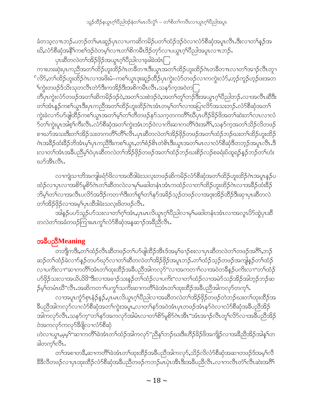သူဉ်ထိဉ်နယွာဂ့ါ်ပီညါဒဉ်နဲတါမာလိလွံ1် – တါစိတါကပီၤလၢယွာဂ့ါပီညါအပူာ

ခံတသ့လπဘဉ်ႇပဘဉ်တၫ်မၤဆူဉ်ပှၤလၢပကဆိကမိဉ်ပတၫ်ထံဉ်ဒဉ်ဝဲလၢလံာ်စီဆုံအပူၤလီၤ.ဒီးလၢတၫ်နှဉ်အ ဃိႇလံာ်စီဆုံအနိ<sup>ု</sup>ကစ<sup>်</sup>၊ဒဉ်ဝဲတမှ်၊လπတၫ်စိကမီၤဒိဉ်တုာ်လၢပယ္ပၤဂ့ၢိပိညါအပူၤလπဘဉ်ႉ

ပုၤဆီတလဲတၫ်အိဉ်ဖိုဉ်အယွၤဂ့ၢ်ိပညါလၢခ့ခါခဲအံၤြ

ကၢးဟးဆုံးပုၤကညီအတၫ်ထိဉ်ဟူးထိဉ်ဂဲၤတခ်ိတ႑ာဒီးယွာအတ႑်ထိဉ်ဟူးထိဉ်ဂဲၤတခ်ိတ႑ာလ႑တ႑်အ႑ာဉ်လီၤတူ႑ ်လိ9်,တ<sup>ြ</sup>ထိဉ်ဟူးထိဉ်ဂဲၤလၢအဖိးမံ–ကစ<sup>႑</sup>ယွၤဒုးဆူဉ်ထိဉ်ပှၤကွဲးလံာ်တဖဉ်လၢကကွဲးလံ9်,ဟ့ဉ်ကူဉ်ဟ့ဉ်ဖးအတ ်ကွဲးတဖဉ်ဒ်သိးသုတလီၤတဲဉ်ဒီးကအိဉ်ဒီးအစိကမိၤလီၤႉသနဉ်က္ခအဝဲတြ

တီပုၤကွဲးလံာ်တဖဉ်အတၫ်ဆိကမိဉ်ဒဉ်ဝဲ,အတ႑်သးစဲဒဉ်ဝဲ,အတ႑်တူ႑်ဘဉ်ဒီးအယွၤဂ့ၫ်ပီညါဘဉ်ႉလၢအလီၤဆီဒီး တၫ်အံၤနဉ်ကစၢ်ယွၤဒီးပုၤကညီအတၫ်ထိဉ်ဟူးထိဉ်ဂဲၤအံၤတမ့ၢ်တၫလၢအပြၢလိာ်အသးဘဉ်ႉလံာ်စီဆုံအတ႑်

ကွဲးခဲလၫာ်ပာ်ဖျါထိဉ်ကစၢ်ယွၤအတ႑်မှၤ်တၤ်တိတဖဉ်နာ်သက့တကတိႝၤ်ဃိပုၤဟိဉ်ခိဉ်ဖိအတ႑်ဆဲးတ႑်လၤလၢလံ ာ်တ<sup>ရ</sup>ကွဲးပူၤအါစ့<sup>၎</sup>ကီးလီၤႉလ်ာ်စီဆုံအတ<sup>ရ</sup>ကွဲးအံၤဘဉ်ဝဲလၢကိႏၶာကတိ<sup>ရ</sup>ဒ်းအင်္ဂိ<sup>ရ</sup>,သနာ်က့အတ႑်သိဉ်လိတဖဉ် စၢဃာ်အသးဒီးတၫ်အိဉ်သးတကတိႝၫတိႝၫလီၤႉပှၤဆီတလဲတၫ်အိဉ်ဖှိဉ်တဖဉ်အတၫ်ထံဉ်ဘဉ်ဃးတၫ်ထိဉ်ဟူးထိဉ် ဂဲၤအခ်ိႆာ်ထံးခ်ိႆာ်ဘိအံၤမ့္ပ်ပ္ၤကညီဒီးကစၤ်ယွၤ,တၤ်စံဉ်စိၤတဲစိၤဒီးယွၤအတၤ်မၤလၢလံာ်စိဆုံဒိတဘ့ဉ်အပူၤလီၤ.ဒိ းလၢတၫ်အံၤအခ်ီပညီမ့ၢ်ဝဲပှၤဆီတလဲတၫ်အိဉ်ဖှိဉ်တဖဉ်အတၫ်ထံဉ်ဘဉ်ဃးစိဉ်လဉ်စခရံးပ်ထူရဉ်နဉ်ဘဉ်တၫ်ဟံး ဃာ်အီၤလီၤ.

လၫကျဲသၫဘိအကျါခရံာ်ဖိလ႑အထိဒါခဲးသလ္းတဖဉ်ဆိကမိဉ်လံာ်စီဆုံအတ႑်ထိဉ်ဟူးထိဉ်ဂဲၤအပူၤန္ဉာ်ပ ထံဉ်လၢပှၤလၢအစိ5မူစိ5ဂဲၤတၢ်ဆီတလဲလၢမှၢ်မဆါတနံၤအံၤကထံဉ်လၢတၢ်ထိဉ်ဟူးထိဉ်ဂဲၤလၢအခ်ိႆဉ်ထီးခိဉ် ဘိမ့်<sup>ရ</sup>တ<sup>ြ</sup>လၫအလီၤပလိ်ာအဒိဉ်ကတၫ်ဒီးတ<sup>ြ</sup>ရှာ်တြနဉ်အခိဉ်သည်တဖဉ်လၢအဒုံးအိဉ်ထိဉ်ဒီးဆုၢပု၊ဆိတလဲ တ<sup>႖</sup>အိဉ်ဖှိဉ်လၫအမ့<sup>၎</sup>ပုၤထိဒါခဲးသလူးဖိတဖဉ်လီၤ*ႉ* 

ာ<br>အါနဉ်ပဟ်သူဉ်ဟ်သးလၢတၫ်ဂ့ၫ်အား,ပုၤမၤလိယ္ဂၤဂ့ၫ်ပီညါလၢမှၢမဆါတနံၤအာၤလၢအလူၤပိ5်ထွဲပှၤဆိ တလဲတၫ်အခံတဖဉ်ကြาးမၤကၠၫ်လံ႒်စီဆုံအန္ဒဆ႑ာ်အခ်ီညီလီၤ.

### အခ်ဳပညီMeaning

\_<br>တဘျီကဒီး<sub>•</sub>တၫ်ထံဉ်လီၤဆီတဖဉ်တၫ်ဟ်ဖျဲထိဉ်အီၤဒ်အမ့ၢ်ခၢဉ်စးလၢပှၤဆီတလဲတၫ်တဖဉ်အဂိ်ၢ်ႇဘဉ် ဆဉ်တၫ်ထံဉ်ခဲလၫာ်နှဉ်တပာ်ဃုာ်လၢတၫ်ဆီတလဲတၫ်အိဉ်ဖှိဉ်အပူၤဘဉ်ႉတၫ်ထံဉ်သ့ဉ်တဖဉ်အကျိန္ဉာိတၫ်ထံဉ် လၢပကိႏလၫ''ဆၢကတိႝၤ်အားတၤ်ထုးထိဉ်အခ်ိပညိအါကလုာ်''လၢအကတၢၤ်လၢအဝဲတခ်ိန္ဉာ်ပကိႏလၫ''တၤ်ထံဉ် ဟ်ဖိုဉ်သးလၢအယိယိဖိ"ဒီးလၢအခ႑ာ်သးနှဉ်တ႑်ထံဉ်လၢပကိႏ"လၢတ႑်ထံဉ်လၢအမဲာ်သဉ်အိဉ်အါဘ့ဉ်ဘဉ်ဆ ှာ်မှာ်တမံၤဃီ"လီၤ.အဆိကတ႑ာ်ပက္ဂၤ်သက်ိးဆၢကတိႝၤ်ခဲအံၤတၤ်ထုးထိဉ်အခ်ီပညီအါကလုာ်တက္ၤ်.

လၫအပူၤက္ပံာ်စှၤနံဉ်နဉ်ႇပှၤမၤလိယ္ပၤဂ့ၫ်ပီညါလၫအဆီတလဲတၫ်အိဉ်ဖိုဉ်တဖဉ်တဲဘဉ်ဃးတၫ်ထုးထိဉ်အ ခ်ီပညီအါကလုဉ်လၢလံဉ်စိဆုံအတ႑်ကွဲးအပူၤႇလၢတ႑်နှာ်အဝဲအံၤပှၤတဖဉ်အံၤနှာ်ဝဲလၢလံဉ်စိဆုံအခ်ိပညီအိဉ် အါကလုာ်လီၤႉသနာ်က္"တၫ်နာ်အကလုာ်အါမံၤလၢတၫ်စိာ်မူစိာ်ဂဲၤအီၤ"အံၤအၫဉ်လီၤတူၫ်လိာ်လၢအခ်ီပညီအိဉ် ဝဲအကလုာ်ကလုာ်ခ်ီဖျိလၢလံာ်စီဆုံ

ဟဲလၢယ္ဂၤႇမ့မ့<sup>၎</sup>"ဆၫကတိႝ<sup>ရ</sup>ခဲအံၤတၫ်ထံဉ်အါကလုာ်"ညီနုၤ်ဘဉ်ဃးဒီးဟိဉ်<sup>႙ွ</sup>ဉ်ဖိအကျိဉ်လၢအခ်ီညီအိဉ်အါန္1်တ ခါတက္Sလိုၤ.

တၫ်အစၫတခ်ိဳႇဆ႑ကတိႝၫ်ခဲအံၤတၫ်ထုးထိဉ်အခ်ိပညီအါကလု9်ႇသိဉ်လိလံာ်စိဆုံအဆ႑တဖဉ်ဒ်အမ့ၢ်လိ <sup>88</sup>လီတဖဉ်လၢပှၤထုးထိဉ်လံာ်စိဆုံအခ်ိပညိတဖဉ်ကဘဉ်မျပှဲၤအီၤဒီးအခ်ိပညိလိၤ.လၢကလီၤတံၤ်လီၤဆဲးအဂိၤ်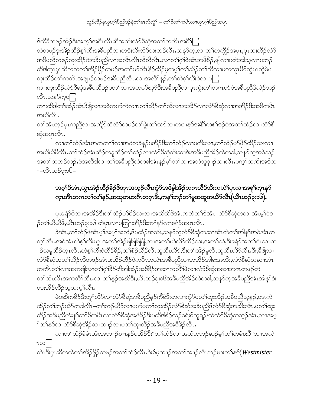ဒ်လီခ်ီတဖဉ်အိဉ်ဒီးအက့်္ကာအဂီၤလီၤဆီအသိးလံာ်စီဆုံအတၤ်ကတိၤအဝီိြ

သဲတဖဉ်ဒုးအိဉ်ထိဉ်စ့<sup>၎</sup>ကီးအခ်ီပညီလၢတဒံးသိးလိ5်သးဘဉ်လီၤႉသန5်က္ႇလၢတၫ်တကွိဉ်အပူၤႇပုၤထုးထိဉ်လံ5် အနွံပည္မွလကဲ့ထူးထွပ္ခ်င္ေခၚတာအတူေလွူထွၾကေျပာျပည္ပစ္မ်ားအပ္မွန္ၿပီး အျပားလာသူတယာသူ ထိဒါက္Tပုၤဆီတလဲတၫ်အိဉ်ဖိုဉ်တဖဉ်အတ႑်ဟ်လီၤနိဳဉ်ထိဉ်မဲ့တမ့ၤ်တ႑်သိဉ်တ႑်သီလ ျပကလူၤဟ်ထွဲမၤထွဲဖဲပ ထုံးထိဉ်တၫ်ကတိၤအဖျာဉ်တဖဉ်အခ်ဳပညီလီၤႉလၢအလိၢ်န္ဉာ်,တၫ်တဲ့စ့ၢ်ကိဳးဝဲလၢပြု

ကၢးထုးထိဉ်လံာ်စိဆုံအခ်ဳပညီဒဉ်ပတ႑်လၢအတဟ်ဃှာ်ဒီးအခ်ဳပညီလၢပှၤကွဲးတ႑်တကဟာ်ဝဲအခ်ဳပညီဒ်လဲဉ်ဘဉ် လီၤႉသနၥ်က္ရပ္ပ္ပ္ပ္ပ္ပ္

ကၢးထိဒါတၫ်ထံဉ်အံၤခီဖျိလၢအဝဲတပာ်ကဲလπတ႑်သိဉ်တ႑်သိလၢအအိဉ်လၢလံာ်စီဆုံလၢအအိဉ်ဒီးအစိကမ်ိၤ အဃိလီၤ.

တၫ်အံၤဟ့ဉ်ပှၤကညီလၫအကျိဉ်ထံလံာ်တဖဉ်တၫ်ခွဲးတ႑်ယာ်လ႑ကဖ႑နုာ်အနိ<sup>႑</sup>ကစၫ်ဒဉ်ဝဲအတ႑်ထံဉ်လ႑လံာ်စီ ဆုံအပူၤလီၤ.

လၢတၫ်ထံဉ်အံၤအကတ႑ၢ်လၢအဝဲတခ်ိန္ဉဉ်ပအိဉ်ဒီးတ႑်ထံဉ်လၢပကိုးလၢႇတ႑်ထံဉ်ပာ်ဖိုဉ်ထိဉ်သးလၢ အယိယိဖိလီၤႉတၫ်ထံဉ်အံၤဆိဉ်တခူထိဉ်တၫ်ထံဉ်လၢလံာ်စီဆုံကိႏဆၢဒဲးအခ်ိဳပညီအိဉ်ထဲတခါ,သနာ်က့အဝဲသ့ဉ် အတၫ်တဘဉ်ဘဉ် ဖဲအထိဒါလ႑တ႑်အနီပညီထဲတခါအံၤန္ဉာမ့်ၫ်တ႑်လ႑အဘံဘူစှ႑ဉ်သ႑လိၤ ပက္ဂ႑်သက်ိးအဒိလ −ယိၤဟဉ်၃း၁၆−

### အဂ္ဂါဒ်အံၤႇယ္ပၤအဲဉ်ဟိဉ်ိခ်ိဉ်ိဖိတုၤအဟ့ဉ်လီၤက္ဂံာ်အဖိခွါအိဉ်ိတကဃိဒ်သိႏကယဲါပုၤလၢအစူါက္ၤနာ် က္ၤအီၤတဂၤလၫ်လ႑်န္ဉ်,အသုတဟးဂ်ီၤတဂ္ၤဒီး,ကန႑်ဘဉ်တ႑်မူအထူအယိာ်လီၤ $($ ယိၤဟဉ်၃း၁၆ $)$ .

ပုၤခရံာ်<sup>8</sup>လၫအအိဉ်ဒီးတၫ်ထံဉ်ပာ်ဖိုဉ်သးလၢအယိယိဖိအံၤကတဲတၫ်ဒ်အံၤ–လံာ်စီဆုံတဆၢအံၤမ့ၢ်ဝဲဒ ဉ်တ႑်ယိယိဖိ,ယိၤဟဉ်၃း၁၆ တဲပုၤလၢပကြၢးအိဉ်ဒီးတ႑်နဉ်လၢခရံဉ်အပူၤလီၤ $\centerdot$ 

ခဲအံၫႇတၫ်ထံဉ်ဖိအံၫမှၤ်အမှၤ်အတိႇဒ်ပထံဉ်အသိႏႇသနဉ်ကဲ့လံဉ်စီဆုံတဆၢအံၤတဲတၤ်အါနၤ်အဝဲအံၤတ က့ౕၢလီၤႉအဝဲအံၤကဲစ့ౕၢကီးယွၤအတౕၢအဲဉ်ဖျံဖျံဖျိဖျိႇလၢအတၤ်ဟဲလိာ်ထိဉ်သႏႇအတၤ်သံႇဒိးခရံာ်အတၤ်ဂဲၤဆၢထ ၣၣသမူထိဉ်ကၠၤလိၤႉတဲစ့ၫ်ကီးဝဲဟိဉ်ခိဉ်ႇတၫ်စံဉ်ညိဉ်လီၤထူလီၤယိ9်ႇဒီးတၫ်အိဉ်မူလီၤထူလီၤယိ9်လီၤ.ဒီးႇဒီဖျိလ႑ လံာ်စီဆုံအတ႑်သိဉ်လိတဖဉ်အံၤဒုးအိဉ်ထိဉ်ဝဲကပီၤအယဲၤအဓိပညီလၢအအိဉ်အါမးအသိႏႇလံာ်စီဆုံတဆၢအံၤ ကတိၤတၫ်လၫအတဖျါလၫတၫ်ဂ့ၫ်ခိဉ်တီအါထံဉ်အဖိခိဉ်အဆ႑ကတိႝၤ်ဖဲလ႑လံာ်စီဆုံအဆ႑အဂၤတဖဉ်တဲ တၫ်လိၤလိၤအကတိႝၤ်လီၤႉလၢတၫ်နှဉ်အဃိဒိးႇယိၤဟဉ်၃း၁၆အခ်ိဳပညီအိဉ်ထဲတခါႇသနဉ်ကအခ်ိဳပညီအံၤအါန႑်းဒံး ပဒုးအိဉ်ထိဉ်သူတက္ ်လိုၤ.

ဖဲပဆိကမိဉ်ဒီးတူၫ်လိဉ်လ႑လံဉ်စိဆုံအခ်ဳပညီနှဉ်ကီခဲဒီးတလ႑ကွံဉ်ပတ႑်ထူးထိဉ်အခ်ဳပညီသူနှဉ်,ပဒုးကဲ ထိဉ်တၫ်ဘဉ်ယိဉ်တခါလီၤ–တၫ်ဘဉ်ယိဉ်လ႑ပဟာ်ပတ႑်ထုးထိဉ်လံဉ်စီဆုံအခ်ဳပညီဒ်လံဉ်စီဆုံအသိးလီၤ.ပတ႑်ထုး ထိဉ်အခ်ိပညီဟံးနှၤ်တၤ်စိကမိၤလၢလံာ်စိဆုံအဖိခိဉ်ဒီးပထိဒါစိဉ်လဉ်ခရံးပ်ထူရဉ်/ထဲလံာ်စိဆုံတဘ့ဉ်အံၤႇလၢအမှ ်က်နဉ်လၢလံာ်စီဆုံအိဉ်ဆၢထၢဉ်လၢပတၤ်ထုံးထိဉ်အခီပညီအဖိခိဉ်လီၤ.

လၢတၫ်ထံဉ်ခံမံၤအံၤအဘ႑ာ်စ႑ာနဉ်ပအိဉ်ဒီး''တၫ်ထံဉ်လၢအဘံဘူဘဉ်ဆဉ်မ့ၢ်တၢ်တမံၤဃီ''လၢအလဲ າ∞ြ

တဲၤဒီးပှၤဆီတလဲတၫ်အိဉ်ဖှိဉ်တဖဉ်အတ႑်ထံဉ်လီၤ.၀ဲးစ်မှထ႑ာ်အတ႑်အ႑ာ်လီၤဘဉ်ဃးတ႑်န**်** $(Westmister$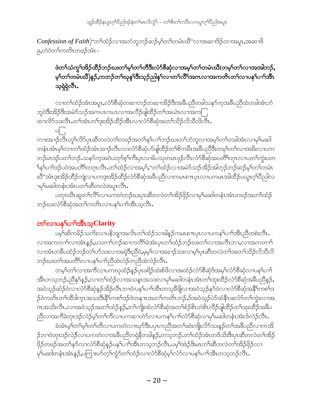သူဉ်ထိဉ်နယွာဂ့ါ်ပီညါဒဉ်နဲတါမာလိလွံ1် – တါစိတါကပီၤလၢယွာဂ့ါပီညါအပူာ

*Confession of Faith*)"တၫ်ထံဉ်လၢအဘံဘူဘဉ်ဆဉ်မ့<sup>ှ</sup>တၫ်တမံၤဃိ"လၢအဆၢ<sup>8</sup>ဉ်တၢအပူၤ,အဆၢဖိ ၉,တဲဝဲတ႑်ကတိၤတဖဉ်အံၤ-

### ဖဲတ႑်သံကွ႑်အိဉ်ထိဉ်ဘဉ်ဃးတ႑်မှ ်တ႑်တိဒီးလံာ်စီဆုံလ႑အမှ ်တ႑်တမံၤဃိ(တမ့ ်တ႑်လ႑အအါဘဉ်, မ့<sup>၎</sup>တၫ်တမံၤဃိ)နဉ်,ကဘဉ်တၫ်ဃုန<sup>ှ</sup>ဒြီးသ့ဉ်ညါနှ<sup>၎</sup>လၢတ႑်လိႝၤ်အကလၢအကတိၤတ႑်လၢပန<sup>၎</sup>ပၫၤ်အီၤ သ့ရှဲရှဲလီၤ.

လၢတၫ်ထံဉ်အံၤအပူၤ,လံာ်စိဆုံတဆၢဘဉ်တဆၢအိဉ်ဒီးအခ်ိဳပညီတခါသနာ်က့အခ်ိဳပညီထဲတခါအံၤဘံ ဘူဝဲဒီးအိဉ်ဒီးအမဲာ်သဉ်အကပၤကပၤလၢအလိဉ်ဖျဲထိဉ်တၫ်အယဲၤလၢအက $\bigcap$ ထၢလိ်ာသးလီၤ.တၫ်အံၤတၫ်ဒုးအိဉ်ထိဉ်အီၤလၢလံာ်စီဆုံအတ႑်သိဉ်လိသီလိလီၤ.

 $\circ$   $\vdots$ ကၢးအၫဉ်လီၤတူၫ်လိဉ်ပှၤဆီတလဲတၫ်တဖဉ်အတ႑်နှၤ်ပၢၤ်ဘဉ်ဃးတ႑်ဘုံဘူလၢအမ့ၢ်တၤ်တခါအံၤလၢမုၤ်မဆါ တနံၤအံၤမ့္ပ်ကၤတ}ထံဉ်အံၤအ႑ာ်လီၤလ႑လံာ်စီဆုံဟ်ဖျထိဉ်တ}စိကမိၤအခ်ဳပညီဒီးတမ့္ပ်က႑်လ႑အခ်ိးလ႑ပက ဘဉ်မၤဒဉ်ပတၫ်ဘဉ်ႉသနဉ်ကဲ့အဝဲပတုဉ်စ့ၢ်ကီးပုၤလၢမ်ပသုတမၤဖုဉ်လီၤလံာ်စီဆုံအပတိႝၢ်တုၤလၢပတၫ်ကွဲးပတ <sup>၎</sup>န<်ပ႑ာ်ဒဉ်ပဝဲအပတိိ်ါတဂ္ $\mathsf{t}$ လီး တ႑်ထံဉ်လၢအမ့််ႇ''တ႑်ထံဉ်လၢအမဲာ်သဉ်အိဉ်အါဘ့ဉ်ဘဉ်ဆဉ်မ့ှ်တ႑်တမံၤ ဃိ"အံၤဒုးအိဉ်ထိဉ်ကျဲလၢပကဒုးအိဉ်ထိဉ်လံာ်စိဆုံအခ်ိဳပညီလၢကမၤစπပှၤလၢပကမၤအါထိဉ်ပယ္ပၤဂ့ౕၢပိညါလ <u>ၣမှုမဆါတနံၤအံၤပတ္ပါဆီတလဲအပူၤလီၤ.</u>

ပတုၤဃိၤဆူတၫ်လိႝၤ်လၢပကတဲဘဉ်ဃးပုၤဆိိတလဲတၫ်အိဉ်ဖိုဉ်လၢမှၢိမဆါတနံၤအံၤတဖဉ်အတၫ်ထံဉ် ဘဉ်ဃးလံာ်စိဆုံအတ႑်ကတိၤလၢပန1်ပၢါအီၤသ့လီၤ.

### တ႑လာပနှၤ်ပ႑ာအိၤသ့Clarity

ပမ့<sup>်</sup>၊ဆိကမိဉ်သကိးလၢပနိဘျာအလိၤတၫ်ထံဉ်သၢခါနဉ်ကမၤစπပုၤလၢပကန႑်ပၢၢိအိၤညီတစဲးလီၤ*ႉ* လၢအကတၫ်လၢအံၤန္ဉွဴ,ပသဂၢါဘၟ်ဆၢကတိႝၤ်ခဲအံၤပုၤတၤ်ထံဉ်ဘှဉ်ဃးတၤ်လၢအလီၤဘၢ,လၢအကတၢၤ် လၢအံၤတခ်ဳပထံဉ်ဘဉ်တၫ်ပာ်သးလၢအရှဲဒီးညီဝဲ,မုမ္•ါလၢအခၢဉ်သးလၢမ့္ပ်ပုၤဆီတလဲတၫ်အတ႑်သိဉ်လိသိလိ ဘဉ်ဃးတ<sup>ရ</sup>အပတိႝ်၊လၢပန<sup>္</sup>၊ပၢၢိညီထဲလဲဉ်တညီထဲလဲဉ်လီၤ.

တမ့္ပ်တ္ပ်က၊အကွဲတ၊ဂယာတတ္ဝံ့ခဲ့ဥပုံ၊ ဖရွိဥတဲ့းစုဖိုလ္၊အထုံဥတုံဥစ္စဆုံဒုအမှု၊တုံဥစ္စဆုံတ၊ဂမ္ဥ၊ဂၤ႕ အိၤတသ့ဘဉ်ႉညီနှၤ်နှဉ်,လၢတ႑်ထံဉ်လၢအသန္ၤအသးလၢမှၤ်မဆါတနံၤအံၤတၤ်ထုးထိဉ်လံာ်စီဆုံအခ်ဳပညီနှဉ်, အဝဲသုဉ်ထံဉ်ဝဲလၢလံာ်စီဆုံနဉ်အိဉ်လီၤဘၢဝဲ/ပန5်ပၢါအီၤတသ့<sup>8ွ</sup>ဖျိလၢအဝဲသုဉ်နာ်ဝဲလၢလံာ်စီဆုံအနိ<sup>5</sup>ကစ<sup>်ျ</sup>ဒ ှ်ဝဲကတိၤတၫ်ထိဒါက္πအသးဒီးနိ<sup>႖</sup>ကစၫ်ဒဉ်ဝဲတနπအတၫ်ကတိၤဘဉ်ႇဒ်အဝဲသ့ဉ်ပဲာ်ထံနီၤဖးလံာ်တၫ်ကွဲးလၢအ ဂၤအသိးလီၤႉလၢအဝဲသ့ဉ်အတၫ်ထံဉ်နဉ်,တၫ်ကျိုးထံလံာ်စိဆုံအတၫ်စံဉ်စိၤတဲစိၤလီဉ်ဖျထိဉ်တၫ်ထုးထိဉ်အခ်ိပ ညီလၢအက်ိဳခဲတုၤဒဉ်လဲဉ်မ့ှ်တ႑်ကိလၤပကဆၢတဲဉ်လၤပကနှ ်ပ႑်လံဉ်စီဆုံလၢမှ ်မဆါတနံၤအံၤဒ်လဲဉ်လီၤ.

ခဲအံၤမ့ၢ်ိတၢ်မ့ၢ်တၢိတိလၤပကတဲလၤဃုာ်ဒီးပၦၤကညီအတၢ်ဆဲးကျိးလိ9်သးန္5်တၢ်အခ်ဳပညီလၤကအိ ဉ်ဘၢ၀ဲတုၤဒဉ်လဲှ်လၢပကတဲလၢအ<sup>8္တ</sup>ပညီတရှဲနိတခါနဉ်,တသ့ဘဉ်.တ<sup>၎</sup>ထံဉ်အံၤတဒ်သိးဒီးပုၤဆိတလဲတၫ်အိဉ် ဖြိဉ်တဖဉ်အတ<sup>ှ</sup>နာ်လၢလံာ်စီဆုံနဉ်ပန<sup>ှ</sup>ပၢၢိအိၤတသ့ဘဉ်လီၤ.ပမ့ၢ်အဲဉ်ဒိးမၤတၢ်ဆီတလဲတၢ်အိဉ်ဖိုဉ်လၢ မှ1်မဆါတနံၤအံၤန္ဥ်ႇပကြၤးဟ်တ့ၫ်ကွံာ်တ႑်ထံဥ်လၢလံာ်စီဆုံမ့ှၤ်လံာ်လၢပနှၤ်ပၢၤ်အီၤတသ့ဘဉ်လီၤ.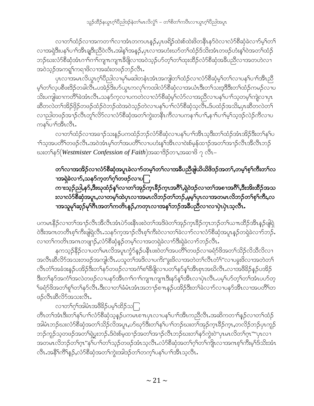လၢတၫ်ထံဉ်လၢအကတ႑ၢ်လၢအံၤတကပၤန္ဉာဴႇပုၤဖရိဉ်ထဲးစ်ထဲးဖိတနိၱၤနာ်ဝဲလၢလံာ်စီဆုံခဲလၢာ်မ့ၢ်တ႑် လၢအရှဲဒီးပန1်ပၢါအိၤချဒီးညီဝဲလီၤ.အါန1်အနဉ်,ပုၤလၢအဟံးဃာ်တ1်ထံဉ်ဒ်သိးအံၤတဖဉ်ဟံးန1်ဝဲအတ1်ထံဉ် ဘဉ်ဃးလံာ်စိဆုံအံၤဂၢါဂၢါကျπကျπခ်ိဖျိလၢအဝဲသ့ဉ်ပာ်တ့ါတၤ်ထုးထိဉ်လံာ်စိဆုံအခ်ိပညိလၢအတဟဲလၢ အဝဲသူဉ်အကၡု၊်ကရၢဖိလၢအဆံးတဖဉ်ဘဉ်လီၤႉ

ပုၤလၢအမၤလိယ္စ႑ဂ္ဂါ၀ီညါလၢမှSမဆါတနံၤအံၤအကျါတSထံဉ်လၢလံာစိဆုံမ့SတSလၢပနSပၢSအိၤညီ မ့်္ဂတ႑်လ့ပစီဖးဒိဉ်တခါလီၤ.ပအဲဉ်ဒိးဟ်ယွၤကလှၤ်ကထါလံာ်စီဆုံလၢအယံၤဒီးတၤ်သးဒ့ဒိဒိးတၤ်ထံဉ်ကမဉ်လၢပ သိးပကျါဆၫကတိႝ်ာခဲအံၤလီၤႉသနၥ်က္နလ႑ပကတဲလ႑လံၥ်စီဆုံမ့္ပ်ာလံာ်လ႑အညီလ႑ပန္ ်ပ႑္သြတ္ရမ္နှံကျဲလ႑ပုၤ ဆီတလဲတၫ်အိဉ်ဖိုဉ်တဖဉ်ထံဉ်ဝဲဘဉ်ထဲအဝဲသ့ဉ်တဲလၢပန႑်ပၢၢ်လံာ်စီဆုံသ့လီၤ.ဒ်ပထံဉ်အသိႏႇပုၤဆီတလဲတ႑် လၫညါတဖဉ်အၫဉ်လီၤတူၫ်လိ5်လၢလံာ်စီဆုံအတ႑်ကွဲးတနိၤကီလၢပကန႑ာ်ပၢ႑်ႇန႑ာ်ပၢ႑်မ့ှ်သ့ဒဉ်လဲဉ်ကီလၢပ ကန<sup>ှ</sup>ပၢိအီၤလီၤ.

လၢတၫ်ထံဉ်လၢအခ႑ာ်သးနည်ပကထံဉ်ဘဉ်လံာ်စီဆုံလၢပန႑်ပၢၤ်အီၤသ့ဒီးတ႑်ထံဉ်အံၤအိဉ်ဒီးတ႑်နှၤ်ပ ၫ်သ့အပတိိ်တဖဉ်လီၤ.အဝဲအံၤမ့္ပ်တ႑်အပတိိၤ်လၢပဟံးန္ ်အိၤလၢဝဲးစ်မ့န်ထ႑ာ်အတ႑်အ႑ာ်လီၤအီလီၤဘဉ် ဃးတၫ်န5် $(We$ stmister  $\emph{Confession of Faith}$ )အဆၫဒိဉ်တၫႇအဆၫ $8$  ၇ လီၤ $-$ 

တ႑်လၫအအိဉ်လၫလံာ်စီဆုံအပူၤခဲလ႑ာ်တမ့္ပ်တ႑်လ႑အန္တိပညီဖျယ်ယိဖိဒဉ်အတ႑်,တမ့္ပ်စ္ဉ်၊ကီးတ႑်လ ၫအရှဲခဲလၫာ်ႇသနာ်ကူတ႑်ဂူာ်တဖဉ်လၫပြု

ကၫးသုဉ်ညါ,န9်,ဒီးဃုထံဉ်နှၤ်လၢတၤ်အှဉ်က္ $\mathsf{1}$ ဒိဉ်က္ $\mathsf{1}$ အဂိါ,ရှဲဝဲဒဉ်လၢတၤ်အစ႑အဂိါ,ဒီးအိးထိဉ်အသ းလၫလံာ်စီဆုံအပူၤႇလၫတမ့်ၫ်ထဲပှၤလၫအမၤလိဘဉ်တ႑်ဘဉ်ႇမ့မ့္ပ်ပှၤလၫအတမၤလိဘဉ်တ႑်စ့<sup>၎</sup>ကိဳးႇလ ၫအသူမု<sup>ရ</sup>ဆ္5ိမု<sup>ရ</sup>ဂီၤအတ<sup>ရ</sup>ကတိၤန**ှ**5,ကတုၤလၫအန†ဘဉ်အဓိပညီလၫလၫပှဲၤပှဲၤသ့လိၤႉ

ပကမၤနိ႙်လၢတၫ်အၫ႙်လီၤအီလီၤအံၤပဲ႒်ဖးနီၤဖးဝဲတၫ်အဒိဖဲတၫ်အု႙်က္ၤခဵ႙်က္ၤဘ႙်တၫ်ယ႑ာထီ႙်အီၤန္႙ဖြဲရဲ ဲဒီးအဂၤတတိၤစ့<sup>၎</sup>ကိဳးဖျရဲလိၤႉသန>်က့အၫဉ်လိၤစ့<sup>၎</sup>ကိဳးဝဲလၢတၫ်ခဲလၢာ်လၢလံာ်စီဆုံအပူၤန္ဉာိတရဲခဲလၫာ်ဘ**်**း လၢတၫ်ကတိၤအဂၤတဖျၢဉ်ႇလံာ်စီဆုံနဉ်တမ့ၢ်လၢအတရှဲခဲလၢာ်ဒီးရှဲခဲလၢာ်ဘဉ်လီၤ.

နကသူဉ်နိ5ုလၫပတၫ်မၤလိအပူၤကၠံာ်နဉ်ပနိၤဖးဝဲတၫ်အပတိၢ်တဖဉ်လၢခရံာ်ဖိအတ႑်သိဉ်လိသီလိလၢ အလီၤဆီလိ်ာအသးတဖဉ်အကျါလီၤ.ပသူတၫ်အဒိလၢပကိး"ခွးဖိလၢအတဲတၫ်လီၤတံၤ်"လၢပခွးဖိလၢအတဲတ႑် လီၤတံౕၢအခံဒးန္ဉာ်ပအိဉ်ဒီးတౕၢနှာ်တဖဉ်လၢအဂံၢ်စၢ်ဒီဖျိလၢပတၢ်နှာ်နှၤ်အီၤစှၤအဃိလီၤႉလၢအဖိခိဉ်နှဉ်ပအိဉ် ဒီးတၫ်နဉ်အကံ်ျအလဲတဖဉ်လၢပနဉ်အိၤဂၢါဂၢါကျူးကျူးဒီးနဉ်နှၤ်အိၤလၢပုဲၤလီၤ.ပမ့္ပ်ဟ်တ့ၤ်တၤ်အံၤပဟ်တ့ <sup>ှ</sup>ခရံာ်ဖိအတ<sup>ှ</sup>ရှာ်တ<sup>ှ</sup>နာ်လီၤ.ဒီးလၢတ}်ခံမံၤအံၤအဘ႑ာ်စπနှဉ်ပအိဉ်ဒီးတ}်ခဲလ႑ာ်လၢပနာ်အီၤလၢအပတိ်ါတ ဖဉ်လီးဆီလိ်ာအသးလီး.

လၫတ႑်လုံအါမံၤအ<sup>88</sup>ဉ်ပမ့္ပ်ထိဉ်သြ

တီၤတၫ်အံၤဒီးတၫ်နှၤ်ပၫ်လံာ်စီဆုံသွန္ ဉ်ပကမၤစ႑ာပုၤလၢပန႑်ပ႑ါအီၤကညီလီၤ.အဆိကတ႑ၢိန္ ဉ်လၢတ႑်ထံဉ် အါမံၤဘဉ်ဃးလံာ်စီဆုံအတ႑်သိဉ်လိအပူၤ,ဟ်ဃှာ်ဒီးတ႑်နှၤ်ပၢၤ်ဘဉ်ဃးတ႑်အှဉ်က္ၤနိဉ်က္ၤ,တလိဉ်ဘဉ်ပုၤကူဉ်၊ ဘဉ်ကူဉ်သ့တဖဉ်အတ<sup>ှ</sup>ရဲပွးဘဉ်ႉဒ်ဝဲးစ်မ့ထၫဉ်အတ<sup>ှ</sup>အၫဉ်လီၤဘဉ်ဃးတ႑်နဉ်ကွဲးဝဲ"ပုၤမၤလိတ႑်ဂ္ၤ""ပုၤလၢ အတမၤလိဘဉ်တၫ်ဂ္ၤ"န႑်ပ႑ာ်တ႑်သ့ဉ်တဖဉ်အံၤသ့လီၤႉလံာ်စီဆုံအတ႑်ဂ့႑်တ႑်ကျုံလ႑အဂၤစ့႑်ကီးမ့႑်ဒ်သိးအံၤ လီၤ.အနိ<sup>5</sup>ကိြန္ဉ**်,**လံာ်စီဆုံအတ႑်က္မဲးအါဒဉ်တ႑်တက္ ်ပန႑်ပ႑ၤအီၤသ့လီၤ.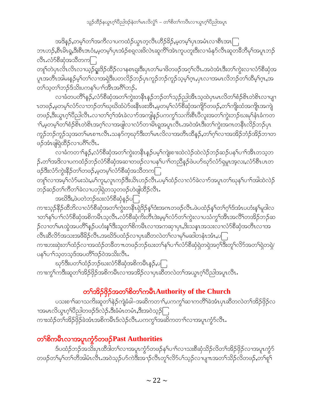သူဉ်ထိဉ်နယွာဂ့ါ်ပီညါဒဉ်နဲတါမာလိလွံ1် – တါစိတါကပီၤလၢယွာဂ့ါပီညါအပူာ

အဒိန္ဉ်,တမ့္ပ်တ္ပ်အကိလ ျပကထံဉ်ယွာတဲ့လီၤဟိဉ်ခ်ိဉ်,မ့တမ့္ပ်ပုၤအမံၤလၢစီၤအၤြ ဘၤဟဉ်,စီၤမိၤရှ,ဒီးစီၤဒၤဝံး,မ့တမ့<sup>၎</sup>ပှၤအံဉ်စရလးဖိလဲၤဆူကီ်ါအဲၤကူပတူးဒီးလၢခံနု၁်လီၤဆူတ<sup>8ွ</sup>ဘိမုါအပူၤဘဉ် လီး.လံာ်စီဆုံအသီတကြ

တျণ်တဲပုၤလိၤလၤယ့ဉ်ရူးဒိဉ်ထိဉ်လၢနစၤရူးဒီးပုၤတၫ်မၢဖိတဖဉ်အဂ္ဂါလီၤႉအဝဲအံၤဒီးတၫ်ကွဲးလၢလံာ်စိဆုံအ ပူၤအတိၤအါမးန္ဉာိမ့္ပ်ာလ်လ႑အရဲဒီးပတလိဉ်ဘဉ်ပုၤကူဉ်ဘဉ်ကူဉ်သ့မ့္ပ်က္,ပုၤလ႑အမၤလိဘဉ်တ႑်ထိမ့္ပ်က္,အ တ႑်သွတ႑်ဘဉ်ဒ်သိုးပကန1်ပ႑ါအိၤအဂိၢ်ဘဉ်.

လၢခံတပတိႝၭန္ၣႇလံာ်စီဆုံအတ<sup>ရ</sup>က္မဲးတနိၱၤန္ဥၥာဥၥတ႑်သူဥညါအိၤသူထဲပုၤမၤလိတ႑်စံဥစိၤတဲစိၤလၢပျၫ ၤတဖဉ်ႇမ့တမ့<sup>၎</sup>လံာ်လၢဘဉ်တ<sup>ရ</sup>ၰဃိထံပဲာ်ဖ<sup>ု့</sup>နီၤဖးအိၤႇမ့တမ့<sup>၎</sup>လံာ်<sup>စွ</sup>ဆုံအကျိာ်တဖဉ်ႇတၢ်ကျိုးထံအကျိုၤအကျဲ တဖဉ်,ဒီးယွၤဂ့ါပိညါလိၤ.လၢတၫ်ဂ့ါအံၤခဲလၢာ်အကျါန္ဉာ်ပကကွ ်သက်ိးစီၤပိလူးအတ႑်ကွဲးဘဉ်ဃးမှါနံၤခံကတ <u>ာ်းမှတမှာ်တာ်စံဉ်စီၤတဲစိၤအဂ္ဂါလာအဖျ</u>ါလာလံာ်တာမိၤရ္ဒအပူၤလီၤအဝဲအံၤဒီးတာ်ကွဲးအဂၤတနိၤလိဉ်ဘဉ်ပှၤ ကူဉ်ဘဉ်ကူဉ်သ့အတၤ်မၤစ႑ယီၤ.သန5်ကဲ့ဃု၁်ဒီးတၤ်မၤလိလၤအတိၤထိနဉ်,တၤ်ဂ့ၤ်လၤအအိဉ်ဘံဉ်အိဉ်ဘၤတ ဖဉ်အံၤဖျါရဲထိဉ်လၢပဂိၢိလိၤ.

လၢခံကတ႑ၢိန္ဉာ်,လံာ်စီဆုံအတ႑်က္မဲးတနိၤန္ဉာဴပမ့ၢ်ကျဲးစၫးထဲလဲဉ်ထဲလဲဉ်ဘဉ်ဆဉ်ပန႑်ပ႑ာအီၤတသ့ဘ ဉ်.တ<sup>၎</sup>အဒိလၢပကထံဉ်ဘဉ်လံာ်စီဆုံအဆၢတဖဉ်လၢပန<sup>ှ</sup>်ပၢ<sup>ြ</sup>တညီနဉ်ဖဲပဟာ်ဃုာ်လံာ်ရှမှု၊အ့လး,လံာ်စီၤပၤတ ဖဉ်ဒီးလံာ်ကွဲးနိ5ုတ႑်တဖဉ်,မှတမ့႑်လံာ်စိဆုံအသိတက

တူြလၢအမ့ါ်လံာ်မးသဲး,မါကူး,လူၤကဉ်ဒီးယိၤဟဉ်လီၤ.ပမ့ါ်ထံဉ်လၢလံာ်ခဲလၢာ်အပူၤတၢ်ဃုနၢိပၢါအါထဲလဲဉ် ဘဉ်ဆဉ်တ႑်ကီတ႑်ခဲလ႑ပဘုါရဲတသ့တဖဉ်ဟဲဖျါထိဉ်လီၤ.

အဃိဒီး,ဖဲပတဲဘဉ်ဃးလံာ်စီဆုံနဉ်ပြ

ကၢးသုဉ်နိဉ်ထိဘိလၢလံာ်စိဆုံအတၫ်ကွဲးတနိၤရဲဒိဉ်န႑်းအကတဖဉ်လိၤႉဖဲပထံဉ်နှၤ်တ႑်ဂွၤ်ဒ်အံၤပဟံးနှၤ်မူဒါလ ျား<br>ကျွန်းပျားလုပ်ရွှတ်သူများ တို့ တို့ တို့ဆိုင်ပြီး အိုလုံးမှုမှု သိုက် လေးလုံးလာပုံသို့ အသိုး အထိရှိတုံး အ ှ်လၢတၫ်မၤထွဲအပတိႝၫ်န္ဥပဟံးန္<sup>႖ဒ္မိ</sup>းသူတၫ်စိကမိၤလၢအကဆုၢပုၤႇဒိးသန္ၤအသးလၢလံာ်စီဆုံအတိၤလၢအ လီၤဆီလိ်ာအသးအဖိခိဉ်လီၤ.အဃိ§ပထံဉ်လၢပုၤဆီတလဲတၤ်လၢမှၤ်မဆါတနံၤအံၤ,ပြု ကားဟးဆုံးတၫ်ထံဉ်လၢအထံဉ်တခ်ိတ႑ာတဖဉ်ဘဉ်ဃးတ႑်နှၤ်ပၢၤ်လံာ်စီဆုံရဲတရဲအဂ္ဂါဒီးတူၤ်လိာ်အတၤ်ရဲတရဲ/ ပန1်ပၢါသ့တသ့ဒ်အပတိႝၤဒဉ်ဝဲအသိးလီၤ.

ၰာ်ဒီးပတၫ်ထံဉ်ဘဉ်ဃးလံာ်စီဆုံအစိကမိၤန္ဉာ,ပြ ကၫးကွှ၂်ကဒီးဆူတ႑်အိဉ်ဖိုဉ်အစိကမိၤလၢအအိဉ်လၢပုၤဆီတလဲတ႑်အယွၤဂ္ဂါပီညါအပူၤလီၤ.

### တၫ်အိဉ်ဖိုဉ်အတ<sup>ှ</sup>စိတ႑်ကမီၤAuthority of the Church

ပသးစၫါဆၫသကိႏၶဂူတၤ်နဲ့ဉ်ကျဲ့ခံခါ–အဆိကတၫါႇပကကွါဆ႑ကတိႝါခဲ့အံၤပုၤဆီတလဲတၤ်အိဉ်ဖိုဉ်လ ၫအမၤလိယ္မၤဂ့ၫ်ပီညါတဖဉ်ဒ်လဲဉ်ႉဒီးခံမံၤတမံၤႇဒီးအဝဲသ့ဉ်ြ ကၢးထံဉ်တၫ်အိဉ်ဖိုဉ်ခဲအံၤအစိကမီၤဒ်လဲဉ်လီၤ.ပကကွ ်အဆိကတၫ်လၢအပူၤက္ငံဉ်လီၤ.

### တ<sup>ှ</sup>စိကမီးလၢအပူးကွဲ၁်တဖ**်Past Authorities**

ဒ်ပထံဉ်ဘဉ်အသိးပှၤထိဒါတ႑်လၢအပူၤကွံာ်တဖဉ်နှၤ်ပၢၤ်လၢသးစိဆုံသိဉ်လိတၤ်အိဉ်ဖှိဉ်လၢအပူၤကွံာ် တဖဉ်တၫ်မ့ၢ်တၫ်တိအါမံၤလီၤ.အဝဲသ့ဉ်ပာ်ကဲဒီးအၫဉ်လီၤတူၫ်လိာ်ပၢ်သ့ဉ်လ႑ပျ႑ာအတ႑်သိဉ်လိတဖဉ်,တ႑်စူ႑်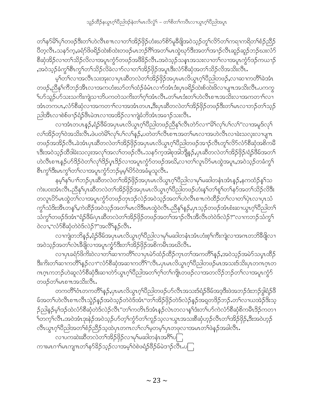တၫ်နဉ်မိ1်ပု1်တဖဉ်ဒီးတ1်ဟဲလီၤစ႑ာလၢတ႑်အိဉ်ဖိုဉ်ဟံးဃာ်စိဉ်မှုခ်ီဖျိအဝဲသု့ဉ်တူ1်လိဉ်တ1်ကရၢကရိတ႑်စံဉ်ညီဉ် ပိတ္ဇလီၤႉသန>်က့ႇခရံာ်ဖိဖရိဉ်ထဲးစ်ထဲးတဖဉ်မၤဘဉ်ဂိ်ါအတၤ်မၤထွဲဃှာ်ဒီးအတၤ်အၫဉ်လီၤဆူဉ်ဆူဉ်ဘဉ်ဃးလံာ် စိဆုံအိဉ်လၢတ<sup>၎</sup>သိဉ်လိလၢအပူၤကွံာ်တဖဉ်အ<sup>88</sup>ဉ်လိၤးအဝဲသ့ဉ်သနၤုအသးလၢတ<sup>၎</sup>လၢအပူၤကွံာ်ဒဉ်ကယၫဉ် ,အဝဲသ့ဉ်ခံကွ<sup>၎</sup>စီၤကွ<sup>၎</sup>တ႑်သိဉ်လိခဲလ႑ာလ႑တ႑်အိဉ်ဖိုဉ်အပူၤဒီးလံာ်စီဆုံအတ႑်သိဉ်လိအသိးလိၤႉ

မ့္ပ်ာက်လ၊အလီၤသးအုးလ၊ပုၤဆီတလဲတ႑်အိဉ်ဖိုဉ်အပုၤမၤလိယ္ဇၤဂ္န္ကုပ္မည္ပါတဖဉ်ႇလ၊ဆၢကတိြခဲ့အံၤ တဖဉ်ႇညီနှ\်ကီဘဉ်အီၤလၢအကဟံးဃာ်တ\်ထံဉ်ခံမံၤလၢာ်အံၤဒံးပုၤဖရိဉ်ထဲးစ်ထဲးဖိလၢပျ႑အသိးလီၤ.ပကကွ ျပာ်သူဉ်ပာ်သးသက်းကျဲသ<sup>ု</sup>တ်ပကတဲသက်းတၫ်ဂ့ၢ်အံၤလီၤ.တၫ်မၤဒံးတၫ်ဟဲလီၤစ πအသိးလၢအကတၫၤ်လၢ အံၤတကပၤႇလံာ်စီဆုံလၢအကတၫ်လၢအအံၤတပၤႇဒိႆးပုၤဆိတလဲတၫ်အိဉ်ဖိုဉ်တဖဉ်ဒိႆးတၢ်မၤလၢဘဉ်တၢ်သ့ဉ် ညါအီၤလၢစဲစ်ဖၫဉ်ရံဉ်ဖီၤမဲဒၤလၢအအိဉ်လၢကျဲခံဘိအံၤအခ႑ာ်သးလီၤ.

လၢအံၤတပၤန္ဉ $\zeta,$ ရံဉ်ဖိမ်အပုၤမၤလိယ္ဓၤဂ့ၫ်ပိညါတဖဉ်ညီနှၤ်လီၤတဲဉ်လၢ"မိၤ်လှၤ်ပၤ်လၤ"လၢအမူဒ်လှၤ် လၫ်အိဉ်တ့ၢ်ဝဲအသိးလီၤ.ဖဲပတဲမိၫ်လုၫ်ပၫ်လၫ်နှဉ်,ပတဲတၫ်လီၤစ႑ာအတ႑်မၤလၢအဟဲလီၤလၢခဲးသလူးလၢပျ႑ာ တဖဉ်အအိဉ်လီၤ.ခဲအံၤပှၤဆီတလဲတၫ်အိဉ်ဖှိဉ်အပှၤမၤလိယွၤဂ့ၢ်ပီညါတဖဉ်အၫဉ်လီၤတူၢ်လိ5်လံ5်စီဆုံအစိကမီ ၤဒီးအဝဲသ့ဉ်ထီဒါခဲးသလုးအလှၤ်အလၤ်တဖဉ်လီၤႉသနဉ်က့အါစုအါဘျိန္ဉာ်,ပုၤဆီတလဲတၤ်အိဉ်ဖိုဉ်/ရံဉ်ဖိမ်အတၤ် ဟဲလီၤစ႑ာနဉ်ပာ်ဒိဉ်ဝဲတ႑်လုၤ်ဒိဉ်ပွၤဒိဉ်လၢအပူၤက္ပံာ်တဖဉ်အဃိႇလၢတ႑်လူၤပိဉ်မၤထွဲအပူၤႇအဝဲသ့ဉ်တခံကွ႑် စီၤက္ဂ<sup></sup>ါဒီးမၤက္ဂ<sup></sup>ါတ႑်လၢအပူၤက္ဂံာ်ဘဉ်မ့မ့<sup>၎</sup>ပိၥ်ဝဲအခံမူသူလီၤ.

နမ့်နြာပ႑်တဉ်ပှၤဆီတလဲတ႑်အိဉ်ဖှိဉ်အပှၤမၤလိယ္ပၤဂ့ၤ်ပိညါလၢမှၤ်မဆါတနံၤအံၤန္ဉာ်,နကထံဉ်န္1်သ ကဲးပ၀းအံၤလီၤႉညီနု\ၦၤဆီတလဲတၤ်အိဉ်ဖှိဉ်အၦၤမၤလိယ္ပၤဂ့ၤ်ပီညါတဖဉ်ဟံးနၤ်တ႑်ရာ်တ႑်နှာ်အတၤ်သိဉ်လိဒြီး တလူၤ $\partial$ ာ်မၤထွဲတၫ်လၫအပူၤကွံာ်တဖဉ်တုၤဒဉ်လဲဉ်အဝဲသ့ဉ်အတၫ်ဟဲလီၤစ႑ာကဲထိဉ်တၫ်လၫတၫ်ပုဲၤလၫပုၤသံ ကွၫ်သံဒိးအီၤတန1်ႇကဲထိဉ်အဝဲသ့ဉ်အတၫ်မၤလိဒ်ီးမၤထွဲဝဲလီၤႉညီနှၤ်နှဉ်ႇပုၤသ့ဉ်တဖဉ်အံၤစံးဆၢယွၤဂ့ၢ်ပီညါတ႑် သံကွ<sup>၎</sup>တဖဉ်ဒ်အံၤ"ရံဉ်ဖိိမ်/ပှၤဆိတလဲတ<sup>၎</sup>အိဉ်ဖှိဉ်တဖဉ်အတ<sup>၎</sup>အၫဉ်လီၤအိလီၤတဲဝဲဒ်လဲဉ်?"လၫကဘဉ်သံကွ<sup>၎</sup> ၀ဲလၢႇ"လံာ်စီဆုံတဲ၀ဲဒ်လဲဉ်?"အလိံ<sup>ု</sup>နဉ်လီၤႉ

လၫကျဲတဘိန္ဉာ်,ရံှာ်ဖိမ်အပုၤမၤလိယ္ဂၤဂ့ၫ်ပိညါလ႑မှၫမဆါတနံၤအံၤဟံးစ့ၫ်ကိုးကျဲလ႑အကတဘိခီဖိုုလ႑ အဝဲသုဉ်အတ႑်လဲၤနိဖြိုလၢအပူၤက္စႆာဒီးတ႑်အိဉ်ဖိုဉ်အစိကမီၤအဃိလီၤ.

လၢပုၤခရံာ်ဖိကိႏဝဲလၢတၫ်ဆၢကတိႝၤ်လၢပုၤမဲာ်ထံဉ်ထိဉ်က္ၤတၫ်အကတိႝၤန္ ဉ်ႇအဝဲသ့ဉ်အမဲာ်သပ္ၤထိဉ် ဒီးကိးတၫ်ဆၢကတိႝၤန္ဉဴလၫ"လံာ်စီဆုံအဆၢကတိၢ"လိၤႉပုၤမၤလိယ္မၤဂ့ၤ်ပီညါတဖဉ်မၤအသးဒ်သိးပုၤတဂၤဂ့ၤတ ဂၤဂ္ဂၤကဘဉ်ဟဲဆူလံာ်စီဆုံဒီးဆၫတဲာ်ယွၤဂ္ဂၢိပိညါအတ႑်ဂ္ဂၢ်တ႑်ကျိုးတဖဉ်လ႑အတလိဉ်ဘဉ်တ႑်လ႑အပူၤက္ဂံာ် တဖဉ်တౕမၤစ႑ာအသိးလီၤ.

တကတိႝ်၊ဝံၤတကတိႝ<sup>ု</sup>န္ဉ<mark>ိႇ</mark>ပုၤမၤလိယ္လၤဂ့်္ဂါဝိည္ပါတဖဉ်ပာ်လီၤအသးဒ်ရံဉ်ဖိမ်အဒ့ဒီးဖဲအဘဉ်ဒံးဘဉ်ဒွါရံဉ်ဖိ မ်အတၤ်ဟဲလီၤစ႑ာလီၤသွဲဉ်နဉ်အဝဲသ့ဉ်တဲဝဲဒ်အံၤ"တၤ်အိဉ်ဖှိဉ်တဲဒ်လဲဉ်နဉ်အရတဒိဉ်ဘဉ် တၤ်လၤယအဲဉ်ဒိးသ့ ဉ်ညါနဉ်မှ1်ဒဉ်ထဲလံာ်စီဆုံတဲဒ်လဲဉ်လီၤ"တ1်ကတိၤဒ်အံၤန္ဉာ်လဲၤတလၢန1်ဒံးတ1်ပာ်ကဲလံာ်စီဆုံစိကမီၤဒိဉ်ကတ႑ ်္ဂတက္ၟ်လျွံ႑အ၀ဲအုံၤဒုံးနဲ႕သစ္၀တ္ဝိုလ်ုတ္ပ်က္ပ်ာတ်ကူဉ်သ့လၫယ္ပၤအသးစိဆုံဟ္၄်လိၤတ႑်အိဉ်ဖှိဉ်,ဒီးအ၀ဲဟ္၄် လီၤယ္လၤဂ့်္ဂါ၀ီညါအတ ်စံဉ်ညီဉ်သ့ထဲပုၤတဂၤလ ်လ ်မ့တမ့် ပုၤတဖုလၢအမၤတ ်ဖဲနဉ်အခါလီၤ.

လၢပကဆဲးဆီတလဲတၫ်အိဉ်ဖိုဉ်လၢမှၢ်မဆါတနံၤအဂိၢိပြ ကၢးမၤဂၢ<sup>၎</sup>မၤကျၤာကနာ်ခိဉ်သ့ဉ်လၢအမဲ့<sup>၎</sup>ဝဲစဲဖရံဉ်<sup>ဖွ</sup>ဉ်မိမဲဒၢဉ်လီၤ.ပြု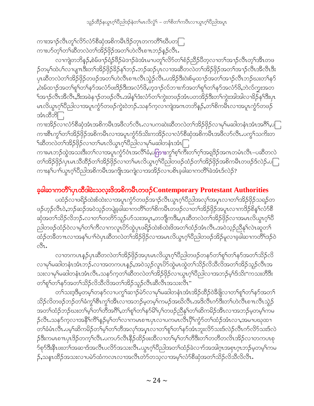ကၫးအၫဉ်လီၤတုၫ်လိ>်လံ>်စီဆုံအစိကမိၤဒိဉ်တုၤတကတိႝၫဆိပတြ ကၢးဟ်တ့<sup>၎</sup>တၫ်ဆီတလဲတၫ်အိဉ်ဖိုဉ်အတၤ်ဟဲလီၤစπဘဉ်နဉ်လီၤ**.** 

လၫကျဲတဘိန္ဉာ်,စဲမ်ဖၫဉ်ရံဉ်ဖိဉ်မဲဒၫဉ်ခဲအံၤမၢပတူၫ်လိဉ်တ႑်စံဉ်ညီဉ်ပိတ့လ႑တ႑်အ႑ာလီၤတ္႑်အီၤတဖ ဉ်တမ့်ၢ်ထဲပါလၢပျπဒီးတၢ်အိဉ်ဖိုဉ်ခိဉ်နှၤ်ဘဉ်ႉဘဉ်ဆဉ်ပုၤလၢအဆီတလဲတၢ်အိဉ်ဖိုဉ်အတၤ်အၢဉ်လီၤအီလီၤဒီး ပုၤဆီတလဲတၫ်အိဉ်ဖိုဉ်တဖဉ်အတ႑်ဟဲလီၤစ႑ာလီၤသွဲဉ်လီၤ.ပအိဉ်ဒီးဝဲးစ်မှထ႑ာ်အတ႑်အ႑ာဴလီၤဘဉ်ဃးတ႑်နှာ် ,၀ဲးမ်ထၫဉ်အတၫ်စူၫ်တ႑်နှာ်အလံာ်ဖးဒိဉ်ဒီးအလံာ်ဖိ,ဟူဒၢဉ်လ်ဘၢးက်အတ႑်စူၫ်တ႑်နာ်အလံာ်ဖိ,ဘဲလ်ကူးအတ ်အၫဉ်လီၤအီလီၤ,ဒီးအခဲန႑ဉ်တဖဉ်လီၤ.အါနှ််ဒီးလံာ်တ႑်ကွဲးတဖဉ်အံၤပတအိဉ်ဒီးတ႑်ကွဲးအါအါလၢ<sup>္ခ</sup>ဉ်န<sup>ှ</sup>ဒြီးပုၤ မၤလိယ္မၤဂ့ౕၢိပိညါလၫအပူၤက္ပံာ်တဖဉ်ကွဲး၀ဲဘဉ်ႉသနာ်က့လၫကျဲအဂၤတဘိန္ဉာ်ႇတၢိစိကမ်ဳၤလၢအပူၤက္ပံာ်တဖဉ် အံၤထီဘိြ

ကၫးအိဉ်လၢလံာ်စီဆုံအံၤအစိကမိၤအဖိလာ်လိၤႉလၢပကဆဲးဆိတလဲတၫ်အိဉ်ဖိုဉ်လၢမှၢ်မဆါတနံၤအံၤအဂိၢ်ႇပြ ကၢးစီၤကွၢ်တၢ်အိဉ်ဖှိဉ်အစိကမီၤလၢအပူၤကွံာ်ဒ်သိးကအိဉ်လၢလံာ်စီဆုံအစိကမီၤအဖီလာ်လီၤ.ပကွၢ်သက်းတ ႝဪႝၮၯၟၯၟၯၟၯၟၯၟၯၟၯၟၯၟၯၟၯၟၯၣၛၣၣၣၣၣၣၣၣၣၣ

ကၫးမၤဘဉ်ထွဲအသးဒီးတၫ်လၢအပူၤက္ဂံဉ်ဝံၤအလိ်<sup>၎</sup>ခံႇပ<mark>ကြား</mark>ကွ<sup>ှ</sup>စ့<sup>၎</sup>ကိဳးတ႑်ဂ့ၢ်အရှုဒိဉ်အဂၤတမံၤလိၤ–ပဆီတလဲ တၫ်အိဉ်ဖိုဉ်/ပုၤမၤသီထိဉ်တ႑်အိဉ်ဖိုဉ်လၢတ႑်မၤလိယ္စၤဂ့ၤ်ပိညါတဖဉ်ထံဉ်တ႑်အိဉ်ဖိုဉ်အစိကမီၤတဖဉ်ဒ်လဲဉ်ႉပြု ကၫးနှၤ်ပၢၤ်ယွၤဂုၤ်ပိညါအစိကမီၤအကျိုၤအကျဲလၫအအိဉ်လ႑ပစိၤခဲ့ခါဆ႑ကတိၤ်ခဲအံၤဒ်လဲဉ်?

# ခ့ခါဆၫကတိႝၫ်ပုၤထိဒါခဲးသလ္းဖိအစိကမိၤတဖ $\beta$ Contemporary Protestant Authorities

ပထံဉ်လၢဖရိဉ်ထဲးစ်ထဲးလၢအပူၤကွံာ်တဖဉ်အၫဉ်လီၤယွၤဂ့ၢိပိညါအလှၢ်အပူၤလၢတၢ်အိဉ်ဖိုဉ်သရဉ်တ ဖဉ်ဟုဉ်လီၤဝဲႇဘဉ်ဆဉ်အဝဲသုဉ်တပျဲခ့ခါဆၢကတိႝၤ်တၤ်စိကမိၤတဖဉ်လၢတၤ်အိဉ်ဖိုဉ်အပူၤလၢကဒိဉ်စိန္1်လံာ်စီ ဆှံအတၫ်သိဉ်လိဘဉ် လၢတၫ်တတိာ်သူဉ်ဟ်သးအပူၤႇတဘျီကဒီးႇပုၤဆီတလဲတၫ်အိဉ်ဖိုဉ်လၢအမၤလိယ္လၤဂ့ၢိပီ ညါတဖဉ်ထံဉ်ဝဲလၢမ့ၢ်တၢ်ကိလၢကလူၤပိ5်ထွဲပှၤဖရိဉ်ထဲးစ်ထဲးဖိအတၢ်ထံဉ်အံၤလီၤအဝဲသ့ဉ်ညီနှၤ်လဲၤဆူတ႑် ထံဉ်တခ်ိတ႑ာလၢအန<်ပ႑ာ်ဝဲပုၤဆီတလဲတ႑်အိဉ်ဖိုဉ်လၢအမာလိယ္ဓာဂ္ဂ်ါဖိည္ပါတဖဉ်အိဉ်မူလၢခဲ့ခါဆၫကတိၤ်ဒဉ်ဝဲ ್ಲಿ.

လၢတကပၤန္5ပုၤဆီတလဲတၫ်အိဉ်ဖိုဉ်အပုၤမၤလိယ္ပၤဂ့ၢ်ပီညါတဖဉ်တနဉ်တၫ်စူၫ်တ႑်နှာ်အတ႑်သိဉ်လိ လၢမှ1်မဆါတနံၤအံၤဘဉ်ႉလၢအတကပၤန္နဉ်ႇအ၀ဲသူဉ်လူၤပိ9်ထွဲမၤထွဲတ႑်သိဉ်လိသိလိအတ႑်အိဉ်သူဉ်လီၤအ သးလၢမှၫ်မဆါတနံၤအံၤလီၤႉသန5်က့တ႑်ဆီတလဲတ႑်အိဉ်ဖိုဉ်လၢယ္ပၤဂ့ၤ်ပိညါလၢအဘဉ်မှၤ်ဒ်သိး''ကသးတိဒီး တၫ်စူၫ်တ႑်နှာ်အတ႑်သိဉ်လိသီလိအတ႑်အိဉ်သူဉ်လီၤဆီလီၤအသးလီၤ"

တၫ်သးဒ့ဒိမ္မတမ့္ပ်တနဉ်လ႑ပက္ဂၤ်ဆ႑ာ်မဲဉ်လ႑မှၤ်မဆါတနံၤအီးအိဉ်ထိဉ်ဝဲဒိီဖျိလ႑တ႑်ရုၤ်တ႑်နဉ်အတ႑် သိဉ်လိတဖဉ်ဘဉ်တ1်ခံကွ1်စီၤကွ1်အီၤလၢအဘဉ်မှတမ့1်ကမဉ်အဃိလီၤ.အဒိလီၤက်ဒီးတ1်ဟဲလီၤစ႑ာလီၤသွဲဉ် အတၫ်ထံဉ်ဘဉ်ဃးတၫ်မှၫ်တ႑်တိအဂိ်ၫ်တ႑်စဉ်တ႑်နဉ်မိ႑်ပှ႑်တဖဉ်ညီနှၤ်တ႑်ဆိကမိဉ်အီၤလၢအဘဉ်မှတမှၤ်ကမ ဉ်လီၤႉသနာ်က့လၢအနိ<sup>ရ</sup>က်ိရနဉ်မ့<sup>ရ</sup>တ<sup>ရ</sup>လၢကမၤစπပုၤလၢပကမၤလီၤပို<sup>ရ</sup>က္ဂံာ်တ<sup>ရ</sup>ထံဉ်အံၤလၢႇအမၢပဃုထၢ တၫ်ခံမံၤလီၤ.ပမ့ၫ်ဆိကမိဉ်တၫ်မ့ၫ်တၫ်တီအလှၤ်အပုၤလၢတ႑်စူၫ်တ႑်နဉ်အံၤဘူးလိ9်သးဒ်လဲဉ်လီၤက်လိ9်သးဒ်လဲ ှ်ဒီးကမၤစ႑ပုပ္ပာဒိုဥတက့်၊လိၤ.ပကပဉ်လီၤနိ5ုထိဉ်ဖးထိလ႑တ႑်မှ့႞တ႑်တိဒိီးတ႑်တတိတလိၤအိဉ်လ႑တကပၤစု ာ်စုာ်ဒီးနီၤဖးတၫ်အဆၢဒ်အလီၤပလိာ်အသးလီၤႉယွၤဂ့ၢ်ပီညါအတ႑်ထံဉ်ခဲလၢာ်အအါဂ္ဂၤအစှၤဂ့ၤဘဉ်မ့တမ့ၫ်ကမ ဉ်,သနၤထိဉ်အသးလၢပမဲာ်ထံကလၤလၢအလီၤတဲာ်တသ့လၢအမ့ၢ်လံာ်စီဆုံအတၫ်သိဉ်လိသီလိလီၤ.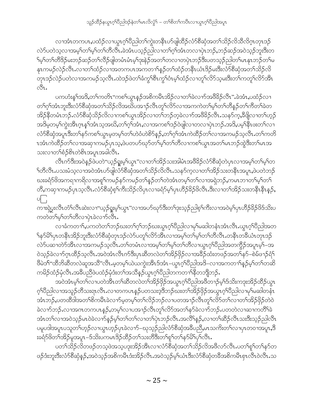လၢအံၤတကပၤႇပထံဉ်လၢယ္ပၤဂ့ౕၢိပညါတၤ်ကွဲးတနိၤဟ်ဖျါထိဉ်လံာ်စိဆုံအတၤ်သိဉ်လိသိလိဂ္ၤတၤဒဉ် လဲဉ်ပတဲသ့လၢအမ့္ပ်ာတြမ့္ပ်တြလွပ္မွာ အဲ့အုပ္လည္ပ်တ္ျပာသူပုံခဲ့ေတလာပုံၤဘဉ်ႇဘဉ်ဆဉ်အ၀ဲသုဉ်ဘူးဒီးတ ်မှSက်တိဒိဉ်မးဘဉ်ဆဉ်တSလိဉ်ဖျဲတမံၤမံၤမ့Sဒုးနဲဉ်အတSတလၤတပှဲၤဘဉ်ဒီးပတသ့ဉ်ညါတSမၤနုၤဘဉ်တSမ နုၤကမဉ်လဲဉ်လီၤႉလၢတၫ်ထံဉ်လၢအတကပၤအကတ႑ၢိန္ဉာိတၫ်ထံဉ်တနိၤယံၤဒိဉ်မးဒီးလံာ်စိဆုံအတ႑်သိဉ်လိ တုၤဒဉ်လဲဉ်ပတဲလၫအကမဉ်သ့လီၤႉထဲဒဉ်ဖဲတ<sup>၎</sup>ခံကွ<sup>၎</sup>စီၤကွ<sup>၎</sup>ပံၤမ့<sup>၎</sup>ထံဉ်လၫတူ<sup>၎</sup>လိ5်သ့မးဒီးတ<sup>၎်</sup>ကတူ<sup>၎</sup>လိ5်အီၤ ी.

ပကဟံးန1်အဒိႇတၫ်ကတိၤ''ကစ႑်ယွၤန္ဉာ်အစိကမိၤအိဉ်လၢတ႑်ခဲလ႑ာအဖိခိဉ်လိၤ'' ခဲအံၤႇပထံဉ်လ႑ တၫ်ဂ့ၢ်အံၤဘူးဒီးလံာ်စိဆုံအတ႑်သိဉ်လိအဃိပအ႑ာ်လီၤတူၢ်လိာ်လၢအကကဲတ႑်မှၤ်တ႑်တိန္ဉာ်တ႑်ကိတ႑်ခဲတ အိဉ်နိတမံၤဘဉ်ႉလံာ်စီဆုံသိဉ်လိလၢကစၢ်ယွၤအိဉ်လၢတၢ်ဘဉ်တဲ့ခဲလၢာ်အဖိခိဉ်လိၤႉသနာ်ကဲ့,ခ်ီဖိုုလၢတၢ်ဟ့ဉ် အဒိမ္ခတမ့<sup>၎</sup>ကွဲးအိၤဂ္ဂၤန1်အံၤသ့အဃိႇတ႑်ဂ့ၢ်အံၤႇလၢအကစၫ်ဒဉ်ဝဲဖျါလၢတလၢပှဲၤဘဉ်ႉအဒိႇပမ့<sup>၎</sup>နိုၤဖးတ႑်လၢ လံာ်စီဆုံအပူၤဒီးတ႑်နာ်ကစ႑်ယွၤမ့တမ့္ တ႑်တဲပံတဲစိၥ်နည်,တ႑်ဂ့ၫ်အံၤကဲထိဉ်တ႑်လၢအကမဉ်သလိၤ.တ႑်ကတိ ၤအံၤကဲထိဉ်တ႑်လၢအဆုၢကမဉ်ပုၤသ့,ဖဲပတပာ်ဃှာ်တ႑်မှၤ်တ႑်တိလၢကစ႑်ယွၤအတ႑်မၤဘဉ်ထွဲဒီးတ႑်မၤအ သးလၢတౕၢစံဉ်စိၤတဲစိၤအပူၤအခါလီၤ.

လီၤက်ဒီးအဝဲနဉ်ဖဲပတဲ"ယ့ဉ်ရှူးမ့ၢ်ယွၤ"လၢတၢ်အိဉ်သးအါမံၤအဖိခိဉ်လံာ်စိဆုံတဲပှၤလၢအမ့ၢ်တၢ်မ့ၢ်တ ်ကီလီၤ.ပသးမံသ့လၢအဝဲအံၤပာ်ဖျါလံာ်စိဆုံအတ႑်သိဉ်လိလီၤ.သနာ်ကုလၢတ႑်အိဉ်သးတနိၤအပူၤ,ဖဲပတဲဘဉ် ဃးခရံာ်ဖိအကရာကရိလာအစူာ်ကမဉ်နာ်ကမဉ်တၫ်နှဉ်တၫ်တဲအံၤတမ့ၢ်တၫ်လာအရဲဘဉ်,ကမၤဘာတ႑်မ့ၢ်တ႑် တိႇကဆုၫကမဉ်ပှၤသ့လိၤႉလံာ်စိဆုံစ့ၫ်ကိဴးသိဉ်လိပှၤလၢခရံာ်မ့ၫ်ပှၤဟိဉ်ခိဉ်ဖိလိၤ.ဒီးလၢတၫ်အိဉ်သးတနိၤနိၤန္ဉ),  $\circ$   $\vdots$ 

ကၫးရှဲပွးလိၤတိၤလိၤဆဲးလၫ''ယ့ဉ်ရှုးမ့<sup>၎</sup>ယွၤ''လၢအပာ်ဃုာ်ဒီးတၢ်ဒုးသ့ဉ်ညါစ့<sup>၎</sup>ကိဳးလၢအဝဲမ့<sup>၎</sup>ပှၤဟိဉ်ခိဉ်ဖိဒ်သိးပ ကတဲတၫ်မှ႞တ႑်တွိလၪဴပုံ၊ခဲ့လၪၣၟၯၟႚ

လၢခံကတၫႝႇပကတဲတႝာဘည်ဃးတ႑်ဂ့ႝဘဉ်ဃးယွၤဂ့ါပီညါလၢမှါမဆါတနံၤအံၤလီၤ.ယွၤဂ့ါပီညါအတ ်န58် ပုံကန်းအိဉ်ဘူးဒီးလံာ်စီဆုံတုၤဒဉ်လဲာ်ပတုၤ်လိာအီးလၢအမ့္ပ်တြမ့်က်ကီလီး တန်းတ<sup>ွ</sup>သော် တုၤဒဉ် လဲဉ်ပဆၢတဲဉ်အီၤလၢအကမဉ်သူလီၤ.တ႑်တမံၤလၢအမှ႑်တ႑်မှ႞တ႑်တိလၢယ္ဂၤဂ့ၤ်ပိညါအတက္ဂိဉ်အပူၤမ့1်–အ ဝဲသ့ဉ်ခဲလၫာ်ဂ္ $\tau$ ထိဉ်သ့လိ $\tau$  အဝဲအံ $\tau$ လိ $\tau$ က်ဒီးပု $\tau$ ဆိတလဲတၫ်အိဉ် $\beta$ ှ်လ႑အခိဉ်ထံးတဖဉ်အတ႑်နာ်–စဲမ်ဖ႑ာ်ရံ $\uparrow$ ဖီမဲဒ<sup>၎</sup>"ထိဘိဆိိတလဲဆူအသိ"လိၤ.မ့တမ့<sup>၎</sup>ယဲယကွဲးအိၤဒ်အံၤ–ယွၤဂ့ၢိပိညါအဒိ–လၢအကတၫၢိန္ဉ်မ့ၢ်တၫ်တဆိ ကမိဉ်ထံဉ်မုံလီၤ.အခ်ီပညီဖဲပထံဉ်မုံဒံးတ႑်အသိန္ဉာိယ္ဇၤဂ္ဂၤ်၀ီညါတကတ႑ၤ်နီတဘျိဘဉ်.

အဝဲအံၤမ့္ပ်ာလျပတဲ့အိုးတုနားလဲတုအသို႔ပိုင်အယ္လ္ယာက်ပြီညါအဖိတ႑ာ်မ့္ပ်ာဒိသိးကဒုးအိဉ်ထိဉ်ယွာ ဂ့်္ဂါဝိညါလၫအသူဉ်တိသးရာလိၤႉလ႑တကပၤန္ဉာ်ပတသးဒ့ဒိဘဉ်ဃးတ႑်အိဉ်ဖိုဉ်အယွာဂ့်္ဂါဝိညါလ႑မှ မဆါတနီၤ အံၤဘဉ်,ပတထိဒါအတၫ်စိကမိၤခဲလ႑ာ်မ့တမ့ၢ်တ႑်လိဉ်ဘဉ်လ႑ပတအ႑ဉ်လိၤတှၫ်လိဉ်တ႑်လ႑တ႑်အိဉ်ဖိုဉ်တဲဝဲ ခဲလၫာ်ဘဉ်ႉလၢအဂၤတကပၤန္ဉဉ်ႇတမ့ၢ်ိလၢပအၫဉ်လီၤတူၢ်လိာ်အတ႑်နာ်ခဲလၫာ်ဘဉ်ႉပတတဲလၢဆၢကတိႝၤ်ခဲ အံၤတၫ်လၢအဝဲသုဉ်မၤဝဲခဲလၢာ်နဉ်မှၫ်တ႑်တ႑်လၢတ႑်ပုံၤဘဉ်လီၤ.အလီၫန္ဉာ်,လၢတ႑်ဆီဉ်လီၤသးဒီးသုဉ်ညါလီၤ ပမူပဒါအပူၤပသူတၫ်ဟ့ဉ်လၫယွၤဟ့ဉ်ပှၤခဲလၫာ်–ဃုသ့ဉ်ညါလံာ်စီဆုံအခ်ီပညိႇမၤသကိႏတၫ်လၫပှၤတဝၢအပူၤႇဒိ းခရံာ်ဖိတၫ်အိဉ်မှုအပူၤ–ဒ်သိးပကမၤဒိဉ်ထိဉ်တ႑်သးတိဒီးတ႑်စူ႑်တ႑်နှာ်မိ႑်ပု<sup>၎</sup>လီၤ*န* 

ပတ႑်သိဉ်လိတဖဉ်တသ့ဖဲအသ့ပဒုးအိဉ်အီၤလၢလံာ်စီဆုံအတ႑်သိဉ်လိအဖိလာ်လီၤ.ပတ႑်စူၫ်တ႑်နာ်တ ဖဉ်ဒံးဘူးဒီးလံာ်စီဆုံနဉ်,အဝဲသ့ဉ်အစိကမိၤဒံးအိဉ်လိၤ.အဝဲသ့ဉ်မ့ှ်ယံၤဒီးလံာ်စီဆုံတခ်ီအစိကမီၤစှၤလီၤဝဲလီၤ.သ